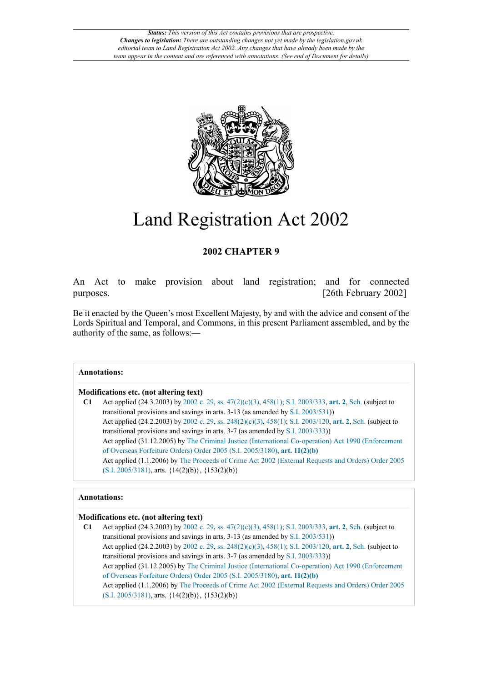

# Land Registration Act 2002

# **2002 CHAPTER 9**

An Act to make provision about land registration; and for connected purposes. [26th February 2002]

Be it enacted by the Queen's most Excellent Majesty, by and with the advice and consent of the Lords Spiritual and Temporal, and Commons, in this present Parliament assembled, and by the authority of the same, as follows:—

## **Annotations:**

## **Modifications etc. (not altering text)**

**C1** Act applied (24.3.2003) by [2002 c. 29,](http://www.legislation.gov.uk/id/ukpga/2002/29) [ss. 47\(2\)\(c\)\(3\),](http://www.legislation.gov.uk/id/ukpga/2002/29/section/47/2/c/3) [458\(1\)](http://www.legislation.gov.uk/id/ukpga/2002/29/section/458/1); [S.I. 2003/333,](http://www.legislation.gov.uk/id/uksi/2003/333) **[art. 2](http://www.legislation.gov.uk/id/uksi/2003/333/article/2)**, [Sch.](http://www.legislation.gov.uk/id/uksi/2003/333/schedule) (subject to transitional provisions and savings in arts. 3-13 (as amended by [S.I. 2003/531\)](http://www.legislation.gov.uk/id/uksi/2003/531)) Act applied (24.2.2003) by [2002 c. 29,](http://www.legislation.gov.uk/id/ukpga/2002/29) [ss. 248\(2\)\(c\)\(3\)](http://www.legislation.gov.uk/id/ukpga/2002/29/section/248/2/c/3), [458\(1\);](http://www.legislation.gov.uk/id/ukpga/2002/29/section/458/1) [S.I. 2003/120](http://www.legislation.gov.uk/id/uksi/2003/120), **[art. 2](http://www.legislation.gov.uk/id/uksi/2003/120/article/2)**, [Sch.](http://www.legislation.gov.uk/id/uksi/2003/120/schedule) (subject to transitional provisions and savings in arts. 3-7 (as amended by [S.I. 2003/333](http://www.legislation.gov.uk/id/uksi/2003/333))) Act applied (31.12.2005) by [The Criminal Justice \(International Co-operation\) Act 1990 \(Enforcement](http://www.legislation.gov.uk/id/uksi/2005/3180) [of Overseas Forfeiture Orders\) Order 2005 \(S.I. 2005/3180\)](http://www.legislation.gov.uk/id/uksi/2005/3180), **[art. 11\(2\)\(b\)](http://www.legislation.gov.uk/id/uksi/2005/3180/article/11/2/b)** Act applied (1.1.2006) by [The Proceeds of Crime Act 2002 \(External Requests and Orders\) Order 2005](http://www.legislation.gov.uk/id/uksi/2005/3181)  $(S.I. 2005/3181)$ , arts.  $\{14(2)(b)\}, \{153(2)(b)\}$ 

## **Annotations:**

## **Modifications etc. (not altering text)**

**C1** Act applied (24.3.2003) by [2002 c. 29,](http://www.legislation.gov.uk/id/ukpga/2002/29) [ss. 47\(2\)\(c\)\(3\),](http://www.legislation.gov.uk/id/ukpga/2002/29/section/47/2/c/3) [458\(1\)](http://www.legislation.gov.uk/id/ukpga/2002/29/section/458/1); [S.I. 2003/333,](http://www.legislation.gov.uk/id/uksi/2003/333) **[art. 2](http://www.legislation.gov.uk/id/uksi/2003/333/article/2)**, [Sch.](http://www.legislation.gov.uk/id/uksi/2003/333/schedule) (subject to transitional provisions and savings in arts. 3-13 (as amended by [S.I. 2003/531\)](http://www.legislation.gov.uk/id/uksi/2003/531)) Act applied (24.2.2003) by [2002 c. 29,](http://www.legislation.gov.uk/id/ukpga/2002/29) [ss. 248\(2\)\(c\)\(3\)](http://www.legislation.gov.uk/id/ukpga/2002/29/section/248/2/c/3), [458\(1\);](http://www.legislation.gov.uk/id/ukpga/2002/29/section/458/1) [S.I. 2003/120](http://www.legislation.gov.uk/id/uksi/2003/120), **[art. 2](http://www.legislation.gov.uk/id/uksi/2003/120/article/2)**, [Sch.](http://www.legislation.gov.uk/id/uksi/2003/120/schedule) (subject to transitional provisions and savings in arts. 3-7 (as amended by [S.I. 2003/333](http://www.legislation.gov.uk/id/uksi/2003/333))) Act applied (31.12.2005) by [The Criminal Justice \(International Co-operation\) Act 1990 \(Enforcement](http://www.legislation.gov.uk/id/uksi/2005/3180) [of Overseas Forfeiture Orders\) Order 2005 \(S.I. 2005/3180\)](http://www.legislation.gov.uk/id/uksi/2005/3180), **[art. 11\(2\)\(b\)](http://www.legislation.gov.uk/id/uksi/2005/3180/article/11/2/b)** Act applied (1.1.2006) by [The Proceeds of Crime Act 2002 \(External Requests and Orders\) Order 2005](http://www.legislation.gov.uk/id/uksi/2005/3181)  $(S.I. 2005/3181)$ , arts.  ${14(2)(b)}$ ,  ${153(2)(b)}$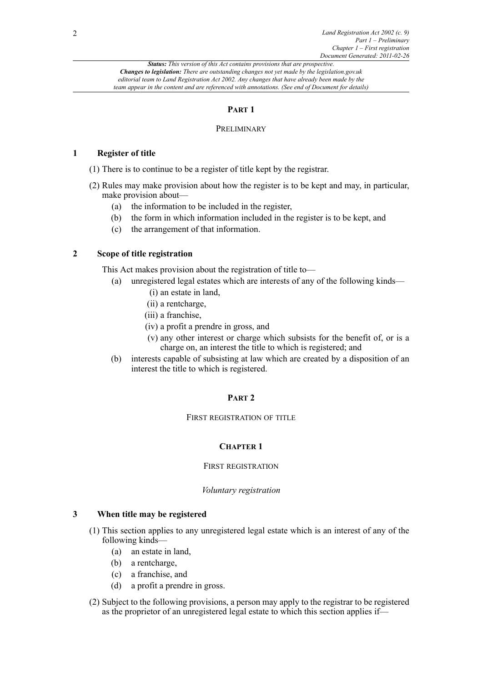# **PART 1**

## PRELIMINARY

# **1 Register of title**

- (1) There is to continue to be a register of title kept by the registrar.
- (2) Rules may make provision about how the register is to be kept and may, in particular, make provision about—
	- (a) the information to be included in the register,
	- (b) the form in which information included in the register is to be kept, and
	- (c) the arrangement of that information.

# **2 Scope of title registration**

This Act makes provision about the registration of title to—

- (a) unregistered legal estates which are interests of any of the following kinds—
	- (i) an estate in land,
	- (ii) a rentcharge,
	- (iii) a franchise,
	- (iv) a profit a prendre in gross, and
	- (v) any other interest or charge which subsists for the benefit of, or is a charge on, an interest the title to which is registered; and
- (b) interests capable of subsisting at law which are created by a disposition of an interest the title to which is registered.

# **PART 2**

FIRST REGISTRATION OF TITLE

# **CHAPTER 1**

# FIRST REGISTRATION

# *Voluntary registration*

# **3 When title may be registered**

- (1) This section applies to any unregistered legal estate which is an interest of any of the following kinds—
	- (a) an estate in land,
	- (b) a rentcharge,
	- (c) a franchise, and
	- (d) a profit a prendre in gross.
- (2) Subject to the following provisions, a person may apply to the registrar to be registered as the proprietor of an unregistered legal estate to which this section applies if—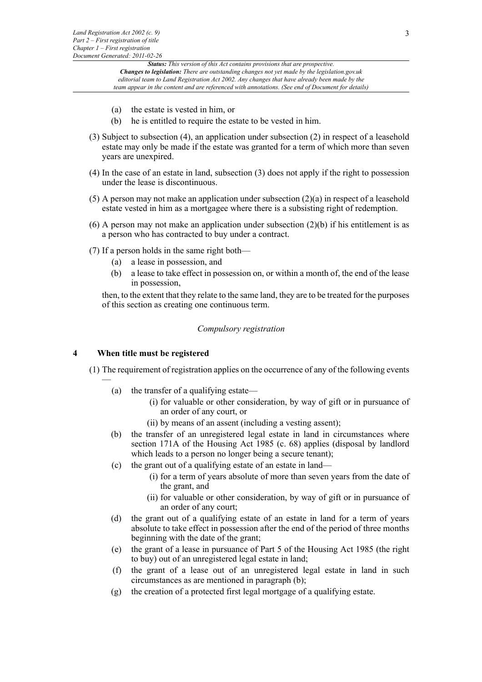- (a) the estate is vested in him, or
- (b) he is entitled to require the estate to be vested in him.
- (3) Subject to subsection (4), an application under subsection (2) in respect of a leasehold estate may only be made if the estate was granted for a term of which more than seven years are unexpired.
- (4) In the case of an estate in land, subsection (3) does not apply if the right to possession under the lease is discontinuous.
- (5) A person may not make an application under subsection (2)(a) in respect of a leasehold estate vested in him as a mortgagee where there is a subsisting right of redemption.
- $(6)$  A person may not make an application under subsection  $(2)(b)$  if his entitlement is as a person who has contracted to buy under a contract.
- (7) If a person holds in the same right both—
	- (a) a lease in possession, and
	- (b) a lease to take effect in possession on, or within a month of, the end of the lease in possession,

then, to the extent that they relate to the same land, they are to be treated for the purposes of this section as creating one continuous term.

#### *Compulsory registration*

# **4 When title must be registered**

—

- (1) The requirement of registration applies on the occurrence of any of the following events
	- (a) the transfer of a qualifying estate—
		- (i) for valuable or other consideration, by way of gift or in pursuance of an order of any court, or
		- (ii) by means of an assent (including a vesting assent);
	- (b) the transfer of an unregistered legal estate in land in circumstances where section 171A of the Housing Act 1985 (c. 68) applies (disposal by landlord which leads to a person no longer being a secure tenant);
	- (c) the grant out of a qualifying estate of an estate in land—
		- (i) for a term of years absolute of more than seven years from the date of the grant, and
		- (ii) for valuable or other consideration, by way of gift or in pursuance of an order of any court;
	- (d) the grant out of a qualifying estate of an estate in land for a term of years absolute to take effect in possession after the end of the period of three months beginning with the date of the grant;
	- (e) the grant of a lease in pursuance of Part 5 of the Housing Act 1985 (the right to buy) out of an unregistered legal estate in land;
	- (f) the grant of a lease out of an unregistered legal estate in land in such circumstances as are mentioned in paragraph (b);
	- (g) the creation of a protected first legal mortgage of a qualifying estate.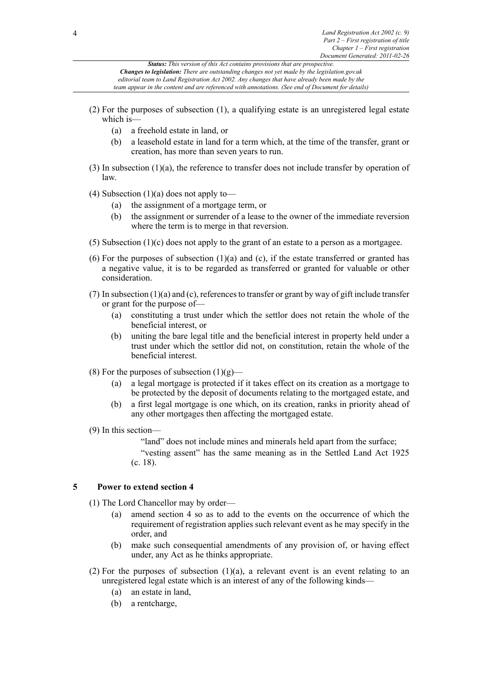- (2) For the purposes of subsection (1), a qualifying estate is an unregistered legal estate which is-
	- (a) a freehold estate in land, or
	- (b) a leasehold estate in land for a term which, at the time of the transfer, grant or creation, has more than seven years to run.
- (3) In subsection (1)(a), the reference to transfer does not include transfer by operation of law.
- (4) Subsection  $(1)(a)$  does not apply to—
	- (a) the assignment of a mortgage term, or
	- (b) the assignment or surrender of a lease to the owner of the immediate reversion where the term is to merge in that reversion.
- (5) Subsection (1)(c) does not apply to the grant of an estate to a person as a mortgagee.
- (6) For the purposes of subsection  $(1)(a)$  and (c), if the estate transferred or granted has a negative value, it is to be regarded as transferred or granted for valuable or other consideration.
- (7) In subsection (1)(a) and (c), references to transfer or grant by way of gift include transfer or grant for the purpose of—
	- (a) constituting a trust under which the settlor does not retain the whole of the beneficial interest, or
	- (b) uniting the bare legal title and the beneficial interest in property held under a trust under which the settlor did not, on constitution, retain the whole of the beneficial interest.
- (8) For the purposes of subsection  $(1)(g)$ 
	- (a) a legal mortgage is protected if it takes effect on its creation as a mortgage to be protected by the deposit of documents relating to the mortgaged estate, and
	- (b) a first legal mortgage is one which, on its creation, ranks in priority ahead of any other mortgages then affecting the mortgaged estate.
- (9) In this section—
	- "land" does not include mines and minerals held apart from the surface;
	- "vesting assent" has the same meaning as in the Settled Land Act 1925 (c. 18).

# **5 Power to extend section 4**

(1) The Lord Chancellor may by order—

- (a) amend section 4 so as to add to the events on the occurrence of which the requirement of registration applies such relevant event as he may specify in the order, and
- (b) make such consequential amendments of any provision of, or having effect under, any Act as he thinks appropriate.
- (2) For the purposes of subsection  $(1)(a)$ , a relevant event is an event relating to an unregistered legal estate which is an interest of any of the following kinds—
	- (a) an estate in land,
	- (b) a rentcharge,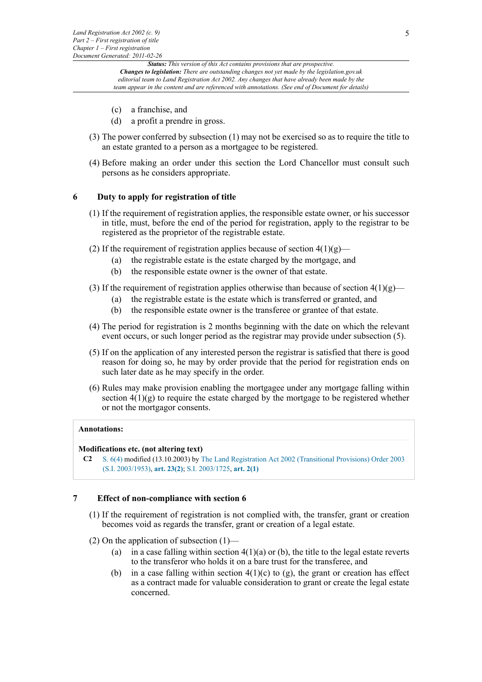- (c) a franchise, and
- (d) a profit a prendre in gross.
- (3) The power conferred by subsection (1) may not be exercised so as to require the title to an estate granted to a person as a mortgagee to be registered.
- (4) Before making an order under this section the Lord Chancellor must consult such persons as he considers appropriate.

## **6 Duty to apply for registration of title**

- (1) If the requirement of registration applies, the responsible estate owner, or his successor in title, must, before the end of the period for registration, apply to the registrar to be registered as the proprietor of the registrable estate.
- (2) If the requirement of registration applies because of section  $4(1)(g)$ 
	- (a) the registrable estate is the estate charged by the mortgage, and
	- (b) the responsible estate owner is the owner of that estate.
- (3) If the requirement of registration applies otherwise than because of section  $4(1)(g)$ 
	- (a) the registrable estate is the estate which is transferred or granted, and
	- (b) the responsible estate owner is the transferee or grantee of that estate.
- (4) The period for registration is 2 months beginning with the date on which the relevant event occurs, or such longer period as the registrar may provide under subsection (5).
- (5) If on the application of any interested person the registrar is satisfied that there is good reason for doing so, he may by order provide that the period for registration ends on such later date as he may specify in the order.
- (6) Rules may make provision enabling the mortgagee under any mortgage falling within section  $4(1)(g)$  to require the estate charged by the mortgage to be registered whether or not the mortgagor consents.

#### **Annotations:**

#### **Modifications etc. (not altering text)**

**C2** [S. 6\(4\)](http://www.legislation.gov.uk/id/ukpga/2002/9/section/6/4) modified (13.10.2003) by [The Land Registration Act 2002 \(Transitional Provisions\) Order 2003](http://www.legislation.gov.uk/id/uksi/2003/1953) [\(S.I. 2003/1953\),](http://www.legislation.gov.uk/id/uksi/2003/1953) **[art. 23\(2\)](http://www.legislation.gov.uk/id/uksi/2003/1953/article/23/2)**; [S.I. 2003/1725,](http://www.legislation.gov.uk/id/uksi/2003/1725) **[art. 2\(1\)](http://www.legislation.gov.uk/id/uksi/2003/1725/article/2/1)**

## **7 Effect of non-compliance with section 6**

- (1) If the requirement of registration is not complied with, the transfer, grant or creation becomes void as regards the transfer, grant or creation of a legal estate.
- (2) On the application of subsection (1)—
	- (a) in a case falling within section  $4(1)(a)$  or (b), the title to the legal estate reverts to the transferor who holds it on a bare trust for the transferee, and
	- (b) in a case falling within section  $4(1)(c)$  to (g), the grant or creation has effect as a contract made for valuable consideration to grant or create the legal estate concerned.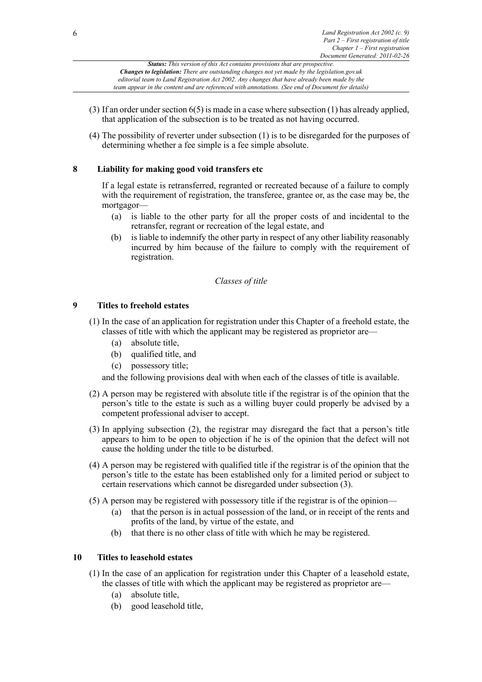- (3) If an order under section 6(5) is made in a case where subsection (1) has already applied, that application of the subsection is to be treated as not having occurred.
- (4) The possibility of reverter under subsection (1) is to be disregarded for the purposes of determining whether a fee simple is a fee simple absolute.

# **8 Liability for making good void transfers etc**

If a legal estate is retransferred, regranted or recreated because of a failure to comply with the requirement of registration, the transferee, grantee or, as the case may be, the mortgagor—

- (a) is liable to the other party for all the proper costs of and incidental to the retransfer, regrant or recreation of the legal estate, and
- (b) is liable to indemnify the other party in respect of any other liability reasonably incurred by him because of the failure to comply with the requirement of registration.

## *Classes of title*

# **9 Titles to freehold estates**

- (1) In the case of an application for registration under this Chapter of a freehold estate, the classes of title with which the applicant may be registered as proprietor are—
	- (a) absolute title,
	- (b) qualified title, and
	- (c) possessory title;

and the following provisions deal with when each of the classes of title is available.

- (2) A person may be registered with absolute title if the registrar is of the opinion that the person's title to the estate is such as a willing buyer could properly be advised by a competent professional adviser to accept.
- (3) In applying subsection (2), the registrar may disregard the fact that a person's title appears to him to be open to objection if he is of the opinion that the defect will not cause the holding under the title to be disturbed.
- (4) A person may be registered with qualified title if the registrar is of the opinion that the person's title to the estate has been established only for a limited period or subject to certain reservations which cannot be disregarded under subsection (3).
- (5) A person may be registered with possessory title if the registrar is of the opinion—
	- (a) that the person is in actual possession of the land, or in receipt of the rents and profits of the land, by virtue of the estate, and
	- (b) that there is no other class of title with which he may be registered.

## **10 Titles to leasehold estates**

- (1) In the case of an application for registration under this Chapter of a leasehold estate, the classes of title with which the applicant may be registered as proprietor are—
	- (a) absolute title,
	- (b) good leasehold title,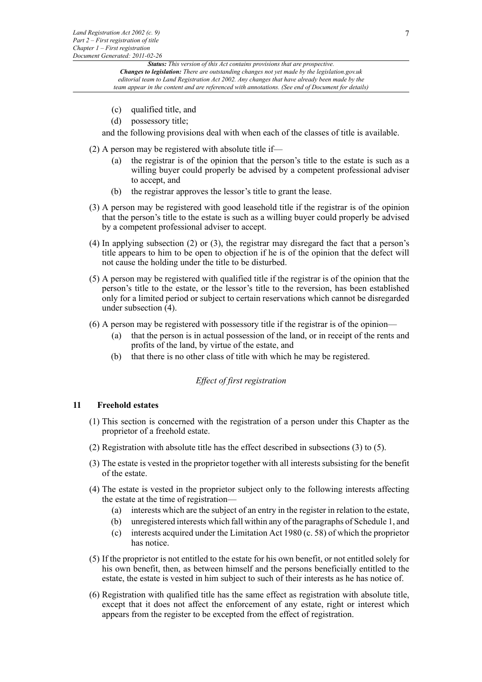- (c) qualified title, and
- (d) possessory title;

and the following provisions deal with when each of the classes of title is available.

(2) A person may be registered with absolute title if—

- (a) the registrar is of the opinion that the person's title to the estate is such as a willing buyer could properly be advised by a competent professional adviser to accept, and
- (b) the registrar approves the lessor's title to grant the lease.
- (3) A person may be registered with good leasehold title if the registrar is of the opinion that the person's title to the estate is such as a willing buyer could properly be advised by a competent professional adviser to accept.
- (4) In applying subsection (2) or (3), the registrar may disregard the fact that a person's title appears to him to be open to objection if he is of the opinion that the defect will not cause the holding under the title to be disturbed.
- (5) A person may be registered with qualified title if the registrar is of the opinion that the person's title to the estate, or the lessor's title to the reversion, has been established only for a limited period or subject to certain reservations which cannot be disregarded under subsection (4).
- (6) A person may be registered with possessory title if the registrar is of the opinion—
	- (a) that the person is in actual possession of the land, or in receipt of the rents and profits of the land, by virtue of the estate, and
	- (b) that there is no other class of title with which he may be registered.

# *Effect of first registration*

# **11 Freehold estates**

- (1) This section is concerned with the registration of a person under this Chapter as the proprietor of a freehold estate.
- (2) Registration with absolute title has the effect described in subsections (3) to (5).
- (3) The estate is vested in the proprietor together with all interests subsisting for the benefit of the estate.
- (4) The estate is vested in the proprietor subject only to the following interests affecting the estate at the time of registration—
	- (a) interests which are the subject of an entry in the register in relation to the estate,
	- (b) unregistered interests which fall within any of the paragraphs of Schedule 1, and
	- (c) interests acquired under the Limitation Act 1980 (c. 58) of which the proprietor has notice.
- (5) If the proprietor is not entitled to the estate for his own benefit, or not entitled solely for his own benefit, then, as between himself and the persons beneficially entitled to the estate, the estate is vested in him subject to such of their interests as he has notice of.
- (6) Registration with qualified title has the same effect as registration with absolute title, except that it does not affect the enforcement of any estate, right or interest which appears from the register to be excepted from the effect of registration.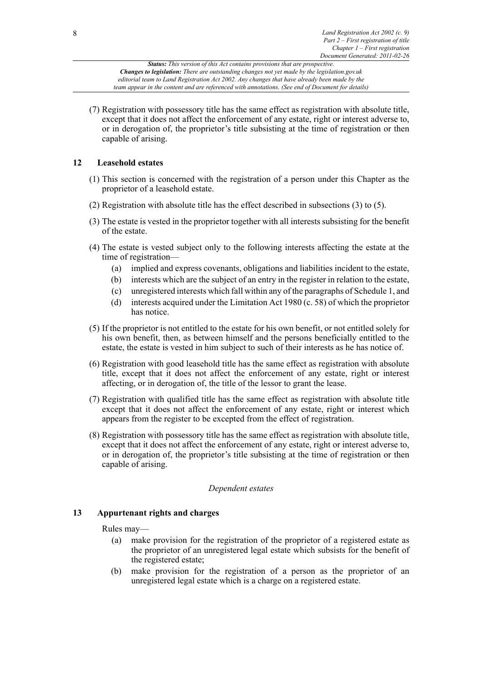(7) Registration with possessory title has the same effect as registration with absolute title, except that it does not affect the enforcement of any estate, right or interest adverse to, or in derogation of, the proprietor's title subsisting at the time of registration or then capable of arising.

# **12 Leasehold estates**

- (1) This section is concerned with the registration of a person under this Chapter as the proprietor of a leasehold estate.
- (2) Registration with absolute title has the effect described in subsections (3) to (5).
- (3) The estate is vested in the proprietor together with all interests subsisting for the benefit of the estate.
- (4) The estate is vested subject only to the following interests affecting the estate at the time of registration—
	- (a) implied and express covenants, obligations and liabilities incident to the estate,
	- (b) interests which are the subject of an entry in the register in relation to the estate,
	- (c) unregistered interests which fall within any of the paragraphs of Schedule 1, and
	- (d) interests acquired under the Limitation Act 1980 (c. 58) of which the proprietor has notice.
- (5) If the proprietor is not entitled to the estate for his own benefit, or not entitled solely for his own benefit, then, as between himself and the persons beneficially entitled to the estate, the estate is vested in him subject to such of their interests as he has notice of.
- (6) Registration with good leasehold title has the same effect as registration with absolute title, except that it does not affect the enforcement of any estate, right or interest affecting, or in derogation of, the title of the lessor to grant the lease.
- (7) Registration with qualified title has the same effect as registration with absolute title except that it does not affect the enforcement of any estate, right or interest which appears from the register to be excepted from the effect of registration.
- (8) Registration with possessory title has the same effect as registration with absolute title, except that it does not affect the enforcement of any estate, right or interest adverse to, or in derogation of, the proprietor's title subsisting at the time of registration or then capable of arising.

# *Dependent estates*

# **13 Appurtenant rights and charges**

Rules may—

- (a) make provision for the registration of the proprietor of a registered estate as the proprietor of an unregistered legal estate which subsists for the benefit of the registered estate;
- (b) make provision for the registration of a person as the proprietor of an unregistered legal estate which is a charge on a registered estate.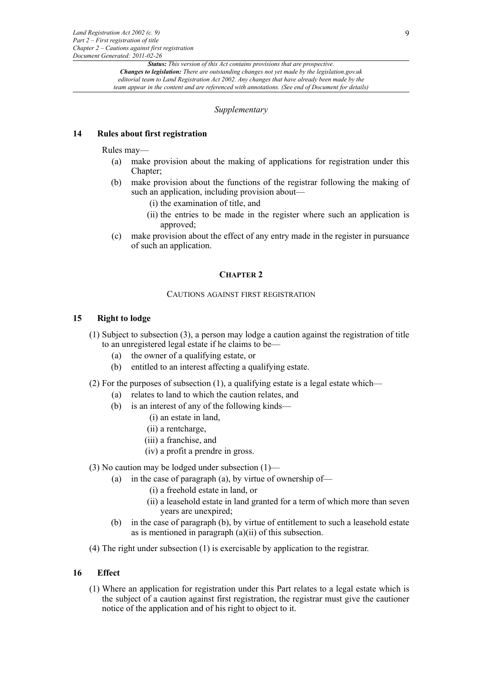#### *Supplementary*

#### **14 Rules about first registration**

Rules may—

- (a) make provision about the making of applications for registration under this Chapter;
- (b) make provision about the functions of the registrar following the making of such an application, including provision about—
	- (i) the examination of title, and
	- (ii) the entries to be made in the register where such an application is approved;
- (c) make provision about the effect of any entry made in the register in pursuance of such an application.

#### **CHAPTER 2**

## CAUTIONS AGAINST FIRST REGISTRATION

## **15 Right to lodge**

- (1) Subject to subsection (3), a person may lodge a caution against the registration of title to an unregistered legal estate if he claims to be—
	- (a) the owner of a qualifying estate, or
	- (b) entitled to an interest affecting a qualifying estate.
- (2) For the purposes of subsection  $(1)$ , a qualifying estate is a legal estate which—
	- (a) relates to land to which the caution relates, and
	- (b) is an interest of any of the following kinds—
		- (i) an estate in land,
		- (ii) a rentcharge,
		- (iii) a franchise, and
		- (iv) a profit a prendre in gross.
- (3) No caution may be lodged under subsection (1)—
	- (a) in the case of paragraph (a), by virtue of ownership of—
		- (i) a freehold estate in land, or
		- (ii) a leasehold estate in land granted for a term of which more than seven years are unexpired;
		- (b) in the case of paragraph (b), by virtue of entitlement to such a leasehold estate as is mentioned in paragraph (a)(ii) of this subsection.
- (4) The right under subsection (1) is exercisable by application to the registrar.

## **16 Effect**

(1) Where an application for registration under this Part relates to a legal estate which is the subject of a caution against first registration, the registrar must give the cautioner notice of the application and of his right to object to it.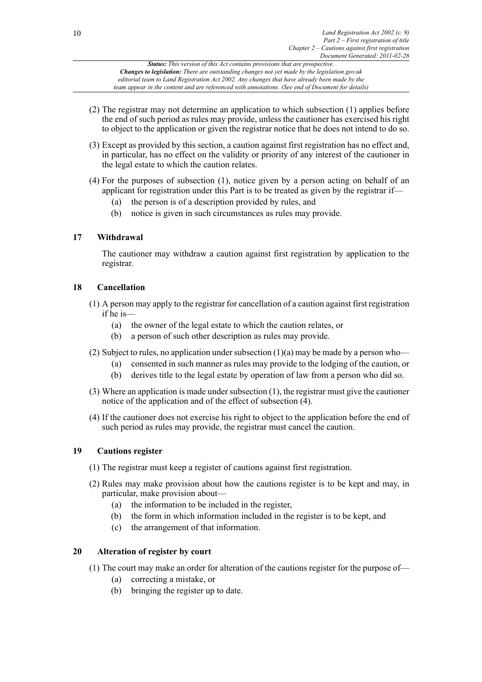- (2) The registrar may not determine an application to which subsection (1) applies before the end of such period as rules may provide, unless the cautioner has exercised his right to object to the application or given the registrar notice that he does not intend to do so.
- (3) Except as provided by this section, a caution against first registration has no effect and, in particular, has no effect on the validity or priority of any interest of the cautioner in the legal estate to which the caution relates.
- (4) For the purposes of subsection (1), notice given by a person acting on behalf of an applicant for registration under this Part is to be treated as given by the registrar if—
	- (a) the person is of a description provided by rules, and
	- (b) notice is given in such circumstances as rules may provide.

# **17 Withdrawal**

The cautioner may withdraw a caution against first registration by application to the registrar.

# **18 Cancellation**

- (1) A person may apply to the registrar for cancellation of a caution against first registration if he is—
	- (a) the owner of the legal estate to which the caution relates, or
	- (b) a person of such other description as rules may provide.
- (2) Subject to rules, no application under subsection  $(1)(a)$  may be made by a person who—
	- (a) consented in such manner as rules may provide to the lodging of the caution, or
	- (b) derives title to the legal estate by operation of law from a person who did so.
- (3) Where an application is made under subsection (1), the registrar must give the cautioner notice of the application and of the effect of subsection (4).
- (4) If the cautioner does not exercise his right to object to the application before the end of such period as rules may provide, the registrar must cancel the caution.

# **19 Cautions register**

- (1) The registrar must keep a register of cautions against first registration.
- (2) Rules may make provision about how the cautions register is to be kept and may, in particular, make provision about—
	- (a) the information to be included in the register,
	- (b) the form in which information included in the register is to be kept, and
	- (c) the arrangement of that information.

# **20 Alteration of register by court**

- (1) The court may make an order for alteration of the cautions register for the purpose of—
	- (a) correcting a mistake, or
	- (b) bringing the register up to date.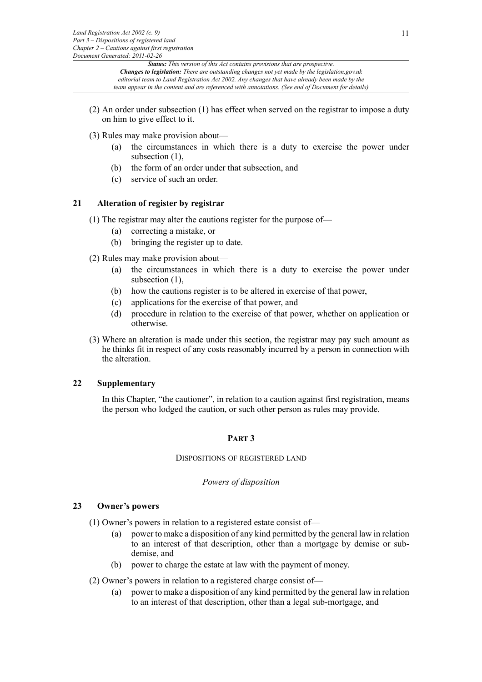(2) An order under subsection (1) has effect when served on the registrar to impose a duty on him to give effect to it.

(3) Rules may make provision about—

- (a) the circumstances in which there is a duty to exercise the power under subsection  $(1)$ ,
- (b) the form of an order under that subsection, and
- (c) service of such an order.

# **21 Alteration of register by registrar**

- (1) The registrar may alter the cautions register for the purpose of—
	- (a) correcting a mistake, or
	- (b) bringing the register up to date.
- (2) Rules may make provision about—
	- (a) the circumstances in which there is a duty to exercise the power under subsection  $(1)$ ,
	- (b) how the cautions register is to be altered in exercise of that power,
	- (c) applications for the exercise of that power, and
	- (d) procedure in relation to the exercise of that power, whether on application or otherwise.
- (3) Where an alteration is made under this section, the registrar may pay such amount as he thinks fit in respect of any costs reasonably incurred by a person in connection with the alteration.

# **22 Supplementary**

In this Chapter, "the cautioner", in relation to a caution against first registration, means the person who lodged the caution, or such other person as rules may provide.

# **PART 3**

## DISPOSITIONS OF REGISTERED LAND

## *Powers of disposition*

## **23 Owner's powers**

- (1) Owner's powers in relation to a registered estate consist of—
	- (a) power to make a disposition of any kind permitted by the general law in relation to an interest of that description, other than a mortgage by demise or subdemise, and
	- (b) power to charge the estate at law with the payment of money.

(2) Owner's powers in relation to a registered charge consist of—

(a) power to make a disposition of any kind permitted by the general law in relation to an interest of that description, other than a legal sub-mortgage, and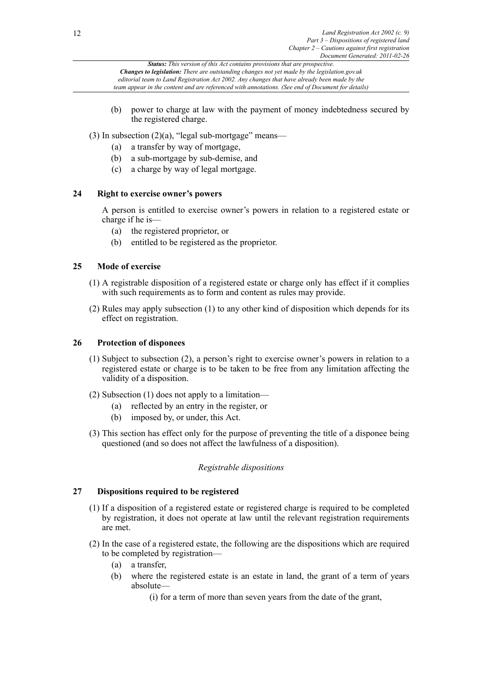- (b) power to charge at law with the payment of money indebtedness secured by the registered charge.
- (3) In subsection  $(2)(a)$ , "legal sub-mortgage" means—
	- (a) a transfer by way of mortgage,
	- (b) a sub-mortgage by sub-demise, and
	- (c) a charge by way of legal mortgage.

# **24 Right to exercise owner's powers**

A person is entitled to exercise owner's powers in relation to a registered estate or charge if he is—

- (a) the registered proprietor, or
- (b) entitled to be registered as the proprietor.

# **25 Mode of exercise**

- (1) A registrable disposition of a registered estate or charge only has effect if it complies with such requirements as to form and content as rules may provide.
- (2) Rules may apply subsection (1) to any other kind of disposition which depends for its effect on registration.

## **26 Protection of disponees**

- (1) Subject to subsection (2), a person's right to exercise owner's powers in relation to a registered estate or charge is to be taken to be free from any limitation affecting the validity of a disposition.
- (2) Subsection (1) does not apply to a limitation—
	- (a) reflected by an entry in the register, or
	- (b) imposed by, or under, this Act.
- (3) This section has effect only for the purpose of preventing the title of a disponee being questioned (and so does not affect the lawfulness of a disposition).

## *Registrable dispositions*

# **27 Dispositions required to be registered**

- (1) If a disposition of a registered estate or registered charge is required to be completed by registration, it does not operate at law until the relevant registration requirements are met.
- (2) In the case of a registered estate, the following are the dispositions which are required to be completed by registration—
	- (a) a transfer,
	- (b) where the registered estate is an estate in land, the grant of a term of years absolute—
		- (i) for a term of more than seven years from the date of the grant,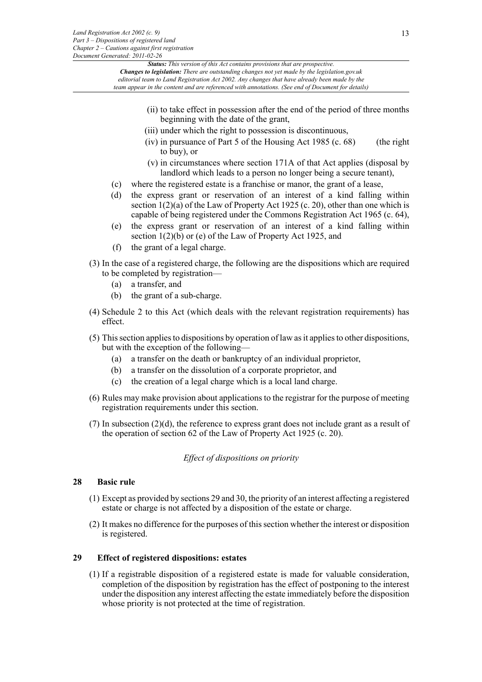- (ii) to take effect in possession after the end of the period of three months beginning with the date of the grant,
- (iii) under which the right to possession is discontinuous,
- (iv) in pursuance of Part 5 of the Housing Act 1985 (c.  $68$ ) (the right to buy), or
- (v) in circumstances where section 171A of that Act applies (disposal by landlord which leads to a person no longer being a secure tenant),
- (c) where the registered estate is a franchise or manor, the grant of a lease,
- (d) the express grant or reservation of an interest of a kind falling within section  $1(2)(a)$  of the Law of Property Act 1925 (c. 20), other than one which is capable of being registered under the Commons Registration Act 1965 (c. 64),
- (e) the express grant or reservation of an interest of a kind falling within section 1(2)(b) or (e) of the Law of Property Act 1925, and
- (f) the grant of a legal charge.
- (3) In the case of a registered charge, the following are the dispositions which are required to be completed by registration—
	- (a) a transfer, and
	- (b) the grant of a sub-charge.
- (4) Schedule 2 to this Act (which deals with the relevant registration requirements) has effect.
- (5) This section applies to dispositions by operation of law as it applies to other dispositions, but with the exception of the following—
	- (a) a transfer on the death or bankruptcy of an individual proprietor,
	- (b) a transfer on the dissolution of a corporate proprietor, and
	- (c) the creation of a legal charge which is a local land charge.
- (6) Rules may make provision about applications to the registrar for the purpose of meeting registration requirements under this section.
- (7) In subsection (2)(d), the reference to express grant does not include grant as a result of the operation of section 62 of the Law of Property Act 1925 (c. 20).

*Effect of dispositions on priority*

# **28 Basic rule**

- (1) Except as provided by sections 29 and 30, the priority of an interest affecting a registered estate or charge is not affected by a disposition of the estate or charge.
- (2) It makes no difference for the purposes of this section whether the interest or disposition is registered.

#### **29 Effect of registered dispositions: estates**

(1) If a registrable disposition of a registered estate is made for valuable consideration, completion of the disposition by registration has the effect of postponing to the interest under the disposition any interest affecting the estate immediately before the disposition whose priority is not protected at the time of registration.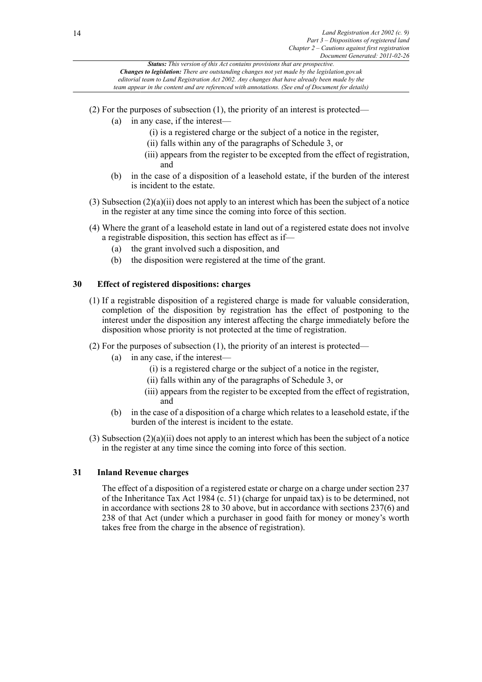- (2) For the purposes of subsection (1), the priority of an interest is protected—
	- (a) in any case, if the interest—
		- (i) is a registered charge or the subject of a notice in the register,
		- (ii) falls within any of the paragraphs of Schedule 3, or
		- (iii) appears from the register to be excepted from the effect of registration, and
		- (b) in the case of a disposition of a leasehold estate, if the burden of the interest is incident to the estate.
- (3) Subsection  $(2)(a)(ii)$  does not apply to an interest which has been the subject of a notice in the register at any time since the coming into force of this section.
- (4) Where the grant of a leasehold estate in land out of a registered estate does not involve a registrable disposition, this section has effect as if—
	- (a) the grant involved such a disposition, and
	- (b) the disposition were registered at the time of the grant.

## **30 Effect of registered dispositions: charges**

- (1) If a registrable disposition of a registered charge is made for valuable consideration, completion of the disposition by registration has the effect of postponing to the interest under the disposition any interest affecting the charge immediately before the disposition whose priority is not protected at the time of registration.
- (2) For the purposes of subsection (1), the priority of an interest is protected—
	- (a) in any case, if the interest—
		- (i) is a registered charge or the subject of a notice in the register,
		- (ii) falls within any of the paragraphs of Schedule 3, or
		- (iii) appears from the register to be excepted from the effect of registration, and
	- (b) in the case of a disposition of a charge which relates to a leasehold estate, if the burden of the interest is incident to the estate.
- (3) Subsection  $(2)(a)(ii)$  does not apply to an interest which has been the subject of a notice in the register at any time since the coming into force of this section.

## **31 Inland Revenue charges**

The effect of a disposition of a registered estate or charge on a charge under section 237 of the Inheritance Tax Act 1984 (c. 51) (charge for unpaid tax) is to be determined, not in accordance with sections 28 to 30 above, but in accordance with sections 237(6) and 238 of that Act (under which a purchaser in good faith for money or money's worth takes free from the charge in the absence of registration).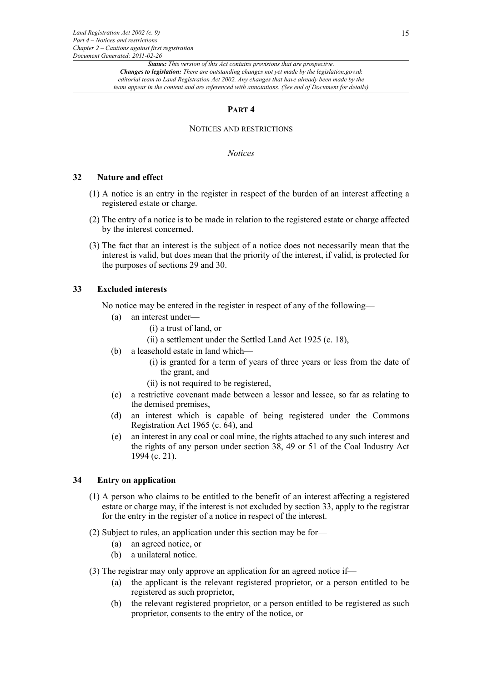## **PART 4**

#### NOTICES AND RESTRICTIONS

#### *Notices*

## **32 Nature and effect**

- (1) A notice is an entry in the register in respect of the burden of an interest affecting a registered estate or charge.
- (2) The entry of a notice is to be made in relation to the registered estate or charge affected by the interest concerned.
- (3) The fact that an interest is the subject of a notice does not necessarily mean that the interest is valid, but does mean that the priority of the interest, if valid, is protected for the purposes of sections 29 and 30.

# **33 Excluded interests**

No notice may be entered in the register in respect of any of the following—

- (a) an interest under—
	- (i) a trust of land, or
	- (ii) a settlement under the Settled Land Act 1925 (c. 18),
- (b) a leasehold estate in land which—
	- (i) is granted for a term of years of three years or less from the date of the grant, and
	- (ii) is not required to be registered,
- (c) a restrictive covenant made between a lessor and lessee, so far as relating to the demised premises,
- (d) an interest which is capable of being registered under the Commons Registration Act 1965 (c. 64), and
- (e) an interest in any coal or coal mine, the rights attached to any such interest and the rights of any person under section  $38, 49$  or 51 of the Coal Industry Act 1994 (c. 21).

## **34 Entry on application**

- (1) A person who claims to be entitled to the benefit of an interest affecting a registered estate or charge may, if the interest is not excluded by section 33, apply to the registrar for the entry in the register of a notice in respect of the interest.
- (2) Subject to rules, an application under this section may be for—
	- (a) an agreed notice, or
	- (b) a unilateral notice.
- (3) The registrar may only approve an application for an agreed notice if—
	- (a) the applicant is the relevant registered proprietor, or a person entitled to be registered as such proprietor,
	- (b) the relevant registered proprietor, or a person entitled to be registered as such proprietor, consents to the entry of the notice, or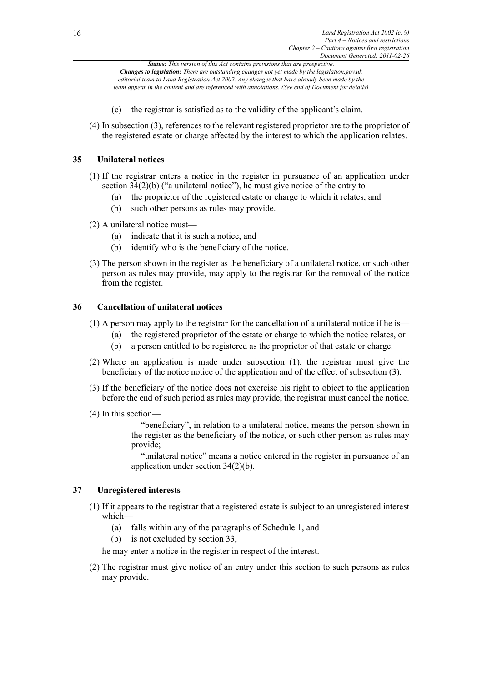- (c) the registrar is satisfied as to the validity of the applicant's claim.
- (4) In subsection (3), references to the relevant registered proprietor are to the proprietor of the registered estate or charge affected by the interest to which the application relates.

## **35 Unilateral notices**

- (1) If the registrar enters a notice in the register in pursuance of an application under section  $34(2)(b)$  ("a unilateral notice"), he must give notice of the entry to—
	- (a) the proprietor of the registered estate or charge to which it relates, and
	- (b) such other persons as rules may provide.
- (2) A unilateral notice must—
	- (a) indicate that it is such a notice, and
	- (b) identify who is the beneficiary of the notice.
- (3) The person shown in the register as the beneficiary of a unilateral notice, or such other person as rules may provide, may apply to the registrar for the removal of the notice from the register.

## **36 Cancellation of unilateral notices**

- (1) A person may apply to the registrar for the cancellation of a unilateral notice if he is—
	- (a) the registered proprietor of the estate or charge to which the notice relates, or
	- (b) a person entitled to be registered as the proprietor of that estate or charge.
- (2) Where an application is made under subsection (1), the registrar must give the beneficiary of the notice notice of the application and of the effect of subsection (3).
- (3) If the beneficiary of the notice does not exercise his right to object to the application before the end of such period as rules may provide, the registrar must cancel the notice.
- (4) In this section—

"beneficiary", in relation to a unilateral notice, means the person shown in the register as the beneficiary of the notice, or such other person as rules may provide;

"unilateral notice" means a notice entered in the register in pursuance of an application under section 34(2)(b).

## **37 Unregistered interests**

- (1) If it appears to the registrar that a registered estate is subject to an unregistered interest which—
	- (a) falls within any of the paragraphs of Schedule 1, and
	- (b) is not excluded by section 33,

he may enter a notice in the register in respect of the interest.

(2) The registrar must give notice of an entry under this section to such persons as rules may provide.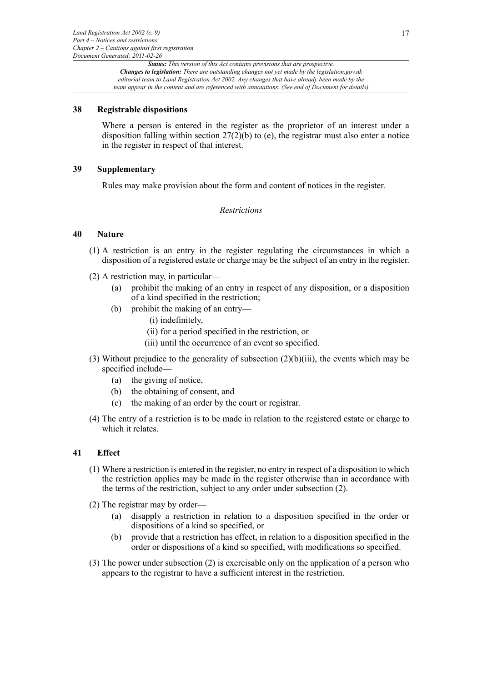#### **38 Registrable dispositions**

Where a person is entered in the register as the proprietor of an interest under a disposition falling within section  $27(2)(b)$  to (e), the registrar must also enter a notice in the register in respect of that interest.

#### **39 Supplementary**

Rules may make provision about the form and content of notices in the register.

#### *Restrictions*

## **40 Nature**

- (1) A restriction is an entry in the register regulating the circumstances in which a disposition of a registered estate or charge may be the subject of an entry in the register.
- (2) A restriction may, in particular—
	- (a) prohibit the making of an entry in respect of any disposition, or a disposition of a kind specified in the restriction;
	- (b) prohibit the making of an entry—
		- (i) indefinitely,
		- (ii) for a period specified in the restriction, or
		- (iii) until the occurrence of an event so specified.
- (3) Without prejudice to the generality of subsection  $(2)(b)(iii)$ , the events which may be specified include—
	- (a) the giving of notice,
	- (b) the obtaining of consent, and
	- (c) the making of an order by the court or registrar.
- (4) The entry of a restriction is to be made in relation to the registered estate or charge to which it relates.

## **41 Effect**

- (1) Where a restriction is entered in the register, no entry in respect of a disposition to which the restriction applies may be made in the register otherwise than in accordance with the terms of the restriction, subject to any order under subsection (2).
- (2) The registrar may by order—
	- (a) disapply a restriction in relation to a disposition specified in the order or dispositions of a kind so specified, or
	- (b) provide that a restriction has effect, in relation to a disposition specified in the order or dispositions of a kind so specified, with modifications so specified.
- (3) The power under subsection (2) is exercisable only on the application of a person who appears to the registrar to have a sufficient interest in the restriction.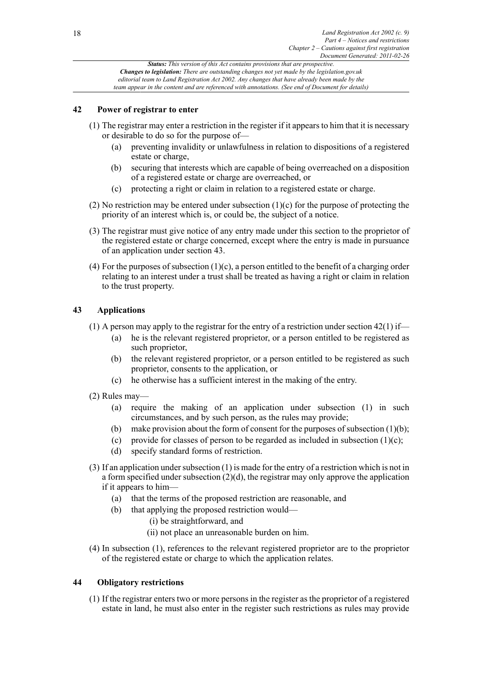# **42 Power of registrar to enter**

- (1) The registrar may enter a restriction in the register if it appears to him that it is necessary or desirable to do so for the purpose of—
	- (a) preventing invalidity or unlawfulness in relation to dispositions of a registered estate or charge,
	- (b) securing that interests which are capable of being overreached on a disposition of a registered estate or charge are overreached, or
	- (c) protecting a right or claim in relation to a registered estate or charge.
- (2) No restriction may be entered under subsection (1)(c) for the purpose of protecting the priority of an interest which is, or could be, the subject of a notice.
- (3) The registrar must give notice of any entry made under this section to the proprietor of the registered estate or charge concerned, except where the entry is made in pursuance of an application under section 43.
- (4) For the purposes of subsection  $(1)(c)$ , a person entitled to the benefit of a charging order relating to an interest under a trust shall be treated as having a right or claim in relation to the trust property.

# **43 Applications**

- (1) A person may apply to the registrar for the entry of a restriction under section  $42(1)$  if—
	- (a) he is the relevant registered proprietor, or a person entitled to be registered as such proprietor,
	- (b) the relevant registered proprietor, or a person entitled to be registered as such proprietor, consents to the application, or
	- (c) he otherwise has a sufficient interest in the making of the entry.
- (2) Rules may—
	- (a) require the making of an application under subsection (1) in such circumstances, and by such person, as the rules may provide;
	- (b) make provision about the form of consent for the purposes of subsection  $(1)(b)$ ;
	- (c) provide for classes of person to be regarded as included in subsection  $(1)(c)$ ;
	- (d) specify standard forms of restriction.
- (3) If an application under subsection (1) is made for the entry of a restriction which is not in a form specified under subsection  $(2)(d)$ , the registrar may only approve the application if it appears to him—
	- (a) that the terms of the proposed restriction are reasonable, and
	- (b) that applying the proposed restriction would—
		- (i) be straightforward, and
		- (ii) not place an unreasonable burden on him.
- (4) In subsection (1), references to the relevant registered proprietor are to the proprietor of the registered estate or charge to which the application relates.

# **44 Obligatory restrictions**

(1) If the registrar enters two or more persons in the register as the proprietor of a registered estate in land, he must also enter in the register such restrictions as rules may provide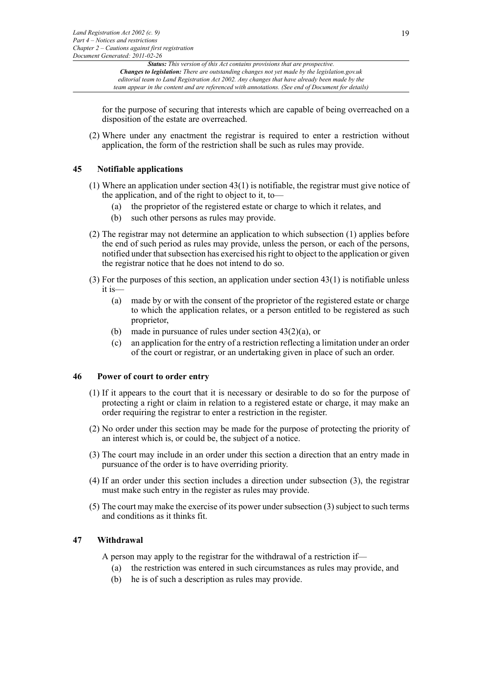for the purpose of securing that interests which are capable of being overreached on a disposition of the estate are overreached.

(2) Where under any enactment the registrar is required to enter a restriction without application, the form of the restriction shall be such as rules may provide.

# **45 Notifiable applications**

- (1) Where an application under section 43(1) is notifiable, the registrar must give notice of the application, and of the right to object to it, to—
	- (a) the proprietor of the registered estate or charge to which it relates, and
	- (b) such other persons as rules may provide.
- (2) The registrar may not determine an application to which subsection (1) applies before the end of such period as rules may provide, unless the person, or each of the persons, notified under that subsection has exercised his right to object to the application or given the registrar notice that he does not intend to do so.
- (3) For the purposes of this section, an application under section  $43(1)$  is notifiable unless it is—
	- (a) made by or with the consent of the proprietor of the registered estate or charge to which the application relates, or a person entitled to be registered as such proprietor,
	- (b) made in pursuance of rules under section 43(2)(a), or
	- (c) an application for the entry of a restriction reflecting a limitation under an order of the court or registrar, or an undertaking given in place of such an order.

## **46 Power of court to order entry**

- (1) If it appears to the court that it is necessary or desirable to do so for the purpose of protecting a right or claim in relation to a registered estate or charge, it may make an order requiring the registrar to enter a restriction in the register.
- (2) No order under this section may be made for the purpose of protecting the priority of an interest which is, or could be, the subject of a notice.
- (3) The court may include in an order under this section a direction that an entry made in pursuance of the order is to have overriding priority.
- (4) If an order under this section includes a direction under subsection (3), the registrar must make such entry in the register as rules may provide.
- (5) The court may make the exercise of its power under subsection (3) subject to such terms and conditions as it thinks fit.

# **47 Withdrawal**

A person may apply to the registrar for the withdrawal of a restriction if—

- (a) the restriction was entered in such circumstances as rules may provide, and
- (b) he is of such a description as rules may provide.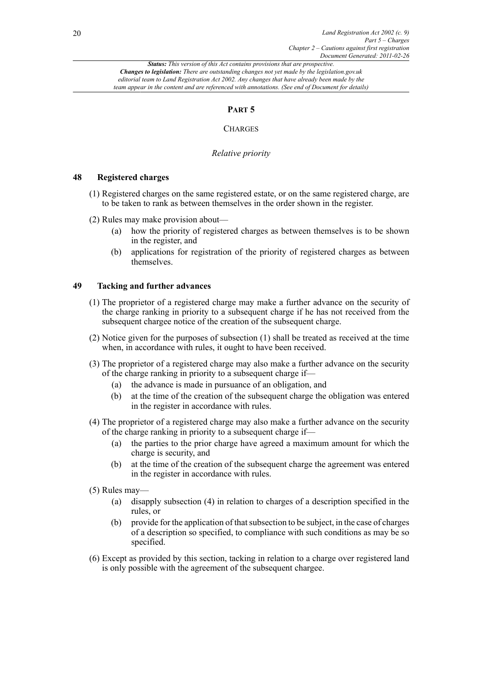# **PART 5**

## **CHARGES**

## *Relative priority*

# **48 Registered charges**

- (1) Registered charges on the same registered estate, or on the same registered charge, are to be taken to rank as between themselves in the order shown in the register.
- (2) Rules may make provision about—
	- (a) how the priority of registered charges as between themselves is to be shown in the register, and
	- (b) applications for registration of the priority of registered charges as between themselves.

# **49 Tacking and further advances**

- (1) The proprietor of a registered charge may make a further advance on the security of the charge ranking in priority to a subsequent charge if he has not received from the subsequent chargee notice of the creation of the subsequent charge.
- (2) Notice given for the purposes of subsection (1) shall be treated as received at the time when, in accordance with rules, it ought to have been received.
- (3) The proprietor of a registered charge may also make a further advance on the security of the charge ranking in priority to a subsequent charge if—
	- (a) the advance is made in pursuance of an obligation, and
	- (b) at the time of the creation of the subsequent charge the obligation was entered in the register in accordance with rules.
- (4) The proprietor of a registered charge may also make a further advance on the security of the charge ranking in priority to a subsequent charge if—
	- (a) the parties to the prior charge have agreed a maximum amount for which the charge is security, and
	- (b) at the time of the creation of the subsequent charge the agreement was entered in the register in accordance with rules.
- (5) Rules may—
	- (a) disapply subsection (4) in relation to charges of a description specified in the rules, or
	- (b) provide for the application of that subsection to be subject, in the case of charges of a description so specified, to compliance with such conditions as may be so specified.
- (6) Except as provided by this section, tacking in relation to a charge over registered land is only possible with the agreement of the subsequent chargee.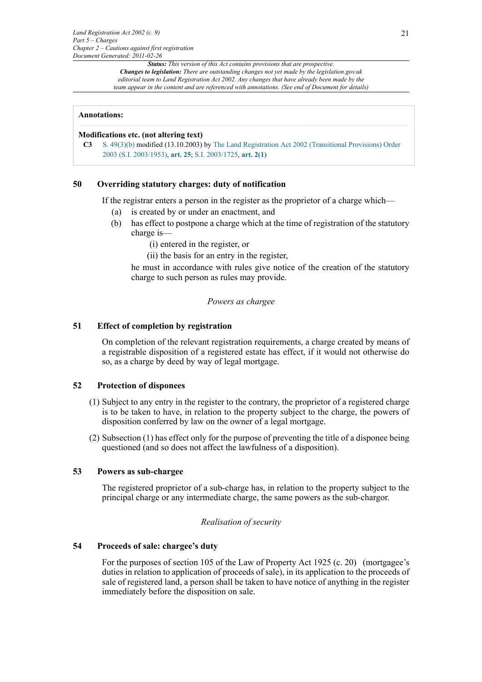#### **Annotations:**

#### **Modifications etc. (not altering text)**

**C3** [S. 49\(3\)\(b\)](http://www.legislation.gov.uk/id/ukpga/2002/9/section/49/3/b) modified (13.10.2003) by [The Land Registration Act 2002 \(Transitional Provisions\) Order](http://www.legislation.gov.uk/id/uksi/2003/1953) [2003 \(S.I. 2003/1953\)](http://www.legislation.gov.uk/id/uksi/2003/1953), **[art. 25](http://www.legislation.gov.uk/id/uksi/2003/1953/article/25)**; [S.I. 2003/1725,](http://www.legislation.gov.uk/id/uksi/2003/1725) **[art. 2\(1\)](http://www.legislation.gov.uk/id/uksi/2003/1725/article/2/1)**

#### **50 Overriding statutory charges: duty of notification**

If the registrar enters a person in the register as the proprietor of a charge which—

- (a) is created by or under an enactment, and
- (b) has effect to postpone a charge which at the time of registration of the statutory charge is—
	- (i) entered in the register, or
	- (ii) the basis for an entry in the register,

he must in accordance with rules give notice of the creation of the statutory charge to such person as rules may provide.

#### *Powers as chargee*

# **51 Effect of completion by registration**

On completion of the relevant registration requirements, a charge created by means of a registrable disposition of a registered estate has effect, if it would not otherwise do so, as a charge by deed by way of legal mortgage.

# **52 Protection of disponees**

- (1) Subject to any entry in the register to the contrary, the proprietor of a registered charge is to be taken to have, in relation to the property subject to the charge, the powers of disposition conferred by law on the owner of a legal mortgage.
- (2) Subsection (1) has effect only for the purpose of preventing the title of a disponee being questioned (and so does not affect the lawfulness of a disposition).

#### **53 Powers as sub-chargee**

The registered proprietor of a sub-charge has, in relation to the property subject to the principal charge or any intermediate charge, the same powers as the sub-chargor.

#### *Realisation of security*

# **54 Proceeds of sale: chargee's duty**

For the purposes of section 105 of the Law of Property Act 1925 (c. 20) (mortgagee's duties in relation to application of proceeds of sale), in its application to the proceeds of sale of registered land, a person shall be taken to have notice of anything in the register immediately before the disposition on sale.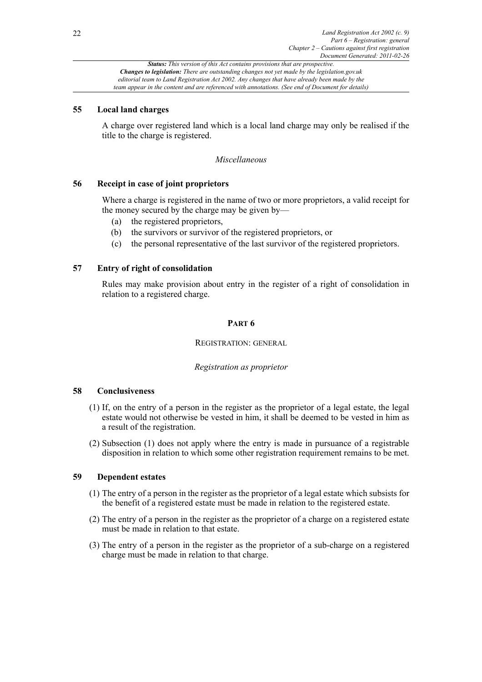# **55 Local land charges**

A charge over registered land which is a local land charge may only be realised if the title to the charge is registered.

#### *Miscellaneous*

## **56 Receipt in case of joint proprietors**

Where a charge is registered in the name of two or more proprietors, a valid receipt for the money secured by the charge may be given by—

- (a) the registered proprietors,
- (b) the survivors or survivor of the registered proprietors, or
- (c) the personal representative of the last survivor of the registered proprietors.

# **57 Entry of right of consolidation**

Rules may make provision about entry in the register of a right of consolidation in relation to a registered charge.

## **PART 6**

## REGISTRATION: GENERAL

## *Registration as proprietor*

## **58 Conclusiveness**

- (1) If, on the entry of a person in the register as the proprietor of a legal estate, the legal estate would not otherwise be vested in him, it shall be deemed to be vested in him as a result of the registration.
- (2) Subsection (1) does not apply where the entry is made in pursuance of a registrable disposition in relation to which some other registration requirement remains to be met.

# **59 Dependent estates**

- (1) The entry of a person in the register as the proprietor of a legal estate which subsists for the benefit of a registered estate must be made in relation to the registered estate.
- (2) The entry of a person in the register as the proprietor of a charge on a registered estate must be made in relation to that estate.
- (3) The entry of a person in the register as the proprietor of a sub-charge on a registered charge must be made in relation to that charge.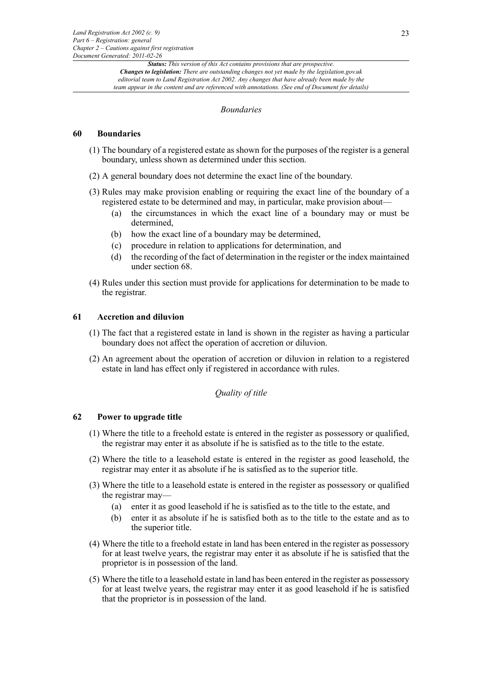#### *Boundaries*

#### **60 Boundaries**

- (1) The boundary of a registered estate as shown for the purposes of the register is a general boundary, unless shown as determined under this section.
- (2) A general boundary does not determine the exact line of the boundary.
- (3) Rules may make provision enabling or requiring the exact line of the boundary of a registered estate to be determined and may, in particular, make provision about—
	- (a) the circumstances in which the exact line of a boundary may or must be determined,
	- (b) how the exact line of a boundary may be determined,
	- (c) procedure in relation to applications for determination, and
	- (d) the recording of the fact of determination in the register or the index maintained under section 68.
- (4) Rules under this section must provide for applications for determination to be made to the registrar.

# **61 Accretion and diluvion**

- (1) The fact that a registered estate in land is shown in the register as having a particular boundary does not affect the operation of accretion or diluvion.
- (2) An agreement about the operation of accretion or diluvion in relation to a registered estate in land has effect only if registered in accordance with rules.

## *Quality of title*

#### **62 Power to upgrade title**

- (1) Where the title to a freehold estate is entered in the register as possessory or qualified, the registrar may enter it as absolute if he is satisfied as to the title to the estate.
- (2) Where the title to a leasehold estate is entered in the register as good leasehold, the registrar may enter it as absolute if he is satisfied as to the superior title.
- (3) Where the title to a leasehold estate is entered in the register as possessory or qualified the registrar may—
	- (a) enter it as good leasehold if he is satisfied as to the title to the estate, and
	- (b) enter it as absolute if he is satisfied both as to the title to the estate and as to the superior title.
- (4) Where the title to a freehold estate in land has been entered in the register as possessory for at least twelve years, the registrar may enter it as absolute if he is satisfied that the proprietor is in possession of the land.
- (5) Where the title to a leasehold estate in land has been entered in the register as possessory for at least twelve years, the registrar may enter it as good leasehold if he is satisfied that the proprietor is in possession of the land.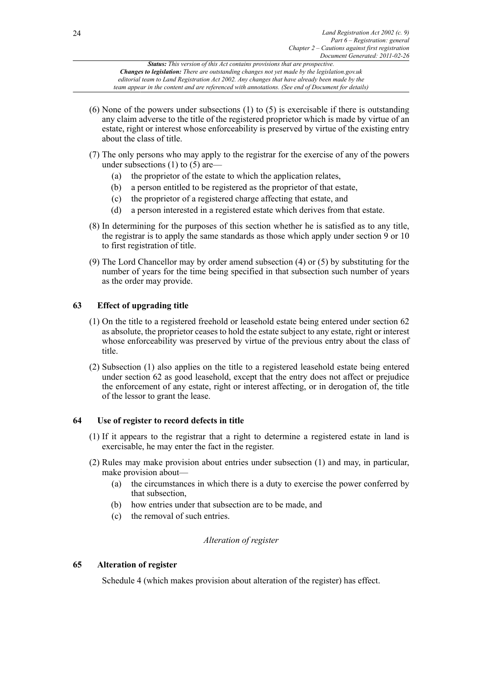- (6) None of the powers under subsections (1) to (5) is exercisable if there is outstanding any claim adverse to the title of the registered proprietor which is made by virtue of an estate, right or interest whose enforceability is preserved by virtue of the existing entry about the class of title.
- (7) The only persons who may apply to the registrar for the exercise of any of the powers under subsections (1) to (5) are—
	- (a) the proprietor of the estate to which the application relates,
	- (b) a person entitled to be registered as the proprietor of that estate,
	- (c) the proprietor of a registered charge affecting that estate, and
	- (d) a person interested in a registered estate which derives from that estate.
- (8) In determining for the purposes of this section whether he is satisfied as to any title, the registrar is to apply the same standards as those which apply under section 9 or 10 to first registration of title.
- (9) The Lord Chancellor may by order amend subsection (4) or (5) by substituting for the number of years for the time being specified in that subsection such number of years as the order may provide.

# **63 Effect of upgrading title**

- (1) On the title to a registered freehold or leasehold estate being entered under section 62 as absolute, the proprietor ceases to hold the estate subject to any estate, right or interest whose enforceability was preserved by virtue of the previous entry about the class of title.
- (2) Subsection (1) also applies on the title to a registered leasehold estate being entered under section 62 as good leasehold, except that the entry does not affect or prejudice the enforcement of any estate, right or interest affecting, or in derogation of, the title of the lessor to grant the lease.

## **64 Use of register to record defects in title**

- (1) If it appears to the registrar that a right to determine a registered estate in land is exercisable, he may enter the fact in the register.
- (2) Rules may make provision about entries under subsection (1) and may, in particular, make provision about—
	- (a) the circumstances in which there is a duty to exercise the power conferred by that subsection,
	- (b) how entries under that subsection are to be made, and
	- (c) the removal of such entries.

## *Alteration of register*

## **65 Alteration of register**

Schedule 4 (which makes provision about alteration of the register) has effect.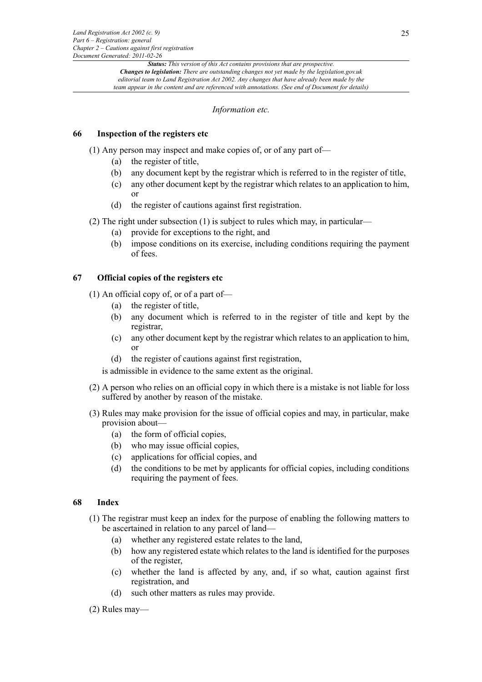## *Information etc.*

#### **66 Inspection of the registers etc**

- (1) Any person may inspect and make copies of, or of any part of—
	- (a) the register of title,
	- (b) any document kept by the registrar which is referred to in the register of title,
	- (c) any other document kept by the registrar which relates to an application to him, or
	- (d) the register of cautions against first registration.
- (2) The right under subsection (1) is subject to rules which may, in particular—
	- (a) provide for exceptions to the right, and
	- (b) impose conditions on its exercise, including conditions requiring the payment of fees.

#### **67 Official copies of the registers etc**

- (1) An official copy of, or of a part of—
	- (a) the register of title,
	- (b) any document which is referred to in the register of title and kept by the registrar,
	- (c) any other document kept by the registrar which relates to an application to him, or
	- (d) the register of cautions against first registration,

is admissible in evidence to the same extent as the original.

- (2) A person who relies on an official copy in which there is a mistake is not liable for loss suffered by another by reason of the mistake.
- (3) Rules may make provision for the issue of official copies and may, in particular, make provision about—
	- (a) the form of official copies,
	- (b) who may issue official copies,
	- (c) applications for official copies, and
	- (d) the conditions to be met by applicants for official copies, including conditions requiring the payment of fees.

#### **68 Index**

- (1) The registrar must keep an index for the purpose of enabling the following matters to be ascertained in relation to any parcel of land—
	- (a) whether any registered estate relates to the land,
	- (b) how any registered estate which relates to the land is identified for the purposes of the register,
	- (c) whether the land is affected by any, and, if so what, caution against first registration, and
	- (d) such other matters as rules may provide.
- (2) Rules may—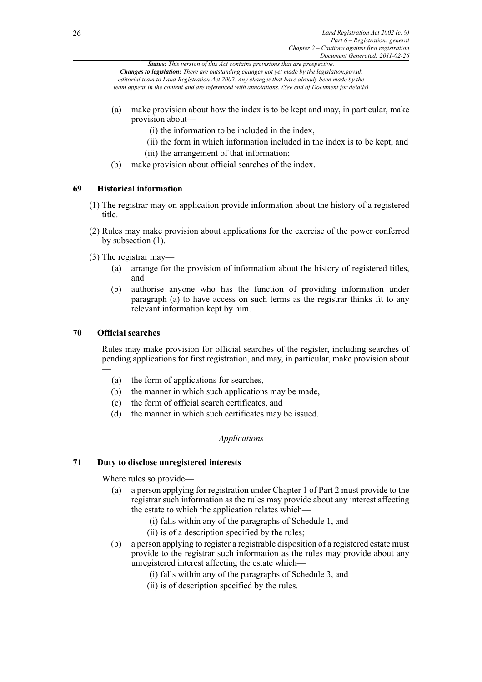- (a) make provision about how the index is to be kept and may, in particular, make provision about—
	- (i) the information to be included in the index,
	- (ii) the form in which information included in the index is to be kept, and
	- (iii) the arrangement of that information;
- (b) make provision about official searches of the index.

# **69 Historical information**

- (1) The registrar may on application provide information about the history of a registered title.
- (2) Rules may make provision about applications for the exercise of the power conferred by subsection (1).
- (3) The registrar may—
	- (a) arrange for the provision of information about the history of registered titles, and
	- (b) authorise anyone who has the function of providing information under paragraph (a) to have access on such terms as the registrar thinks fit to any relevant information kept by him.

# **70 Official searches**

Rules may make provision for official searches of the register, including searches of pending applications for first registration, and may, in particular, make provision about —

- (a) the form of applications for searches,
- (b) the manner in which such applications may be made,
- (c) the form of official search certificates, and
- (d) the manner in which such certificates may be issued.

# *Applications*

## **71 Duty to disclose unregistered interests**

Where rules so provide—

- (a) a person applying for registration under Chapter 1 of Part 2 must provide to the registrar such information as the rules may provide about any interest affecting the estate to which the application relates which—
	- (i) falls within any of the paragraphs of Schedule 1, and
	- (ii) is of a description specified by the rules;
- (b) a person applying to register a registrable disposition of a registered estate must provide to the registrar such information as the rules may provide about any unregistered interest affecting the estate which—
	- (i) falls within any of the paragraphs of Schedule 3, and
	- (ii) is of description specified by the rules.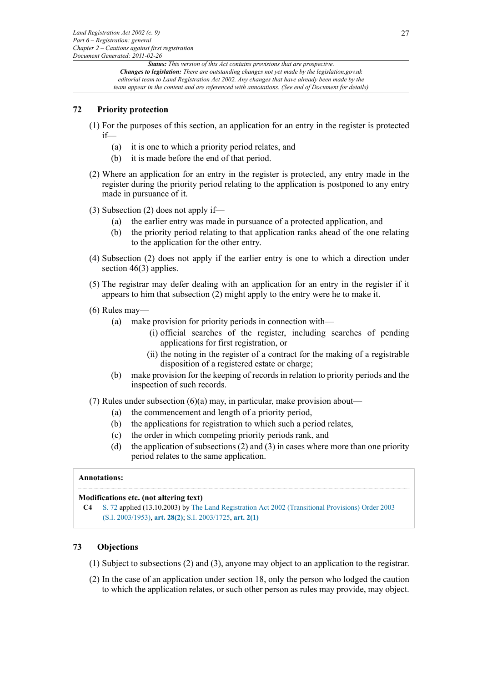# **72 Priority protection**

- (1) For the purposes of this section, an application for an entry in the register is protected if—
	- (a) it is one to which a priority period relates, and
	- (b) it is made before the end of that period.
- (2) Where an application for an entry in the register is protected, any entry made in the register during the priority period relating to the application is postponed to any entry made in pursuance of it.
- $(3)$  Subsection  $(2)$  does not apply if—
	- (a) the earlier entry was made in pursuance of a protected application, and
	- (b) the priority period relating to that application ranks ahead of the one relating to the application for the other entry.
- (4) Subsection (2) does not apply if the earlier entry is one to which a direction under section 46(3) applies.
- (5) The registrar may defer dealing with an application for an entry in the register if it appears to him that subsection (2) might apply to the entry were he to make it.
- (6) Rules may—
	- (a) make provision for priority periods in connection with—
		- (i) official searches of the register, including searches of pending applications for first registration, or
		- (ii) the noting in the register of a contract for the making of a registrable disposition of a registered estate or charge;
	- (b) make provision for the keeping of records in relation to priority periods and the inspection of such records.
- (7) Rules under subsection (6)(a) may, in particular, make provision about—
	- (a) the commencement and length of a priority period,
	- (b) the applications for registration to which such a period relates,
	- (c) the order in which competing priority periods rank, and
	- (d) the application of subsections (2) and (3) in cases where more than one priority period relates to the same application.

#### **Annotations:**

#### **Modifications etc. (not altering text)**

```
C4 S. 72 applied (13.10.2003) by The Land Registration Act 2002 (Transitional Provisions) Order 2003
(S.I. 2003/1953), art. 28(2); S.I. 2003/1725, art. 2(1)
```
# **73 Objections**

- (1) Subject to subsections (2) and (3), anyone may object to an application to the registrar.
- (2) In the case of an application under section 18, only the person who lodged the caution to which the application relates, or such other person as rules may provide, may object.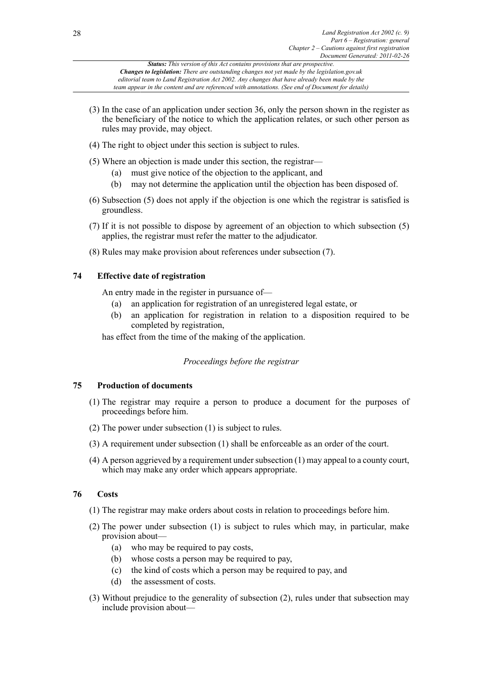- (3) In the case of an application under section 36, only the person shown in the register as the beneficiary of the notice to which the application relates, or such other person as rules may provide, may object.
- (4) The right to object under this section is subject to rules.
- (5) Where an objection is made under this section, the registrar—
	- (a) must give notice of the objection to the applicant, and
	- (b) may not determine the application until the objection has been disposed of.
- (6) Subsection (5) does not apply if the objection is one which the registrar is satisfied is groundless.
- (7) If it is not possible to dispose by agreement of an objection to which subsection (5) applies, the registrar must refer the matter to the adjudicator.
- (8) Rules may make provision about references under subsection (7).

# **74 Effective date of registration**

An entry made in the register in pursuance of—

- (a) an application for registration of an unregistered legal estate, or
- (b) an application for registration in relation to a disposition required to be completed by registration,

has effect from the time of the making of the application.

## *Proceedings before the registrar*

# **75 Production of documents**

- (1) The registrar may require a person to produce a document for the purposes of proceedings before him.
- (2) The power under subsection (1) is subject to rules.
- (3) A requirement under subsection (1) shall be enforceable as an order of the court.
- (4) A person aggrieved by a requirement under subsection (1) may appeal to a county court, which may make any order which appears appropriate.

## **76 Costs**

- (1) The registrar may make orders about costs in relation to proceedings before him.
- (2) The power under subsection (1) is subject to rules which may, in particular, make provision about—
	- (a) who may be required to pay costs,
	- (b) whose costs a person may be required to pay,
	- (c) the kind of costs which a person may be required to pay, and
	- (d) the assessment of costs.
- (3) Without prejudice to the generality of subsection (2), rules under that subsection may include provision about—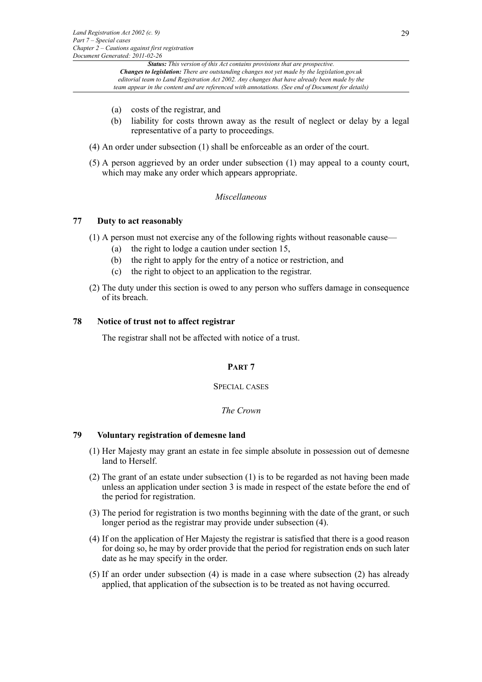- (a) costs of the registrar, and
- (b) liability for costs thrown away as the result of neglect or delay by a legal representative of a party to proceedings.
- (4) An order under subsection (1) shall be enforceable as an order of the court.
- (5) A person aggrieved by an order under subsection (1) may appeal to a county court, which may make any order which appears appropriate.

#### *Miscellaneous*

## **77 Duty to act reasonably**

- (1) A person must not exercise any of the following rights without reasonable cause—
	- (a) the right to lodge a caution under section 15,
	- (b) the right to apply for the entry of a notice or restriction, and
	- (c) the right to object to an application to the registrar.
- (2) The duty under this section is owed to any person who suffers damage in consequence of its breach.

#### **78 Notice of trust not to affect registrar**

The registrar shall not be affected with notice of a trust.

# **PART 7**

## SPECIAL CASES

## *The Crown*

## **79 Voluntary registration of demesne land**

- (1) Her Majesty may grant an estate in fee simple absolute in possession out of demesne land to Herself.
- (2) The grant of an estate under subsection (1) is to be regarded as not having been made unless an application under section 3 is made in respect of the estate before the end of the period for registration.
- (3) The period for registration is two months beginning with the date of the grant, or such longer period as the registrar may provide under subsection (4).
- (4) If on the application of Her Majesty the registrar is satisfied that there is a good reason for doing so, he may by order provide that the period for registration ends on such later date as he may specify in the order.
- (5) If an order under subsection (4) is made in a case where subsection (2) has already applied, that application of the subsection is to be treated as not having occurred.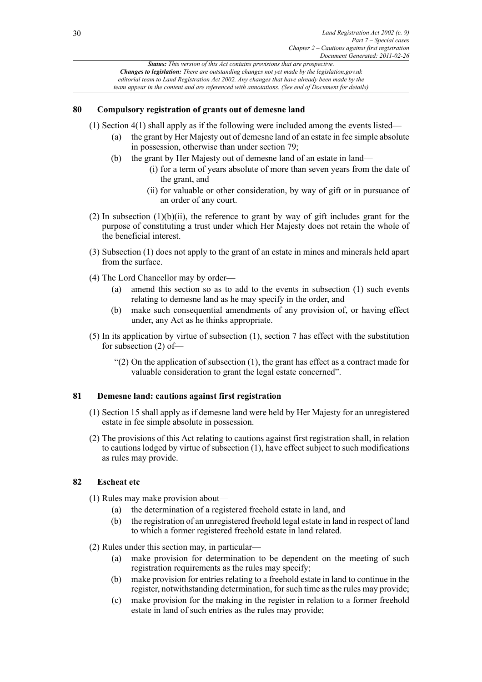# **80 Compulsory registration of grants out of demesne land**

- (1) Section 4(1) shall apply as if the following were included among the events listed—
	- (a) the grant by Her Majesty out of demesne land of an estate in fee simple absolute in possession, otherwise than under section 79;
	- (b) the grant by Her Majesty out of demesne land of an estate in land—
		- (i) for a term of years absolute of more than seven years from the date of the grant, and
		- (ii) for valuable or other consideration, by way of gift or in pursuance of an order of any court.
- (2) In subsection  $(1)(b)(ii)$ , the reference to grant by way of gift includes grant for the purpose of constituting a trust under which Her Majesty does not retain the whole of the beneficial interest.
- (3) Subsection (1) does not apply to the grant of an estate in mines and minerals held apart from the surface.
- (4) The Lord Chancellor may by order—
	- (a) amend this section so as to add to the events in subsection (1) such events relating to demesne land as he may specify in the order, and
	- (b) make such consequential amendments of any provision of, or having effect under, any Act as he thinks appropriate.
- (5) In its application by virtue of subsection (1), section 7 has effect with the substitution for subsection (2) of—
	- $(2)$  On the application of subsection  $(1)$ , the grant has effect as a contract made for valuable consideration to grant the legal estate concerned".

# **81 Demesne land: cautions against first registration**

- (1) Section 15 shall apply as if demesne land were held by Her Majesty for an unregistered estate in fee simple absolute in possession.
- (2) The provisions of this Act relating to cautions against first registration shall, in relation to cautions lodged by virtue of subsection (1), have effect subject to such modifications as rules may provide.

# **82 Escheat etc**

- (1) Rules may make provision about—
	- (a) the determination of a registered freehold estate in land, and
	- (b) the registration of an unregistered freehold legal estate in land in respect of land to which a former registered freehold estate in land related.
- (2) Rules under this section may, in particular—
	- (a) make provision for determination to be dependent on the meeting of such registration requirements as the rules may specify;
	- (b) make provision for entries relating to a freehold estate in land to continue in the register, notwithstanding determination, for such time as the rules may provide;
	- (c) make provision for the making in the register in relation to a former freehold estate in land of such entries as the rules may provide;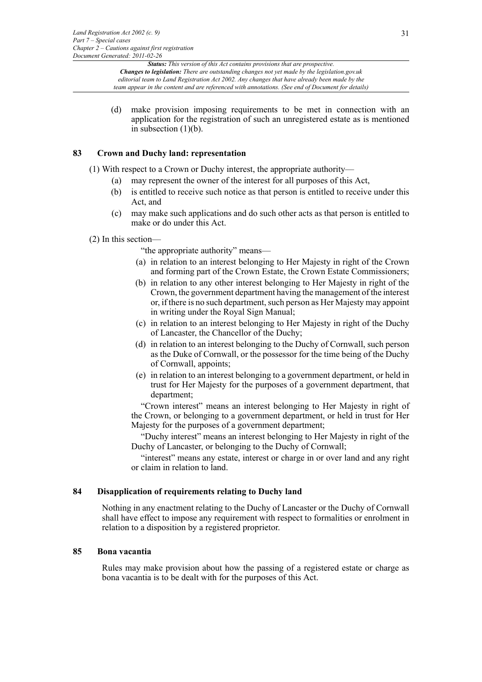(d) make provision imposing requirements to be met in connection with an application for the registration of such an unregistered estate as is mentioned in subsection  $(1)(b)$ .

## **83 Crown and Duchy land: representation**

(1) With respect to a Crown or Duchy interest, the appropriate authority—

- (a) may represent the owner of the interest for all purposes of this Act,
- (b) is entitled to receive such notice as that person is entitled to receive under this Act, and
- (c) may make such applications and do such other acts as that person is entitled to make or do under this Act.
- (2) In this section—

"the appropriate authority" means—

- (a) in relation to an interest belonging to Her Majesty in right of the Crown and forming part of the Crown Estate, the Crown Estate Commissioners;
- (b) in relation to any other interest belonging to Her Majesty in right of the Crown, the government department having the management of the interest or, if there is no such department, such person as Her Majesty may appoint in writing under the Royal Sign Manual;
- (c) in relation to an interest belonging to Her Majesty in right of the Duchy of Lancaster, the Chancellor of the Duchy;
- (d) in relation to an interest belonging to the Duchy of Cornwall, such person as the Duke of Cornwall, or the possessor for the time being of the Duchy of Cornwall, appoints;
- (e) in relation to an interest belonging to a government department, or held in trust for Her Majesty for the purposes of a government department, that department;

"Crown interest" means an interest belonging to Her Majesty in right of the Crown, or belonging to a government department, or held in trust for Her Majesty for the purposes of a government department;

"Duchy interest" means an interest belonging to Her Majesty in right of the Duchy of Lancaster, or belonging to the Duchy of Cornwall;

"interest" means any estate, interest or charge in or over land and any right or claim in relation to land.

# **84 Disapplication of requirements relating to Duchy land**

Nothing in any enactment relating to the Duchy of Lancaster or the Duchy of Cornwall shall have effect to impose any requirement with respect to formalities or enrolment in relation to a disposition by a registered proprietor.

#### **85 Bona vacantia**

Rules may make provision about how the passing of a registered estate or charge as bona vacantia is to be dealt with for the purposes of this Act.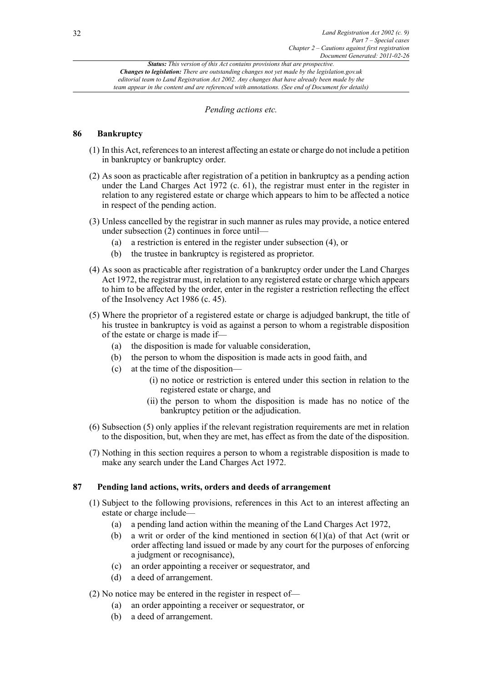*Pending actions etc.*

# **86 Bankruptcy**

- (1) In this Act, references to an interest affecting an estate or charge do not include a petition in bankruptcy or bankruptcy order.
- (2) As soon as practicable after registration of a petition in bankruptcy as a pending action under the Land Charges Act 1972 (c. 61), the registrar must enter in the register in relation to any registered estate or charge which appears to him to be affected a notice in respect of the pending action.
- (3) Unless cancelled by the registrar in such manner as rules may provide, a notice entered under subsection (2) continues in force until—
	- (a) a restriction is entered in the register under subsection (4), or
	- (b) the trustee in bankruptcy is registered as proprietor.
- (4) As soon as practicable after registration of a bankruptcy order under the Land Charges Act 1972, the registrar must, in relation to any registered estate or charge which appears to him to be affected by the order, enter in the register a restriction reflecting the effect of the Insolvency Act 1986 (c. 45).
- (5) Where the proprietor of a registered estate or charge is adjudged bankrupt, the title of his trustee in bankruptcy is void as against a person to whom a registrable disposition of the estate or charge is made if—
	- (a) the disposition is made for valuable consideration,
	- (b) the person to whom the disposition is made acts in good faith, and
	- (c) at the time of the disposition—
		- (i) no notice or restriction is entered under this section in relation to the registered estate or charge, and
		- (ii) the person to whom the disposition is made has no notice of the bankruptcy petition or the adjudication.
- (6) Subsection (5) only applies if the relevant registration requirements are met in relation to the disposition, but, when they are met, has effect as from the date of the disposition.
- (7) Nothing in this section requires a person to whom a registrable disposition is made to make any search under the Land Charges Act 1972.

## **87 Pending land actions, writs, orders and deeds of arrangement**

- (1) Subject to the following provisions, references in this Act to an interest affecting an estate or charge include—
	- (a) a pending land action within the meaning of the Land Charges Act 1972,
	- (b) a writ or order of the kind mentioned in section  $6(1)(a)$  of that Act (writ or order affecting land issued or made by any court for the purposes of enforcing a judgment or recognisance),
	- (c) an order appointing a receiver or sequestrator, and
	- (d) a deed of arrangement.
- (2) No notice may be entered in the register in respect of—
	- (a) an order appointing a receiver or sequestrator, or
	- (b) a deed of arrangement.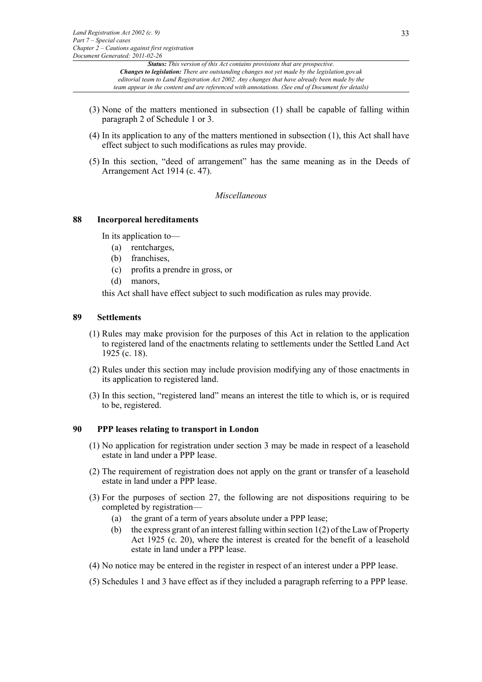- (3) None of the matters mentioned in subsection (1) shall be capable of falling within paragraph 2 of Schedule 1 or 3.
- (4) In its application to any of the matters mentioned in subsection (1), this Act shall have effect subject to such modifications as rules may provide.
- (5) In this section, "deed of arrangement" has the same meaning as in the Deeds of Arrangement Act 1914 (c. 47).

## *Miscellaneous*

# **88 Incorporeal hereditaments**

In its application to—

- (a) rentcharges,
- (b) franchises,
- (c) profits a prendre in gross, or
- (d) manors,

this Act shall have effect subject to such modification as rules may provide.

# **89 Settlements**

- (1) Rules may make provision for the purposes of this Act in relation to the application to registered land of the enactments relating to settlements under the Settled Land Act 1925 (c. 18).
- (2) Rules under this section may include provision modifying any of those enactments in its application to registered land.
- (3) In this section, "registered land" means an interest the title to which is, or is required to be, registered.

# **90 PPP leases relating to transport in London**

- (1) No application for registration under section 3 may be made in respect of a leasehold estate in land under a PPP lease.
- (2) The requirement of registration does not apply on the grant or transfer of a leasehold estate in land under a PPP lease.
- (3) For the purposes of section 27, the following are not dispositions requiring to be completed by registration—
	- (a) the grant of a term of years absolute under a PPP lease;
	- (b) the express grant of an interest falling within section 1(2) of the Law of Property Act 1925 (c. 20), where the interest is created for the benefit of a leasehold estate in land under a PPP lease.
- (4) No notice may be entered in the register in respect of an interest under a PPP lease.
- (5) Schedules 1 and 3 have effect as if they included a paragraph referring to a PPP lease.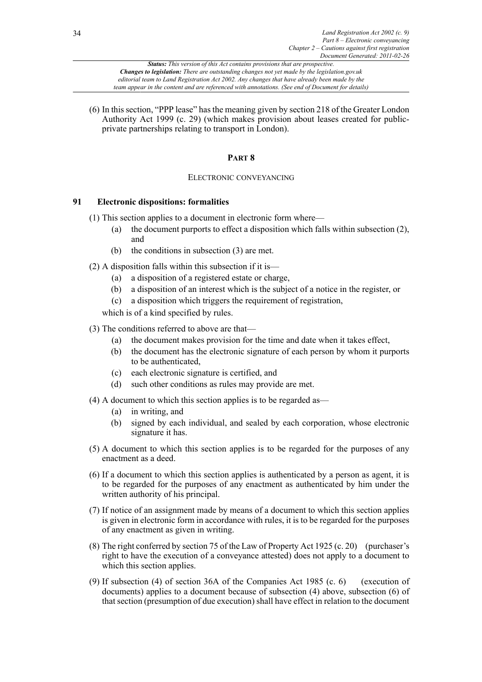(6) In this section, "PPP lease" has the meaning given by section 218 of the Greater London Authority Act 1999 (c. 29) (which makes provision about leases created for publicprivate partnerships relating to transport in London).

# **PART 8**

# ELECTRONIC CONVEYANCING

# **91 Electronic dispositions: formalities**

- (1) This section applies to a document in electronic form where—
	- (a) the document purports to effect a disposition which falls within subsection (2), and
	- (b) the conditions in subsection (3) are met.
- (2) A disposition falls within this subsection if it is—
	- (a) a disposition of a registered estate or charge,
	- (b) a disposition of an interest which is the subject of a notice in the register, or
	- (c) a disposition which triggers the requirement of registration,

which is of a kind specified by rules.

# (3) The conditions referred to above are that—

- (a) the document makes provision for the time and date when it takes effect,
- (b) the document has the electronic signature of each person by whom it purports to be authenticated,
- (c) each electronic signature is certified, and
- (d) such other conditions as rules may provide are met.
- (4) A document to which this section applies is to be regarded as—
	- (a) in writing, and
	- (b) signed by each individual, and sealed by each corporation, whose electronic signature it has.
- (5) A document to which this section applies is to be regarded for the purposes of any enactment as a deed.
- (6) If a document to which this section applies is authenticated by a person as agent, it is to be regarded for the purposes of any enactment as authenticated by him under the written authority of his principal.
- (7) If notice of an assignment made by means of a document to which this section applies is given in electronic form in accordance with rules, it is to be regarded for the purposes of any enactment as given in writing.
- (8) The right conferred by section 75 of the Law of Property Act 1925 (c. 20) (purchaser's right to have the execution of a conveyance attested) does not apply to a document to which this section applies.
- (9) If subsection (4) of section 36A of the Companies Act 1985 (c. 6) (execution of documents) applies to a document because of subsection (4) above, subsection (6) of that section (presumption of due execution) shall have effect in relation to the document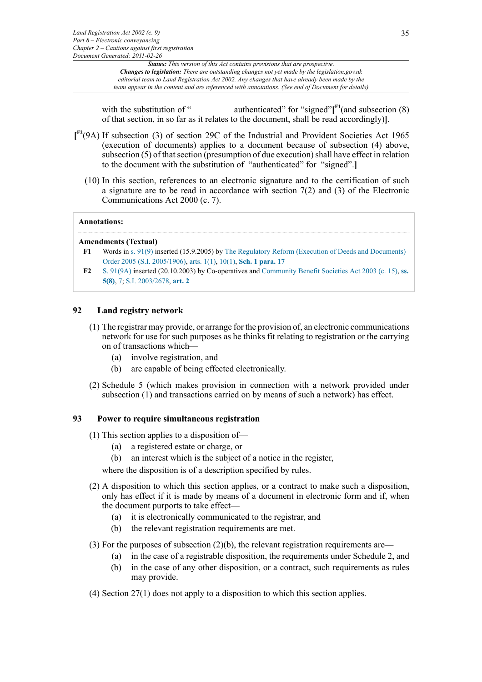<span id="page-34-2"></span>with the substitution of " $\ldots$  authenticated" for "signed" $\lceil \cdot \rceil$  (and subsection (8) of that section, in so far as it relates to the document, shall be read accordingly)**]**.

- <span id="page-34-3"></span>**[ [F2](#page-34-1)**(9A) If subsection (3) of section 29C of the Industrial and Provident Societies Act 1965 (execution of documents) applies to a document because of subsection (4) above, subsection (5) of that section (presumption of due execution) shall have effect in relation to the document with the substitution of "authenticated" for "signed".**]**
	- (10) In this section, references to an electronic signature and to the certification of such a signature are to be read in accordance with section  $7(2)$  and  $(3)$  of the Electronic Communications Act 2000 (c. 7).

#### **Annotations:**

#### **Amendments (Textual)**

- <span id="page-34-0"></span>**[F1](#page-34-2)** Words in [s. 91\(9\)](http://www.legislation.gov.uk/id/ukpga/2002/9/section/91/9) inserted (15.9.2005) by [The Regulatory Reform \(Execution of Deeds and Documents\)](http://www.legislation.gov.uk/id/uksi/2005/1906) [Order 2005 \(S.I. 2005/1906\)](http://www.legislation.gov.uk/id/uksi/2005/1906), [arts. 1\(1\)](http://www.legislation.gov.uk/id/uksi/2005/1906/article/1/1), [10\(1\)](http://www.legislation.gov.uk/id/uksi/2005/1906/article/10/1), **[Sch. 1 para. 17](http://www.legislation.gov.uk/id/uksi/2005/1906/schedule/1/paragraph/17)**
- <span id="page-34-1"></span>**[F2](#page-34-3)** [S. 91\(9A\)](http://www.legislation.gov.uk/id/ukpga/2002/9/section/91/9A) inserted (20.10.2003) by Co-operatives and [Community Benefit Societies Act 2003 \(c. 15\),](http://www.legislation.gov.uk/id/ukpga/2003/15) **[ss.](http://www.legislation.gov.uk/id/ukpga/2003/15/section/5/8) [5\(8\)](http://www.legislation.gov.uk/id/ukpga/2003/15/section/5/8)**, [7;](http://www.legislation.gov.uk/id/ukpga/2003/15/section/7) [S.I. 2003/2678,](http://www.legislation.gov.uk/id/uksi/2003/2678) **[art. 2](http://www.legislation.gov.uk/id/uksi/2003/2678/article/2)**

# **92 Land registry network**

- (1) The registrar may provide, or arrange for the provision of, an electronic communications network for use for such purposes as he thinks fit relating to registration or the carrying on of transactions which—
	- (a) involve registration, and
	- (b) are capable of being effected electronically.
- (2) Schedule 5 (which makes provision in connection with a network provided under subsection (1) and transactions carried on by means of such a network) has effect.

## **93 Power to require simultaneous registration**

- (1) This section applies to a disposition of—
	- (a) a registered estate or charge, or
	- (b) an interest which is the subject of a notice in the register,

where the disposition is of a description specified by rules.

- (2) A disposition to which this section applies, or a contract to make such a disposition, only has effect if it is made by means of a document in electronic form and if, when the document purports to take effect—
	- (a) it is electronically communicated to the registrar, and
	- (b) the relevant registration requirements are met.
- (3) For the purposes of subsection  $(2)(b)$ , the relevant registration requirements are—
	- (a) in the case of a registrable disposition, the requirements under Schedule 2, and
	- (b) in the case of any other disposition, or a contract, such requirements as rules may provide.
- (4) Section 27(1) does not apply to a disposition to which this section applies.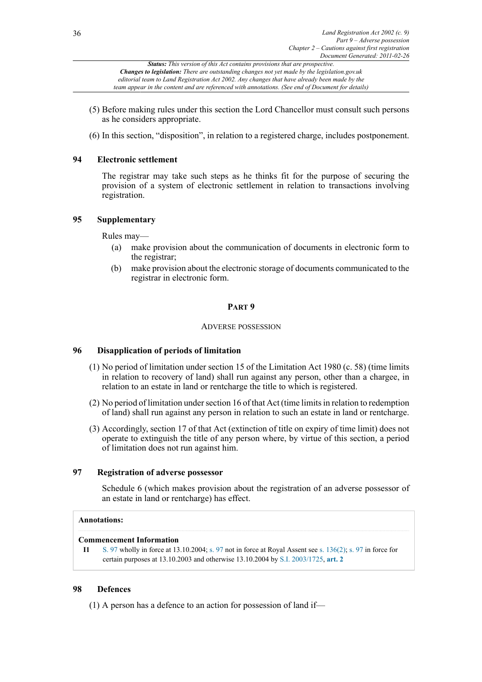- (5) Before making rules under this section the Lord Chancellor must consult such persons as he considers appropriate.
- (6) In this section, "disposition", in relation to a registered charge, includes postponement.

# **94 Electronic settlement**

The registrar may take such steps as he thinks fit for the purpose of securing the provision of a system of electronic settlement in relation to transactions involving registration.

# **95 Supplementary**

Rules may—

- (a) make provision about the communication of documents in electronic form to the registrar;
- (b) make provision about the electronic storage of documents communicated to the registrar in electronic form.

# **PART 9**

#### ADVERSE POSSESSION

## **96 Disapplication of periods of limitation**

- (1) No period of limitation under section 15 of the Limitation Act 1980 (c. 58) (time limits in relation to recovery of land) shall run against any person, other than a chargee, in relation to an estate in land or rentcharge the title to which is registered.
- (2) No period of limitation under section 16 of that Act (time limits in relation to redemption of land) shall run against any person in relation to such an estate in land or rentcharge.
- (3) Accordingly, section 17 of that Act (extinction of title on expiry of time limit) does not operate to extinguish the title of any person where, by virtue of this section, a period of limitation does not run against him.

## **97 Registration of adverse possessor**

Schedule 6 (which makes provision about the registration of an adverse possessor of an estate in land or rentcharge) has effect.

# **Annotations:**

#### **Commencement Information**

**I1** [S. 97](http://www.legislation.gov.uk/id/ukpga/2002/9/section/97) wholly in force at 13.10.2004; [s. 97](http://www.legislation.gov.uk/id/ukpga/2002/9/section/97) not in force at Royal Assent see [s. 136\(2\);](http://www.legislation.gov.uk/id/ukpga/2002/9/section/136/2) [s. 97](http://www.legislation.gov.uk/id/ukpga/2002/9/section/97) in force for certain purposes at 13.10.2003 and otherwise 13.10.2004 by [S.I. 2003/1725,](http://www.legislation.gov.uk/id/uksi/2003/1725) **[art. 2](http://www.legislation.gov.uk/id/uksi/2003/1725/article/2)**

## **98 Defences**

(1) A person has a defence to an action for possession of land if—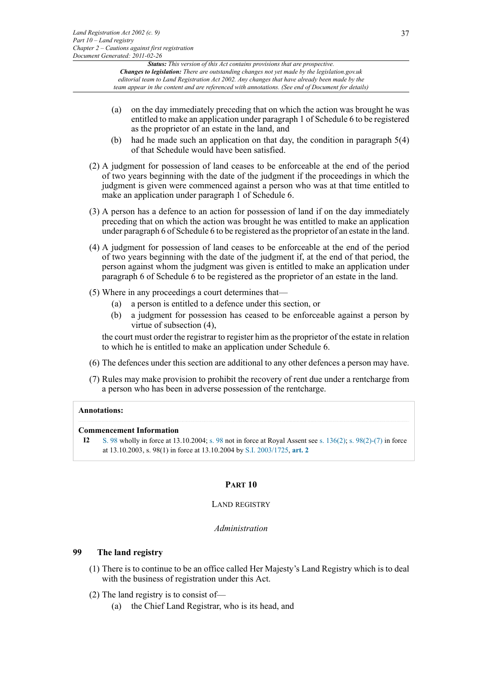- (a) on the day immediately preceding that on which the action was brought he was entitled to make an application under paragraph 1 of Schedule 6 to be registered as the proprietor of an estate in the land, and
- (b) had he made such an application on that day, the condition in paragraph 5(4) of that Schedule would have been satisfied.
- (2) A judgment for possession of land ceases to be enforceable at the end of the period of two years beginning with the date of the judgment if the proceedings in which the judgment is given were commenced against a person who was at that time entitled to make an application under paragraph 1 of Schedule 6.
- (3) A person has a defence to an action for possession of land if on the day immediately preceding that on which the action was brought he was entitled to make an application under paragraph 6 of Schedule 6 to be registered as the proprietor of an estate in the land.
- (4) A judgment for possession of land ceases to be enforceable at the end of the period of two years beginning with the date of the judgment if, at the end of that period, the person against whom the judgment was given is entitled to make an application under paragraph 6 of Schedule 6 to be registered as the proprietor of an estate in the land.
- (5) Where in any proceedings a court determines that—
	- (a) a person is entitled to a defence under this section, or
	- (b) a judgment for possession has ceased to be enforceable against a person by virtue of subsection (4),

the court must order the registrar to register him as the proprietor of the estate in relation to which he is entitled to make an application under Schedule 6.

- (6) The defences under this section are additional to any other defences a person may have.
- (7) Rules may make provision to prohibit the recovery of rent due under a rentcharge from a person who has been in adverse possession of the rentcharge.

### **Annotations:**

#### **Commencement Information**

**I2** [S. 98](http://www.legislation.gov.uk/id/ukpga/2002/9/section/98) wholly in force at 13.10.2004; [s. 98](http://www.legislation.gov.uk/id/ukpga/2002/9/section/98) not in force at Royal Assent see [s. 136\(2\);](http://www.legislation.gov.uk/id/ukpga/2002/9/section/136/2) [s. 98\(2\)-\(7\)](http://www.legislation.gov.uk/id/ukpga/2002/9/section/98/2) in force at 13.10.2003, s. 98(1) in force at 13.10.2004 by [S.I. 2003/1725](http://www.legislation.gov.uk/id/uksi/2003/1725), **[art. 2](http://www.legislation.gov.uk/id/uksi/2003/1725/article/2)**

#### **PART 10**

#### LAND REGISTRY

#### *Administration*

#### **99 The land registry**

- (1) There is to continue to be an office called Her Majesty's Land Registry which is to deal with the business of registration under this Act.
- (2) The land registry is to consist of—
	- (a) the Chief Land Registrar, who is its head, and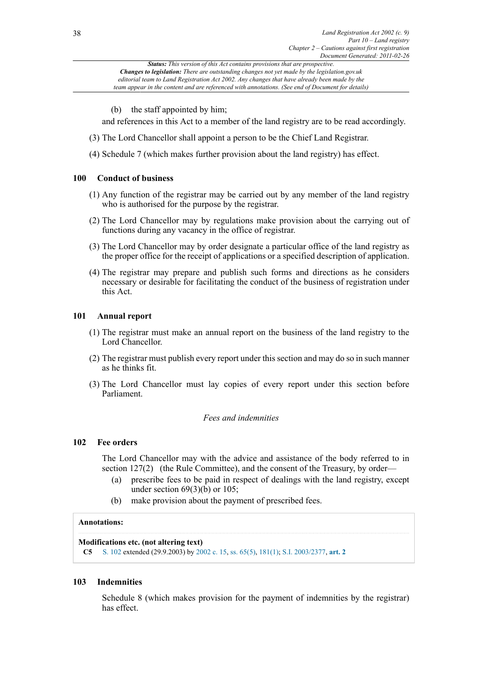(b) the staff appointed by him;

and references in this Act to a member of the land registry are to be read accordingly.

- (3) The Lord Chancellor shall appoint a person to be the Chief Land Registrar.
- (4) Schedule 7 (which makes further provision about the land registry) has effect.

### **100 Conduct of business**

- (1) Any function of the registrar may be carried out by any member of the land registry who is authorised for the purpose by the registrar.
- (2) The Lord Chancellor may by regulations make provision about the carrying out of functions during any vacancy in the office of registrar.
- (3) The Lord Chancellor may by order designate a particular office of the land registry as the proper office for the receipt of applications or a specified description of application.
- (4) The registrar may prepare and publish such forms and directions as he considers necessary or desirable for facilitating the conduct of the business of registration under this Act.

### **101 Annual report**

- (1) The registrar must make an annual report on the business of the land registry to the Lord Chancellor.
- (2) The registrar must publish every report under this section and may do so in such manner as he thinks fit.
- (3) The Lord Chancellor must lay copies of every report under this section before Parliament.

#### *Fees and indemnities*

### **102 Fee orders**

The Lord Chancellor may with the advice and assistance of the body referred to in section 127(2) (the Rule Committee), and the consent of the Treasury, by order—

- (a) prescribe fees to be paid in respect of dealings with the land registry, except under section  $69(3)(b)$  or 105;
- (b) make provision about the payment of prescribed fees.

#### **Annotations:**

#### **Modifications etc. (not altering text)**

**C5** [S. 102](http://www.legislation.gov.uk/id/ukpga/2002/9/section/102) extended (29.9.2003) by [2002 c. 15,](http://www.legislation.gov.uk/id/ukpga/2002/15) [ss. 65\(5\)](http://www.legislation.gov.uk/id/ukpga/2002/15/section/65/5), [181\(1\);](http://www.legislation.gov.uk/id/ukpga/2002/15/section/181/1) [S.I. 2003/2377,](http://www.legislation.gov.uk/id/uksi/2003/2377) **[art. 2](http://www.legislation.gov.uk/id/uksi/2003/2377/article/2)**

### **103 Indemnities**

Schedule 8 (which makes provision for the payment of indemnities by the registrar) has effect.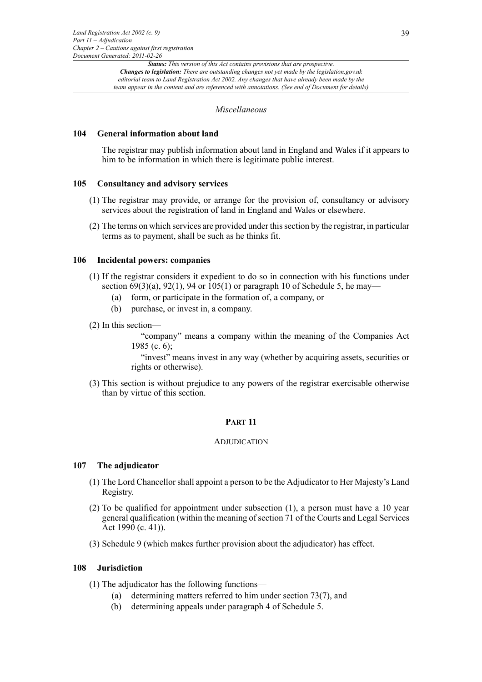#### *Miscellaneous*

#### **104 General information about land**

The registrar may publish information about land in England and Wales if it appears to him to be information in which there is legitimate public interest.

#### **105 Consultancy and advisory services**

- (1) The registrar may provide, or arrange for the provision of, consultancy or advisory services about the registration of land in England and Wales or elsewhere.
- (2) The terms on which services are provided under this section by the registrar, in particular terms as to payment, shall be such as he thinks fit.

#### **106 Incidental powers: companies**

- (1) If the registrar considers it expedient to do so in connection with his functions under section  $69(3)(a)$ ,  $92(1)$ ,  $94$  or  $105(1)$  or paragraph 10 of Schedule 5, he may—
	- (a) form, or participate in the formation of, a company, or
	- (b) purchase, or invest in, a company.
- (2) In this section—

"company" means a company within the meaning of the Companies Act 1985 (c. 6);

"invest" means invest in any way (whether by acquiring assets, securities or rights or otherwise).

(3) This section is without prejudice to any powers of the registrar exercisable otherwise than by virtue of this section.

### **PART 11**

#### **ADJUDICATION**

#### **107 The adjudicator**

- (1) The Lord Chancellor shall appoint a person to be the Adjudicator to Her Majesty's Land Registry.
- (2) To be qualified for appointment under subsection (1), a person must have a 10 year general qualification (within the meaning of section 71 of the Courts and Legal Services Act 1990 (c. 41)).
- (3) Schedule 9 (which makes further provision about the adjudicator) has effect.

### **108 Jurisdiction**

(1) The adjudicator has the following functions—

- (a) determining matters referred to him under section 73(7), and
- (b) determining appeals under paragraph 4 of Schedule 5.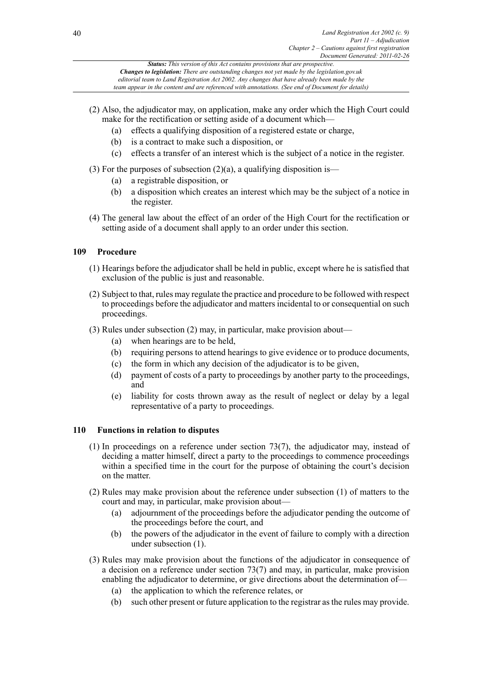- (2) Also, the adjudicator may, on application, make any order which the High Court could make for the rectification or setting aside of a document which—
	- (a) effects a qualifying disposition of a registered estate or charge,
	- (b) is a contract to make such a disposition, or
	- (c) effects a transfer of an interest which is the subject of a notice in the register.
- (3) For the purposes of subsection  $(2)(a)$ , a qualifying disposition is—
	- (a) a registrable disposition, or
	- (b) a disposition which creates an interest which may be the subject of a notice in the register.
- (4) The general law about the effect of an order of the High Court for the rectification or setting aside of a document shall apply to an order under this section.

### **109 Procedure**

- (1) Hearings before the adjudicator shall be held in public, except where he is satisfied that exclusion of the public is just and reasonable.
- (2) Subject to that, rules may regulate the practice and procedure to be followed with respect to proceedings before the adjudicator and matters incidental to or consequential on such proceedings.
- (3) Rules under subsection (2) may, in particular, make provision about—
	- (a) when hearings are to be held,
	- (b) requiring persons to attend hearings to give evidence or to produce documents,
	- (c) the form in which any decision of the adjudicator is to be given,
	- (d) payment of costs of a party to proceedings by another party to the proceedings, and
	- (e) liability for costs thrown away as the result of neglect or delay by a legal representative of a party to proceedings.

### **110 Functions in relation to disputes**

- (1) In proceedings on a reference under section 73(7), the adjudicator may, instead of deciding a matter himself, direct a party to the proceedings to commence proceedings within a specified time in the court for the purpose of obtaining the court's decision on the matter.
- (2) Rules may make provision about the reference under subsection (1) of matters to the court and may, in particular, make provision about—
	- (a) adjournment of the proceedings before the adjudicator pending the outcome of the proceedings before the court, and
	- (b) the powers of the adjudicator in the event of failure to comply with a direction under subsection (1).
- (3) Rules may make provision about the functions of the adjudicator in consequence of a decision on a reference under section 73(7) and may, in particular, make provision enabling the adjudicator to determine, or give directions about the determination of—
	- (a) the application to which the reference relates, or
	- (b) such other present or future application to the registrar as the rules may provide.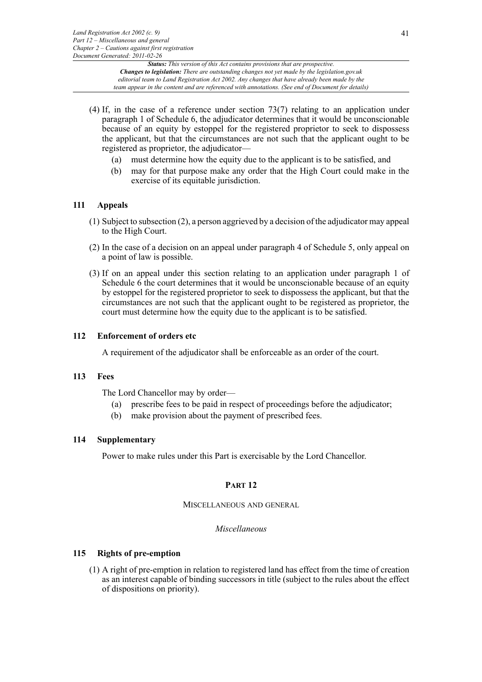- (4) If, in the case of a reference under section 73(7) relating to an application under paragraph 1 of Schedule 6, the adjudicator determines that it would be unconscionable because of an equity by estoppel for the registered proprietor to seek to dispossess the applicant, but that the circumstances are not such that the applicant ought to be registered as proprietor, the adjudicator—
	- (a) must determine how the equity due to the applicant is to be satisfied, and
	- (b) may for that purpose make any order that the High Court could make in the exercise of its equitable jurisdiction.

### **111 Appeals**

- (1) Subject to subsection (2), a person aggrieved by a decision of the adjudicator may appeal to the High Court.
- (2) In the case of a decision on an appeal under paragraph 4 of Schedule 5, only appeal on a point of law is possible.
- (3) If on an appeal under this section relating to an application under paragraph 1 of Schedule 6 the court determines that it would be unconscionable because of an equity by estoppel for the registered proprietor to seek to dispossess the applicant, but that the circumstances are not such that the applicant ought to be registered as proprietor, the court must determine how the equity due to the applicant is to be satisfied.

### **112 Enforcement of orders etc**

A requirement of the adjudicator shall be enforceable as an order of the court.

#### **113 Fees**

The Lord Chancellor may by order—

- (a) prescribe fees to be paid in respect of proceedings before the adjudicator;
- (b) make provision about the payment of prescribed fees.

#### **114 Supplementary**

Power to make rules under this Part is exercisable by the Lord Chancellor.

### **PART 12**

#### MISCELLANEOUS AND GENERAL

#### *Miscellaneous*

### **115 Rights of pre-emption**

(1) A right of pre-emption in relation to registered land has effect from the time of creation as an interest capable of binding successors in title (subject to the rules about the effect of dispositions on priority).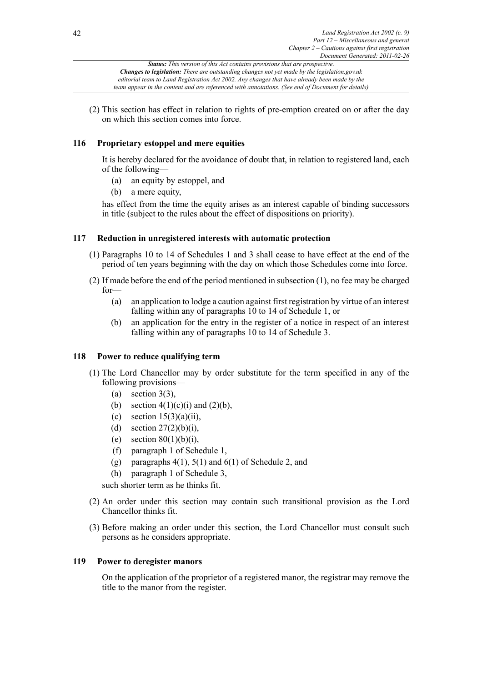(2) This section has effect in relation to rights of pre-emption created on or after the day on which this section comes into force.

### **116 Proprietary estoppel and mere equities**

It is hereby declared for the avoidance of doubt that, in relation to registered land, each of the following—

- (a) an equity by estoppel, and
- (b) a mere equity,

has effect from the time the equity arises as an interest capable of binding successors in title (subject to the rules about the effect of dispositions on priority).

### **117 Reduction in unregistered interests with automatic protection**

- (1) Paragraphs 10 to 14 of Schedules 1 and 3 shall cease to have effect at the end of the period of ten years beginning with the day on which those Schedules come into force.
- (2) If made before the end of the period mentioned in subsection (1), no fee may be charged for—
	- (a) an application to lodge a caution against first registration by virtue of an interest falling within any of paragraphs 10 to 14 of Schedule 1, or
	- (b) an application for the entry in the register of a notice in respect of an interest falling within any of paragraphs 10 to 14 of Schedule 3.

### **118 Power to reduce qualifying term**

- (1) The Lord Chancellor may by order substitute for the term specified in any of the following provisions—
	- (a) section  $3(3)$ ,
	- (b) section  $4(1)(c)(i)$  and  $(2)(b)$ ,
	- (c) section  $15(3)(a)(ii)$ ,
	- (d) section  $27(2)(b)(i)$ ,
	- (e) section  $80(1)(b)(i)$ ,
	- (f) paragraph 1 of Schedule 1,
	- (g) paragraphs  $4(1)$ ,  $5(1)$  and  $6(1)$  of Schedule 2, and
	- (h) paragraph 1 of Schedule 3,

such shorter term as he thinks fit.

- (2) An order under this section may contain such transitional provision as the Lord Chancellor thinks fit.
- (3) Before making an order under this section, the Lord Chancellor must consult such persons as he considers appropriate.

### **119 Power to deregister manors**

On the application of the proprietor of a registered manor, the registrar may remove the title to the manor from the register.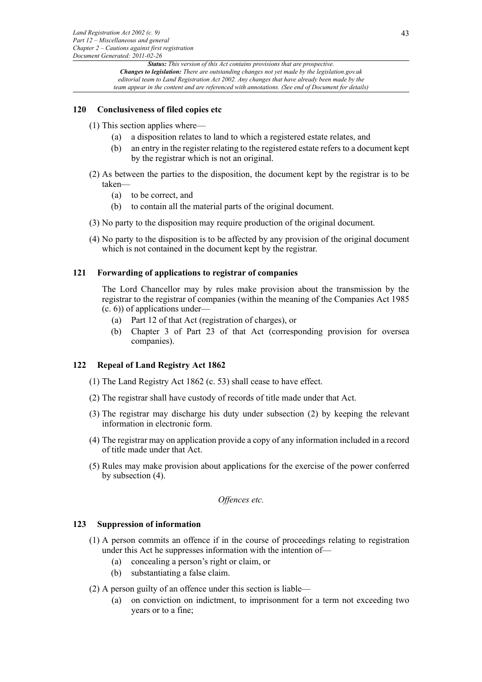### **120 Conclusiveness of filed copies etc**

- (1) This section applies where—
	- (a) a disposition relates to land to which a registered estate relates, and
	- (b) an entry in the register relating to the registered estate refers to a document kept by the registrar which is not an original.
- (2) As between the parties to the disposition, the document kept by the registrar is to be taken—
	- (a) to be correct, and
	- (b) to contain all the material parts of the original document.
- (3) No party to the disposition may require production of the original document.
- (4) No party to the disposition is to be affected by any provision of the original document which is not contained in the document kept by the registrar.

#### **121 Forwarding of applications to registrar of companies**

The Lord Chancellor may by rules make provision about the transmission by the registrar to the registrar of companies (within the meaning of the Companies Act 1985 (c. 6)) of applications under—

- (a) Part 12 of that Act (registration of charges), or
- (b) Chapter 3 of Part 23 of that Act (corresponding provision for oversea companies).

#### **122 Repeal of Land Registry Act 1862**

- (1) The Land Registry Act 1862 (c. 53) shall cease to have effect.
- (2) The registrar shall have custody of records of title made under that Act.
- (3) The registrar may discharge his duty under subsection (2) by keeping the relevant information in electronic form.
- (4) The registrar may on application provide a copy of any information included in a record of title made under that Act.
- (5) Rules may make provision about applications for the exercise of the power conferred by subsection (4).

### *Offences etc.*

#### **123 Suppression of information**

- (1) A person commits an offence if in the course of proceedings relating to registration under this Act he suppresses information with the intention of—
	- (a) concealing a person's right or claim, or
	- (b) substantiating a false claim.
- (2) A person guilty of an offence under this section is liable—
	- (a) on conviction on indictment, to imprisonment for a term not exceeding two years or to a fine;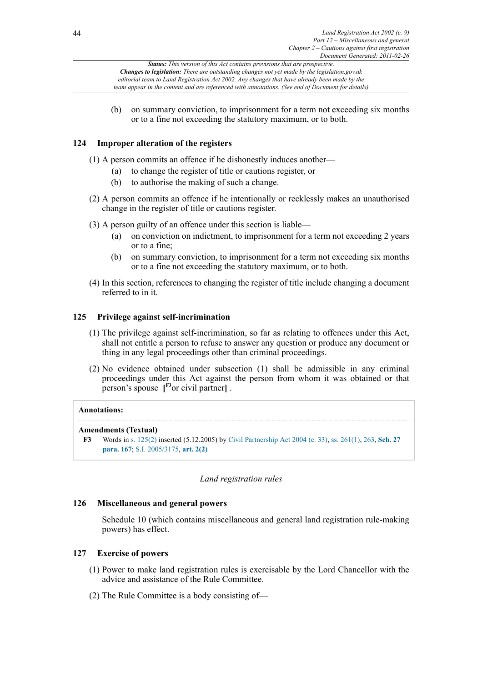(b) on summary conviction, to imprisonment for a term not exceeding six months or to a fine not exceeding the statutory maximum, or to both.

### **124 Improper alteration of the registers**

- (1) A person commits an offence if he dishonestly induces another—
	- (a) to change the register of title or cautions register, or
	- (b) to authorise the making of such a change.
- (2) A person commits an offence if he intentionally or recklessly makes an unauthorised change in the register of title or cautions register.
- (3) A person guilty of an offence under this section is liable—
	- (a) on conviction on indictment, to imprisonment for a term not exceeding 2 years or to a fine;
	- (b) on summary conviction, to imprisonment for a term not exceeding six months or to a fine not exceeding the statutory maximum, or to both.
- (4) In this section, references to changing the register of title include changing a document referred to in it.

### **125 Privilege against self-incrimination**

- (1) The privilege against self-incrimination, so far as relating to offences under this Act, shall not entitle a person to refuse to answer any question or produce any document or thing in any legal proceedings other than criminal proceedings.
- <span id="page-43-1"></span>(2) No evidence obtained under subsection (1) shall be admissible in any criminal proceedings under this Act against the person from whom it was obtained or that person's spouse **[ [F3](#page-43-0)**or civil partner**]** .

#### **Annotations:**

#### **Amendments (Textual)**

```
F3 Words in s. 125(2) inserted (5.12.2005) by Civil Partnership Act 2004 (c. 33), ss. 261(1), 263, Sch. 27
para. 167; S.I. 2005/3175, art. 2(2)
```
### *Land registration rules*

#### **126 Miscellaneous and general powers**

Schedule 10 (which contains miscellaneous and general land registration rule-making powers) has effect.

### **127 Exercise of powers**

- (1) Power to make land registration rules is exercisable by the Lord Chancellor with the advice and assistance of the Rule Committee.
- (2) The Rule Committee is a body consisting of—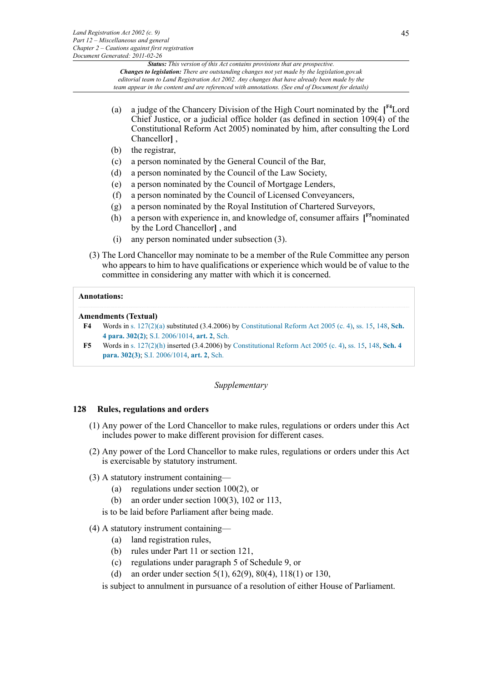- <span id="page-44-2"></span>(a) a judge of the Chancery Division of the High Court nominated by the **[ [F4](#page-44-0)**Lord Chief Justice, or a judicial office holder (as defined in section 109(4) of the Constitutional Reform Act 2005) nominated by him, after consulting the Lord Chancellor**]** ,
- (b) the registrar,
- (c) a person nominated by the General Council of the Bar,
- (d) a person nominated by the Council of the Law Society,
- (e) a person nominated by the Council of Mortgage Lenders,
- (f) a person nominated by the Council of Licensed Conveyancers,
- (g) a person nominated by the Royal Institution of Chartered Surveyors,
- (h) a person with experience in, and knowledge of, consumer affairs **[ [F5](#page-44-1)**nominated by the Lord Chancellor**]** , and
- (i) any person nominated under subsection (3).
- (3) The Lord Chancellor may nominate to be a member of the Rule Committee any person who appears to him to have qualifications or experience which would be of value to the committee in considering any matter with which it is concerned.

#### **Annotations:**

#### **Amendments (Textual)**

- <span id="page-44-0"></span>**[F4](#page-44-2)** Words in [s. 127\(2\)\(a\)](http://www.legislation.gov.uk/id/ukpga/2002/9/section/127/2/a) substituted (3.4.2006) by [Constitutional Reform Act 2005 \(c. 4\)](http://www.legislation.gov.uk/id/ukpga/2005/4), [ss. 15](http://www.legislation.gov.uk/id/ukpga/2005/4/section/15), [148](http://www.legislation.gov.uk/id/ukpga/2005/4/section/148), **[Sch.](http://www.legislation.gov.uk/id/ukpga/2005/4/schedule/4/paragraph/302/2) [4 para. 302\(2\)](http://www.legislation.gov.uk/id/ukpga/2005/4/schedule/4/paragraph/302/2)**; [S.I. 2006/1014,](http://www.legislation.gov.uk/id/uksi/2006/1014) **[art. 2](http://www.legislation.gov.uk/id/uksi/2006/1014/article/2)**, [Sch.](http://www.legislation.gov.uk/id/uksi/2006/1014/schedule)
- <span id="page-44-1"></span>**[F5](#page-44-3)** Words in [s. 127\(2\)\(h\)](http://www.legislation.gov.uk/id/ukpga/2002/9/section/127/2/h) inserted (3.4.2006) by [Constitutional Reform Act 2005 \(c. 4\)](http://www.legislation.gov.uk/id/ukpga/2005/4), [ss. 15](http://www.legislation.gov.uk/id/ukpga/2005/4/section/15), [148](http://www.legislation.gov.uk/id/ukpga/2005/4/section/148), **[Sch. 4](http://www.legislation.gov.uk/id/ukpga/2005/4/schedule/4/paragraph/302/3) [para. 302\(3\)](http://www.legislation.gov.uk/id/ukpga/2005/4/schedule/4/paragraph/302/3)**; [S.I. 2006/1014](http://www.legislation.gov.uk/id/uksi/2006/1014), **[art. 2](http://www.legislation.gov.uk/id/uksi/2006/1014/article/2)**, [Sch.](http://www.legislation.gov.uk/id/uksi/2006/1014/schedule)

#### <span id="page-44-3"></span>*Supplementary*

#### **128 Rules, regulations and orders**

- (1) Any power of the Lord Chancellor to make rules, regulations or orders under this Act includes power to make different provision for different cases.
- (2) Any power of the Lord Chancellor to make rules, regulations or orders under this Act is exercisable by statutory instrument.
- (3) A statutory instrument containing—
	- (a) regulations under section 100(2), or
	- (b) an order under section 100(3), 102 or 113,
	- is to be laid before Parliament after being made.

#### (4) A statutory instrument containing—

- (a) land registration rules,
- (b) rules under Part 11 or section 121,
- (c) regulations under paragraph 5 of Schedule 9, or
- (d) an order under section 5(1), 62(9), 80(4), 118(1) or 130,

is subject to annulment in pursuance of a resolution of either House of Parliament.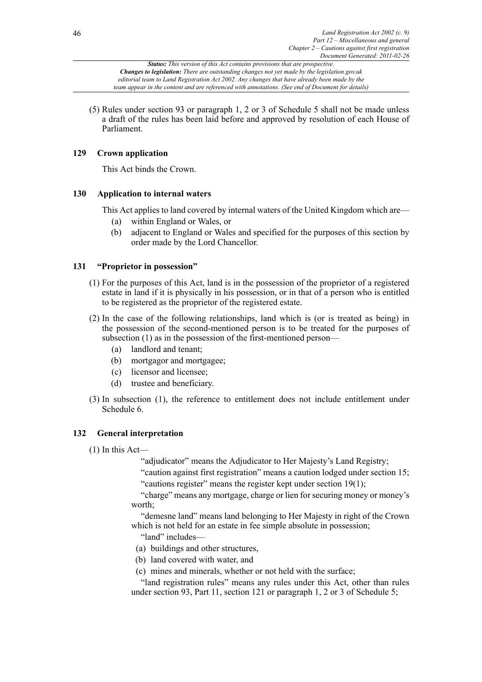(5) Rules under section 93 or paragraph 1, 2 or 3 of Schedule 5 shall not be made unless a draft of the rules has been laid before and approved by resolution of each House of Parliament.

### **129 Crown application**

This Act binds the Crown.

### **130 Application to internal waters**

This Act applies to land covered by internal waters of the United Kingdom which are—

- (a) within England or Wales, or
- (b) adjacent to England or Wales and specified for the purposes of this section by order made by the Lord Chancellor.

### **131 "Proprietor in possession"**

- (1) For the purposes of this Act, land is in the possession of the proprietor of a registered estate in land if it is physically in his possession, or in that of a person who is entitled to be registered as the proprietor of the registered estate.
- (2) In the case of the following relationships, land which is (or is treated as being) in the possession of the second-mentioned person is to be treated for the purposes of subsection (1) as in the possession of the first-mentioned person—
	- (a) landlord and tenant;
	- (b) mortgagor and mortgagee;
	- (c) licensor and licensee;
	- (d) trustee and beneficiary.
- (3) In subsection (1), the reference to entitlement does not include entitlement under Schedule 6.

### **132 General interpretation**

(1) In this Act—

"adjudicator" means the Adjudicator to Her Majesty's Land Registry;

"caution against first registration" means a caution lodged under section 15; "cautions register" means the register kept under section 19(1);

"charge" means any mortgage, charge or lien for securing money or money's worth;

"demesne land" means land belonging to Her Majesty in right of the Crown which is not held for an estate in fee simple absolute in possession;

- "land" includes—
- (a) buildings and other structures,
- (b) land covered with water, and
- (c) mines and minerals, whether or not held with the surface;

"land registration rules" means any rules under this Act, other than rules under section 93, Part 11, section 121 or paragraph 1, 2 or 3 of Schedule 5;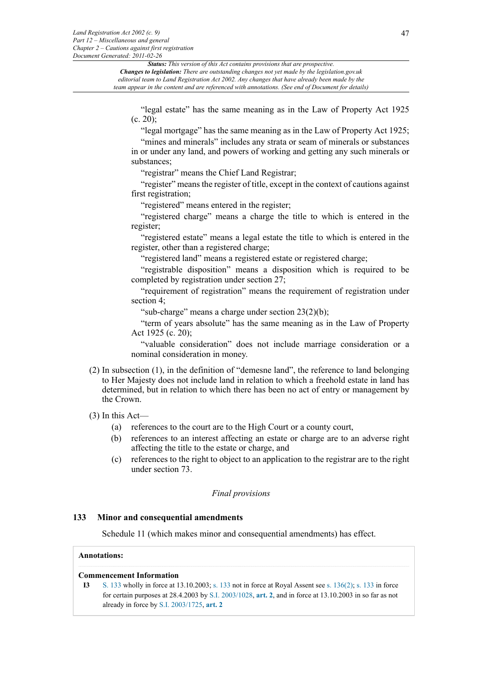"legal estate" has the same meaning as in the Law of Property Act 1925  $(c. 20);$ 

"legal mortgage" has the same meaning as in the Law of Property Act 1925;

"mines and minerals" includes any strata or seam of minerals or substances in or under any land, and powers of working and getting any such minerals or substances;

"registrar" means the Chief Land Registrar;

"register" means the register of title, except in the context of cautions against first registration;

"registered" means entered in the register;

"registered charge" means a charge the title to which is entered in the register;

"registered estate" means a legal estate the title to which is entered in the register, other than a registered charge;

"registered land" means a registered estate or registered charge;

"registrable disposition" means a disposition which is required to be completed by registration under section 27;

"requirement of registration" means the requirement of registration under section 4;

"sub-charge" means a charge under section 23(2)(b);

"term of years absolute" has the same meaning as in the Law of Property Act 1925 (c. 20);

"valuable consideration" does not include marriage consideration or a nominal consideration in money.

- (2) In subsection (1), in the definition of "demesne land", the reference to land belonging to Her Majesty does not include land in relation to which a freehold estate in land has determined, but in relation to which there has been no act of entry or management by the Crown.
- (3) In this Act—
	- (a) references to the court are to the High Court or a county court,
	- (b) references to an interest affecting an estate or charge are to an adverse right affecting the title to the estate or charge, and
	- (c) references to the right to object to an application to the registrar are to the right under section 73.

#### *Final provisions*

#### **133 Minor and consequential amendments**

Schedule 11 (which makes minor and consequential amendments) has effect.

#### **Annotations:**

#### **Commencement Information**

**I3** [S. 133](http://www.legislation.gov.uk/id/ukpga/2002/9/section/133) wholly in force at 13.10.2003; [s. 133](http://www.legislation.gov.uk/id/ukpga/2002/9/section/133) not in force at Royal Assent see [s. 136\(2\);](http://www.legislation.gov.uk/id/ukpga/2002/9/section/136/2) [s. 133](http://www.legislation.gov.uk/id/ukpga/2002/9/section/133) in force for certain purposes at 28.4.2003 by [S.I. 2003/1028,](http://www.legislation.gov.uk/id/uksi/2003/1028) **[art. 2](http://www.legislation.gov.uk/id/uksi/2003/1028/article/2)**, and in force at 13.10.2003 in so far as not already in force by [S.I. 2003/1725,](http://www.legislation.gov.uk/id/uksi/2003/1725) **[art. 2](http://www.legislation.gov.uk/id/uksi/2003/1725/article/2)**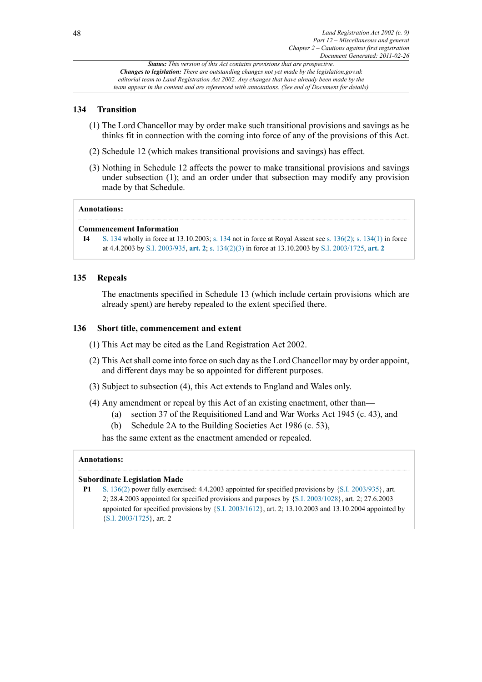### **134 Transition**

- (1) The Lord Chancellor may by order make such transitional provisions and savings as he thinks fit in connection with the coming into force of any of the provisions of this Act.
- (2) Schedule 12 (which makes transitional provisions and savings) has effect.
- (3) Nothing in Schedule 12 affects the power to make transitional provisions and savings under subsection (1); and an order under that subsection may modify any provision made by that Schedule.

### **Annotations:**

#### **Commencement Information**

```
I4 S. 134 wholly in force at 13.10.2003; s. 134 not in force at Royal Assent see s. 136(2); s. 134(1) in force
at 4.4.2003 by S.I. 2003/935, art. 2; s. 134(2)(3) in force at 13.10.2003 by S.I. 2003/1725, art. 2
```
### **135 Repeals**

The enactments specified in Schedule 13 (which include certain provisions which are already spent) are hereby repealed to the extent specified there.

#### **136 Short title, commencement and extent**

(1) This Act may be cited as the Land Registration Act 2002.

- (2) This Act shall come into force on such day as the Lord Chancellor may by order appoint, and different days may be so appointed for different purposes.
- (3) Subject to subsection (4), this Act extends to England and Wales only.
- (4) Any amendment or repeal by this Act of an existing enactment, other than—
	- (a) section 37 of the Requisitioned Land and War Works Act 1945 (c. 43), and
	- (b) Schedule 2A to the Building Societies Act 1986 (c. 53),

has the same extent as the enactment amended or repealed.

#### **Annotations:**

#### **Subordinate Legislation Made**

**P1** [S. 136\(2\)](http://www.legislation.gov.uk/id/ukpga/2002/9/section/136/2) power fully exercised: 4.4.2003 appointed for specified provisions by [{S.I. 2003/935](http://www.legislation.gov.uk/id/uksi/2003/935)}, art. 2; 28.4.2003 appointed for specified provisions and purposes by [{S.I. 2003/1028](http://www.legislation.gov.uk/id/uksi/2003/1028)}, art. 2; 27.6.2003 appointed for specified provisions by [{S.I. 2003/1612](http://www.legislation.gov.uk/id/uksi/2003/1612)}, art. 2; 13.10.2003 and 13.10.2004 appointed by [{S.I. 2003/1725](http://www.legislation.gov.uk/id/uksi/2003/1725)}, art. 2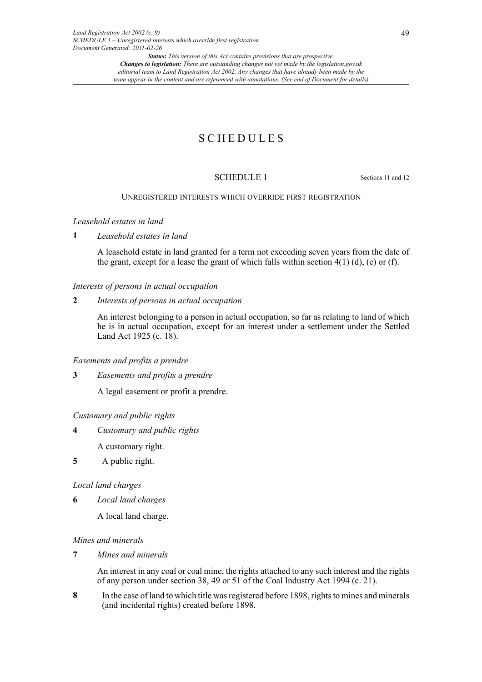# **SCHEDULES**

## SCHEDULE 1 Sections 11 and 12

#### UNREGISTERED INTERESTS WHICH OVERRIDE FIRST REGISTRATION

### *Leasehold estates in land*

**1** *Leasehold estates in land*

A leasehold estate in land granted for a term not exceeding seven years from the date of the grant, except for a lease the grant of which falls within section  $4(1)$  (d), (e) or (f).

### *Interests of persons in actual occupation*

**2** *Interests of persons in actual occupation*

An interest belonging to a person in actual occupation, so far as relating to land of which he is in actual occupation, except for an interest under a settlement under the Settled Land Act 1925 (c. 18).

#### *Easements and profits a prendre*

**3** *Easements and profits a prendre*

A legal easement or profit a prendre.

#### *Customary and public rights*

**4** *Customary and public rights*

A customary right.

**5** A public right.

#### *Local land charges*

**6** *Local land charges*

A local land charge.

#### *Mines and minerals*

**7** *Mines and minerals*

An interest in any coal or coal mine, the rights attached to any such interest and the rights of any person under section 38, 49 or 51 of the Coal Industry Act 1994 (c. 21).

**8** In the case of land to which title was registered before 1898, rights to mines and minerals (and incidental rights) created before 1898.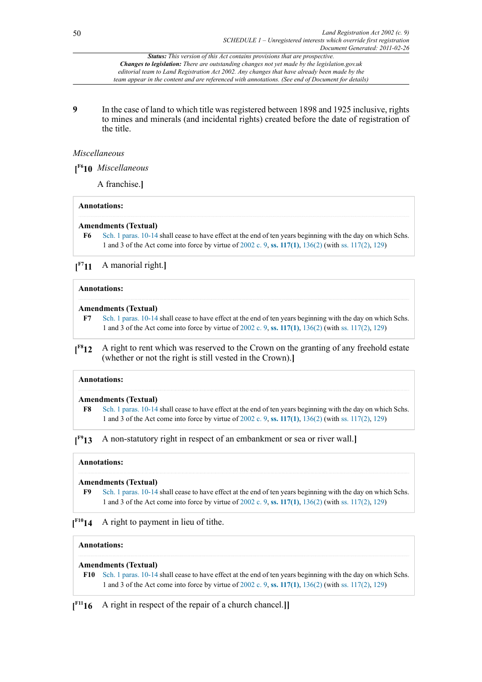**9** In the case of land to which title was registered between 1898 and 1925 inclusive, rights to mines and minerals (and incidental rights) created before the date of registration of the title.

### *Miscellaneous*

## **[ [F6](#page-49-0)10** *Miscellaneous*

A franchise.**]**

#### **Annotations:**

#### **Amendments (Textual)**

<span id="page-49-0"></span>**F6** [Sch. 1 paras. 10-14](http://www.legislation.gov.uk/id/ukpga/2002/9/schedule/1/paragraph/10) shall cease to have effect at the end of ten years beginning with the day on which Schs. 1 and 3 of the Act come into force by virtue of [2002 c. 9,](http://www.legislation.gov.uk/id/ukpga/2002/9) **[ss. 117\(1\)](http://www.legislation.gov.uk/id/ukpga/2002/9/section/117/1)**, [136\(2\)](http://www.legislation.gov.uk/id/ukpga/2002/9/section/136/2) (with [ss. 117\(2\)](http://www.legislation.gov.uk/id/ukpga/2002/9/section/117/2), [129](http://www.legislation.gov.uk/id/ukpga/2002/9/section/129))

<span id="page-49-2"></span> $[$ **F**<sup>7</sup>11 **[F7](#page-49-1)11** A manorial right.**]**

#### **Annotations:**

#### **Amendments (Textual)**

<span id="page-49-1"></span>**[F7](#page-49-2)** [Sch. 1 paras. 10-14](http://www.legislation.gov.uk/id/ukpga/2002/9/schedule/1/paragraph/10) shall cease to have effect at the end of ten years beginning with the day on which Schs. 1 and 3 of the Act come into force by virtue of [2002 c. 9,](http://www.legislation.gov.uk/id/ukpga/2002/9) **[ss. 117\(1\)](http://www.legislation.gov.uk/id/ukpga/2002/9/section/117/1)**, [136\(2\)](http://www.legislation.gov.uk/id/ukpga/2002/9/section/136/2) (with [ss. 117\(2\)](http://www.legislation.gov.uk/id/ukpga/2002/9/section/117/2), [129](http://www.legislation.gov.uk/id/ukpga/2002/9/section/129))

<span id="page-49-4"></span> $[$ <sup>F8</sup>12 **[F8](#page-49-3)12** A right to rent which was reserved to the Crown on the granting of any freehold estate (whether or not the right is still vested in the Crown).**]**

#### **Annotations:**

#### **Amendments (Textual)**

<span id="page-49-3"></span>**[F8](#page-49-4)** [Sch. 1 paras. 10-14](http://www.legislation.gov.uk/id/ukpga/2002/9/schedule/1/paragraph/10) shall cease to have effect at the end of ten years beginning with the day on which Schs. 1 and 3 of the Act come into force by virtue of [2002 c. 9,](http://www.legislation.gov.uk/id/ukpga/2002/9) **[ss. 117\(1\)](http://www.legislation.gov.uk/id/ukpga/2002/9/section/117/1)**, [136\(2\)](http://www.legislation.gov.uk/id/ukpga/2002/9/section/136/2) (with [ss. 117\(2\)](http://www.legislation.gov.uk/id/ukpga/2002/9/section/117/2), [129](http://www.legislation.gov.uk/id/ukpga/2002/9/section/129))

<span id="page-49-6"></span> $[$ <sup>F9</sup>13 **[F9](#page-49-5)13** A non-statutory right in respect of an embankment or sea or river wall.**]**

#### **Annotations:**

#### **Amendments (Textual)**

<span id="page-49-5"></span>**[F9](#page-49-6)** [Sch. 1 paras. 10-14](http://www.legislation.gov.uk/id/ukpga/2002/9/schedule/1/paragraph/10) shall cease to have effect at the end of ten years beginning with the day on which Schs. 1 and 3 of the Act come into force by virtue of [2002 c. 9,](http://www.legislation.gov.uk/id/ukpga/2002/9) **[ss. 117\(1\)](http://www.legislation.gov.uk/id/ukpga/2002/9/section/117/1)**, [136\(2\)](http://www.legislation.gov.uk/id/ukpga/2002/9/section/136/2) (with [ss. 117\(2\)](http://www.legislation.gov.uk/id/ukpga/2002/9/section/117/2), [129](http://www.legislation.gov.uk/id/ukpga/2002/9/section/129))

#### <span id="page-49-8"></span> $I<sup>F10</sup>14$ **[F10](#page-49-7)14** A right to payment in lieu of tithe.

#### **Annotations:**

#### **Amendments (Textual)**

<span id="page-49-7"></span>**[F10](#page-49-8)** [Sch. 1 paras. 10-14](http://www.legislation.gov.uk/id/ukpga/2002/9/schedule/1/paragraph/10) shall cease to have effect at the end of ten years beginning with the day on which Schs. 1 and 3 of the Act come into force by virtue of [2002 c. 9,](http://www.legislation.gov.uk/id/ukpga/2002/9) **[ss. 117\(1\)](http://www.legislation.gov.uk/id/ukpga/2002/9/section/117/1)**, [136\(2\)](http://www.legislation.gov.uk/id/ukpga/2002/9/section/136/2) (with [ss. 117\(2\)](http://www.legislation.gov.uk/id/ukpga/2002/9/section/117/2), [129](http://www.legislation.gov.uk/id/ukpga/2002/9/section/129))

<span id="page-49-9"></span> $[$ <sup>F11</sup>16 **[F11](#page-50-0)16** A right in respect of the repair of a church chancel.**]]**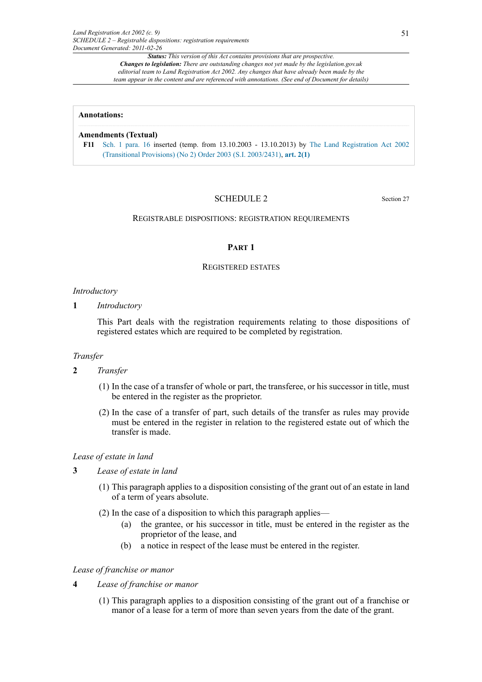#### **Annotations:**

#### **Amendments (Textual)**

<span id="page-50-0"></span>**[F11](#page-49-9)** [Sch. 1 para. 16](http://www.legislation.gov.uk/id/ukpga/2002/9/schedule/1/paragraph/16) inserted (temp. from 13.10.2003 - 13.10.2013) by [The Land Registration Act 2002](http://www.legislation.gov.uk/id/uksi/2003/2431) [\(Transitional Provisions\) \(No 2\) Order 2003 \(S.I. 2003/2431\)](http://www.legislation.gov.uk/id/uksi/2003/2431), **[art. 2\(1\)](http://www.legislation.gov.uk/id/uksi/2003/2431/article/2/1)**

### SCHEDULE 2 Section 27

#### REGISTRABLE DISPOSITIONS: REGISTRATION REQUIREMENTS

#### **PART 1**

#### REGISTERED ESTATES

#### *Introductory*

**1** *Introductory*

This Part deals with the registration requirements relating to those dispositions of registered estates which are required to be completed by registration.

#### *Transfer*

### **2** *Transfer*

- (1) In the case of a transfer of whole or part, the transferee, or his successor in title, must be entered in the register as the proprietor.
- (2) In the case of a transfer of part, such details of the transfer as rules may provide must be entered in the register in relation to the registered estate out of which the transfer is made.

#### *Lease of estate in land*

- **3** *Lease of estate in land*
	- (1) This paragraph applies to a disposition consisting of the grant out of an estate in land of a term of years absolute.
	- (2) In the case of a disposition to which this paragraph applies—
		- (a) the grantee, or his successor in title, must be entered in the register as the proprietor of the lease, and
		- (b) a notice in respect of the lease must be entered in the register.

#### *Lease of franchise or manor*

- **4** *Lease of franchise or manor*
	- (1) This paragraph applies to a disposition consisting of the grant out of a franchise or manor of a lease for a term of more than seven years from the date of the grant.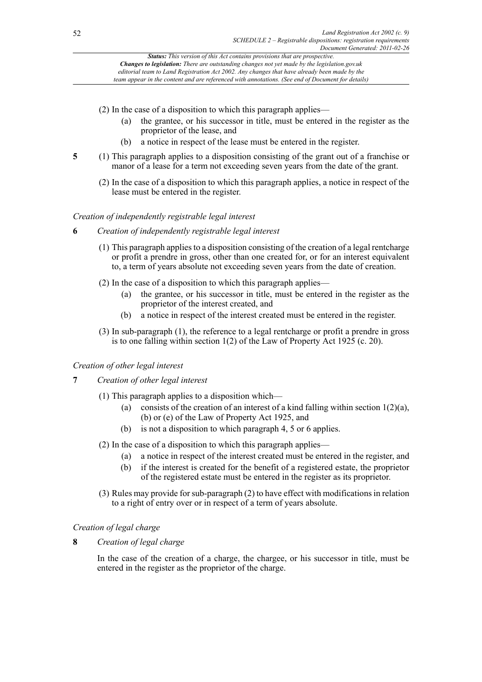(2) In the case of a disposition to which this paragraph applies—

- (a) the grantee, or his successor in title, must be entered in the register as the proprietor of the lease, and
- (b) a notice in respect of the lease must be entered in the register.
- **5** (1) This paragraph applies to a disposition consisting of the grant out of a franchise or manor of a lease for a term not exceeding seven years from the date of the grant.
	- (2) In the case of a disposition to which this paragraph applies, a notice in respect of the lease must be entered in the register.

### *Creation of independently registrable legal interest*

- **6** *Creation of independently registrable legal interest*
	- (1) This paragraph applies to a disposition consisting of the creation of a legal rentcharge or profit a prendre in gross, other than one created for, or for an interest equivalent to, a term of years absolute not exceeding seven years from the date of creation.
	- (2) In the case of a disposition to which this paragraph applies—
		- (a) the grantee, or his successor in title, must be entered in the register as the proprietor of the interest created, and
		- (b) a notice in respect of the interest created must be entered in the register.
	- (3) In sub-paragraph (1), the reference to a legal rentcharge or profit a prendre in gross is to one falling within section 1(2) of the Law of Property Act 1925 (c. 20).

### *Creation of other legal interest*

- **7** *Creation of other legal interest*
	- (1) This paragraph applies to a disposition which—
		- (a) consists of the creation of an interest of a kind falling within section  $1(2)(a)$ , (b) or (e) of the Law of Property Act 1925, and
		- (b) is not a disposition to which paragraph 4, 5 or 6 applies.
	- (2) In the case of a disposition to which this paragraph applies—
		- (a) a notice in respect of the interest created must be entered in the register, and
		- (b) if the interest is created for the benefit of a registered estate, the proprietor of the registered estate must be entered in the register as its proprietor.
	- (3) Rules may provide for sub-paragraph (2) to have effect with modifications in relation to a right of entry over or in respect of a term of years absolute.

### *Creation of legal charge*

**8** *Creation of legal charge*

In the case of the creation of a charge, the chargee, or his successor in title, must be entered in the register as the proprietor of the charge.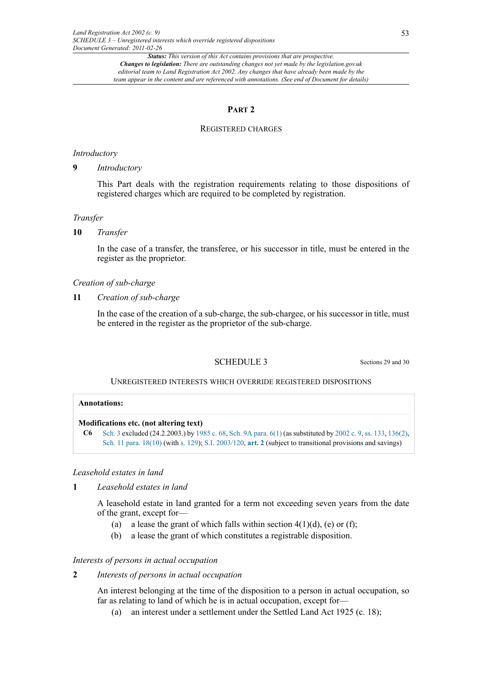#### **PART 2**

#### REGISTERED CHARGES

#### *Introductory*

**9** *Introductory*

This Part deals with the registration requirements relating to those dispositions of registered charges which are required to be completed by registration.

#### *Transfer*

**10** *Transfer*

In the case of a transfer, the transferee, or his successor in title, must be entered in the register as the proprietor.

#### *Creation of sub-charge*

**11** *Creation of sub-charge*

In the case of the creation of a sub-charge, the sub-chargee, or his successor in title, must be entered in the register as the proprietor of the sub-charge.

#### SCHEDULE 3 Sections 29 and 30

#### UNREGISTERED INTERESTS WHICH OVERRIDE REGISTERED DISPOSITIONS

#### **Annotations:**

#### **Modifications etc. (not altering text)**

**C6** [Sch. 3](http://www.legislation.gov.uk/id/ukpga/2002/9/schedule/3) excluded (24.2.2003.) by [1985 c. 68,](http://www.legislation.gov.uk/id/ukpga/1985/68) [Sch. 9A para. 6\(1\)](http://www.legislation.gov.uk/id/ukpga/1985/68/schedule/9A/paragraph/6/1) (as substituted by [2002 c. 9](http://www.legislation.gov.uk/id/ukpga/2002/9), [ss. 133,](http://www.legislation.gov.uk/id/ukpga/2002/9/section/133) [136\(2\)](http://www.legislation.gov.uk/id/ukpga/2002/9/section/136/2), [Sch. 11 para. 18\(10\)](http://www.legislation.gov.uk/id/ukpga/2002/9/schedule/11/paragraph/18/10) (with [s. 129\)](http://www.legislation.gov.uk/id/ukpga/2002/9/section/129); [S.I. 2003/120](http://www.legislation.gov.uk/id/uksi/2003/120), **[art. 2](http://www.legislation.gov.uk/id/uksi/2003/120/article/2)** (subject to transitional provisions and savings)

#### *Leasehold estates in land*

**1** *Leasehold estates in land*

A leasehold estate in land granted for a term not exceeding seven years from the date of the grant, except for—

- (a) a lease the grant of which falls within section  $4(1)(d)$ , (e) or (f);
- (b) a lease the grant of which constitutes a registrable disposition.

### *Interests of persons in actual occupation*

**2** *Interests of persons in actual occupation*

An interest belonging at the time of the disposition to a person in actual occupation, so far as relating to land of which he is in actual occupation, except for—

(a) an interest under a settlement under the Settled Land Act 1925 (c. 18);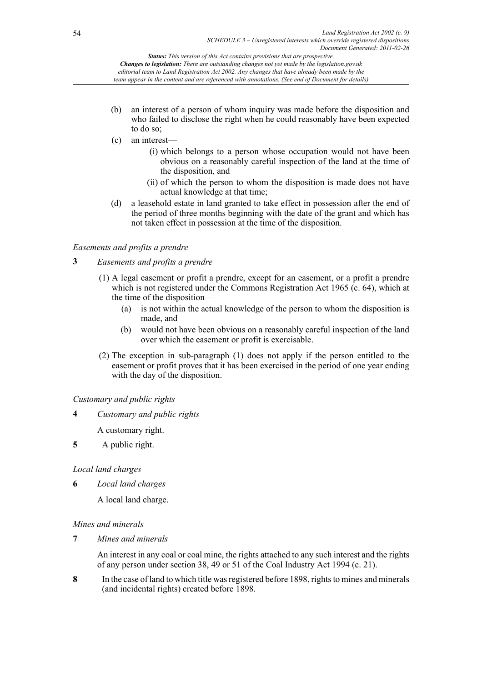*Changes to legislation: There are outstanding changes not yet made by the legislation.gov.uk editorial team to Land Registration Act 2002. Any changes that have already been made by the team appear in the content and are referenced with annotations. (See end of Document for details)*

- (b) an interest of a person of whom inquiry was made before the disposition and who failed to disclose the right when he could reasonably have been expected to do so;
- (c) an interest—
	- (i) which belongs to a person whose occupation would not have been obvious on a reasonably careful inspection of the land at the time of the disposition, and
	- (ii) of which the person to whom the disposition is made does not have actual knowledge at that time;
- (d) a leasehold estate in land granted to take effect in possession after the end of the period of three months beginning with the date of the grant and which has not taken effect in possession at the time of the disposition.

### *Easements and profits a prendre*

- **3** *Easements and profits a prendre*
	- (1) A legal easement or profit a prendre, except for an easement, or a profit a prendre which is not registered under the Commons Registration Act 1965 (c. 64), which at the time of the disposition—
		- (a) is not within the actual knowledge of the person to whom the disposition is made, and
		- (b) would not have been obvious on a reasonably careful inspection of the land over which the easement or profit is exercisable.
	- (2) The exception in sub-paragraph (1) does not apply if the person entitled to the easement or profit proves that it has been exercised in the period of one year ending with the day of the disposition.

### *Customary and public rights*

**4** *Customary and public rights*

A customary right.

**5** A public right.

### *Local land charges*

**6** *Local land charges*

A local land charge.

### *Mines and minerals*

**7** *Mines and minerals*

An interest in any coal or coal mine, the rights attached to any such interest and the rights of any person under section 38, 49 or 51 of the Coal Industry Act 1994 (c. 21).

**8** In the case of land to which title was registered before 1898, rights to mines and minerals (and incidental rights) created before 1898.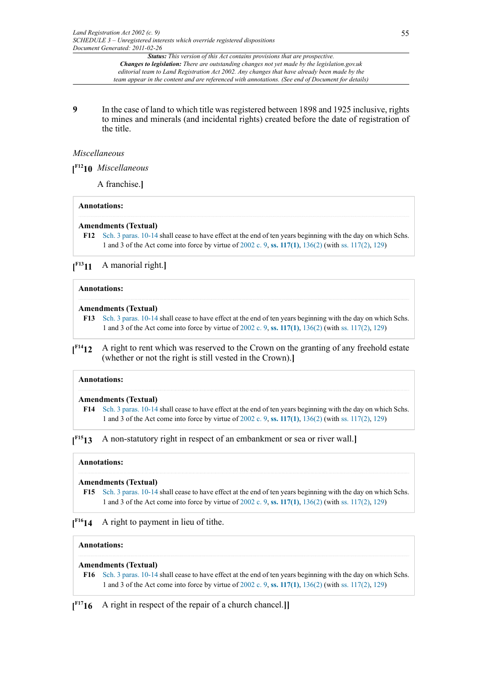**9** In the case of land to which title was registered between 1898 and 1925 inclusive, rights to mines and minerals (and incidental rights) created before the date of registration of the title.

### *Miscellaneous*

# **[ [F12](#page-54-0)10** *Miscellaneous*

A franchise.**]**

#### **Annotations:**

#### **Amendments (Textual)**

<span id="page-54-0"></span>**F12** [Sch. 3 paras. 10-14](http://www.legislation.gov.uk/id/ukpga/2002/9/schedule/3/paragraph/10) shall cease to have effect at the end of ten years beginning with the day on which Schs. 1 and 3 of the Act come into force by virtue of [2002 c. 9,](http://www.legislation.gov.uk/id/ukpga/2002/9) **[ss. 117\(1\)](http://www.legislation.gov.uk/id/ukpga/2002/9/section/117/1)**, [136\(2\)](http://www.legislation.gov.uk/id/ukpga/2002/9/section/136/2) (with [ss. 117\(2\)](http://www.legislation.gov.uk/id/ukpga/2002/9/section/117/2), [129](http://www.legislation.gov.uk/id/ukpga/2002/9/section/129))

<span id="page-54-2"></span> $[$ <sup>F13</sup>11 **[F13](#page-54-1)11** A manorial right.**]**

#### **Annotations:**

#### **Amendments (Textual)**

<span id="page-54-1"></span>**[F13](#page-54-2)** [Sch. 3 paras. 10-14](http://www.legislation.gov.uk/id/ukpga/2002/9/schedule/3/paragraph/10) shall cease to have effect at the end of ten years beginning with the day on which Schs. 1 and 3 of the Act come into force by virtue of [2002 c. 9,](http://www.legislation.gov.uk/id/ukpga/2002/9) **[ss. 117\(1\)](http://www.legislation.gov.uk/id/ukpga/2002/9/section/117/1)**, [136\(2\)](http://www.legislation.gov.uk/id/ukpga/2002/9/section/136/2) (with [ss. 117\(2\)](http://www.legislation.gov.uk/id/ukpga/2002/9/section/117/2), [129](http://www.legislation.gov.uk/id/ukpga/2002/9/section/129))

<span id="page-54-4"></span> $[$  $[$  $]$  $[$  $]$  $[$  $]$  $[$  $]$  $[$  $]$  $[$  $]$  $[$  $]$  $[$  $]$  $[$  $]$  $[$  $]$  $[$  $]$  $[$  $]$  $[$  $]$  $[$  $]$  $[$  $]$  $[$  $]$  $[$  $]$  $[$  $]$  $[$  $]$  $[$  $]$  $[$  $]$  $[$  $]$  $[$  $]$  $[$  $]$  $[$  $]$  $[$  $]$  $[$  $]$  $[$  $]$  $[$  $]$  $[$  $]$  $[$  $]$  $[$  $]$  $[$  $]$  $[$  $]$  $[$  $]$  $[$  $]$  $[$ **[F14](#page-54-3)12** A right to rent which was reserved to the Crown on the granting of any freehold estate (whether or not the right is still vested in the Crown).**]**

#### **Annotations:**

#### **Amendments (Textual)**

<span id="page-54-3"></span>**[F14](#page-54-4)** [Sch. 3 paras. 10-14](http://www.legislation.gov.uk/id/ukpga/2002/9/schedule/3/paragraph/10) shall cease to have effect at the end of ten years beginning with the day on which Schs. 1 and 3 of the Act come into force by virtue of [2002 c. 9,](http://www.legislation.gov.uk/id/ukpga/2002/9) **[ss. 117\(1\)](http://www.legislation.gov.uk/id/ukpga/2002/9/section/117/1)**, [136\(2\)](http://www.legislation.gov.uk/id/ukpga/2002/9/section/136/2) (with [ss. 117\(2\)](http://www.legislation.gov.uk/id/ukpga/2002/9/section/117/2), [129](http://www.legislation.gov.uk/id/ukpga/2002/9/section/129))

<span id="page-54-6"></span> $[$ <sup>F15</sup>13 **[F15](#page-54-5)13** A non-statutory right in respect of an embankment or sea or river wall.**]**

#### **Annotations:**

#### **Amendments (Textual)**

<span id="page-54-5"></span>**[F15](#page-54-6)** [Sch. 3 paras. 10-14](http://www.legislation.gov.uk/id/ukpga/2002/9/schedule/3/paragraph/10) shall cease to have effect at the end of ten years beginning with the day on which Schs. 1 and 3 of the Act come into force by virtue of [2002 c. 9,](http://www.legislation.gov.uk/id/ukpga/2002/9) **[ss. 117\(1\)](http://www.legislation.gov.uk/id/ukpga/2002/9/section/117/1)**, [136\(2\)](http://www.legislation.gov.uk/id/ukpga/2002/9/section/136/2) (with [ss. 117\(2\)](http://www.legislation.gov.uk/id/ukpga/2002/9/section/117/2), [129](http://www.legislation.gov.uk/id/ukpga/2002/9/section/129))

#### <span id="page-54-8"></span> $I<sup>F16</sup>14$ **[F16](#page-54-7)14** A right to payment in lieu of tithe.

#### **Annotations:**

#### **Amendments (Textual)**

<span id="page-54-7"></span>**[F16](#page-54-8)** [Sch. 3 paras. 10-14](http://www.legislation.gov.uk/id/ukpga/2002/9/schedule/3/paragraph/10) shall cease to have effect at the end of ten years beginning with the day on which Schs. 1 and 3 of the Act come into force by virtue of [2002 c. 9,](http://www.legislation.gov.uk/id/ukpga/2002/9) **[ss. 117\(1\)](http://www.legislation.gov.uk/id/ukpga/2002/9/section/117/1)**, [136\(2\)](http://www.legislation.gov.uk/id/ukpga/2002/9/section/136/2) (with [ss. 117\(2\)](http://www.legislation.gov.uk/id/ukpga/2002/9/section/117/2), [129](http://www.legislation.gov.uk/id/ukpga/2002/9/section/129))

<span id="page-54-9"></span> $[$ <sup>F17</sup>16 **[F17](#page-55-0)16** A right in respect of the repair of a church chancel.**]]**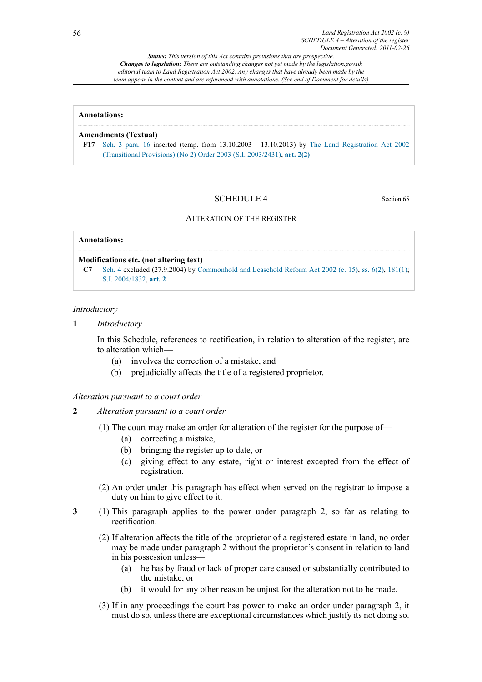#### **Annotations:**

#### **Amendments (Textual)**

<span id="page-55-0"></span>**[F17](#page-54-9)** [Sch. 3 para. 16](http://www.legislation.gov.uk/id/ukpga/2002/9/schedule/3/paragraph/16) inserted (temp. from 13.10.2003 - 13.10.2013) by [The Land Registration Act 2002](http://www.legislation.gov.uk/id/uksi/2003/2431) [\(Transitional Provisions\) \(No 2\) Order 2003 \(S.I. 2003/2431\)](http://www.legislation.gov.uk/id/uksi/2003/2431), **[art. 2\(2\)](http://www.legislation.gov.uk/id/uksi/2003/2431/article/2/2)**

#### SCHEDULE 4 Section 65

#### ALTERATION OF THE REGISTER

#### **Annotations:**

#### **Modifications etc. (not altering text)**

**C7** [Sch. 4](http://www.legislation.gov.uk/id/ukpga/2002/9/schedule/4) excluded (27.9.2004) by [Commonhold and Leasehold Reform Act 2002 \(c. 15\),](http://www.legislation.gov.uk/id/ukpga/2002/15) [ss. 6\(2\),](http://www.legislation.gov.uk/id/ukpga/2002/15/section/6/2) [181\(1\);](http://www.legislation.gov.uk/id/ukpga/2002/15/section/181/1) [S.I. 2004/1832,](http://www.legislation.gov.uk/id/uksi/2004/1832) **[art. 2](http://www.legislation.gov.uk/id/uksi/2004/1832/article/2)**

#### *Introductory*

**1** *Introductory*

In this Schedule, references to rectification, in relation to alteration of the register, are to alteration which—

- (a) involves the correction of a mistake, and
- (b) prejudicially affects the title of a registered proprietor.

*Alteration pursuant to a court order*

- **2** *Alteration pursuant to a court order*
	- (1) The court may make an order for alteration of the register for the purpose of—
		- (a) correcting a mistake,
		- (b) bringing the register up to date, or
		- (c) giving effect to any estate, right or interest excepted from the effect of registration.
	- (2) An order under this paragraph has effect when served on the registrar to impose a duty on him to give effect to it.
- **3** (1) This paragraph applies to the power under paragraph 2, so far as relating to rectification.
	- (2) If alteration affects the title of the proprietor of a registered estate in land, no order may be made under paragraph 2 without the proprietor's consent in relation to land in his possession unless—
		- (a) he has by fraud or lack of proper care caused or substantially contributed to the mistake, or
		- (b) it would for any other reason be unjust for the alteration not to be made.
	- (3) If in any proceedings the court has power to make an order under paragraph 2, it must do so, unless there are exceptional circumstances which justify its not doing so.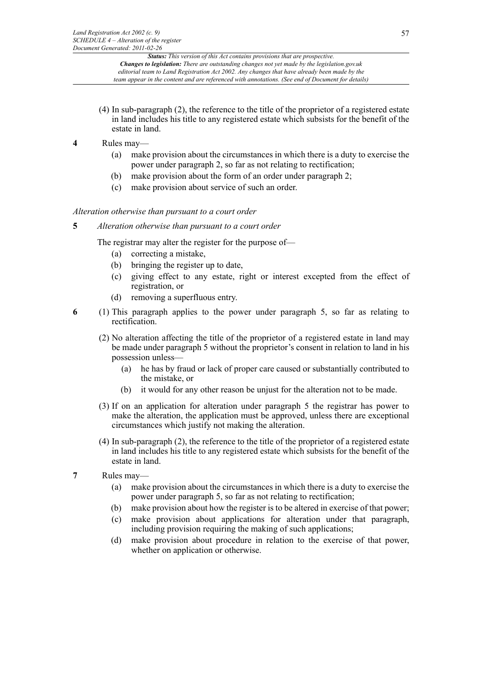- (4) In sub-paragraph (2), the reference to the title of the proprietor of a registered estate in land includes his title to any registered estate which subsists for the benefit of the estate in land.
- **4** Rules may—
	- (a) make provision about the circumstances in which there is a duty to exercise the power under paragraph 2, so far as not relating to rectification;
	- (b) make provision about the form of an order under paragraph 2;
	- (c) make provision about service of such an order.

### *Alteration otherwise than pursuant to a court order*

**5** *Alteration otherwise than pursuant to a court order*

The registrar may alter the register for the purpose of—

- (a) correcting a mistake,
- (b) bringing the register up to date,
- (c) giving effect to any estate, right or interest excepted from the effect of registration, or
- (d) removing a superfluous entry.
- **6** (1) This paragraph applies to the power under paragraph 5, so far as relating to rectification.
	- (2) No alteration affecting the title of the proprietor of a registered estate in land may be made under paragraph 5 without the proprietor's consent in relation to land in his possession unless—
		- (a) he has by fraud or lack of proper care caused or substantially contributed to the mistake, or
		- (b) it would for any other reason be unjust for the alteration not to be made.
	- (3) If on an application for alteration under paragraph 5 the registrar has power to make the alteration, the application must be approved, unless there are exceptional circumstances which justify not making the alteration.
	- (4) In sub-paragraph (2), the reference to the title of the proprietor of a registered estate in land includes his title to any registered estate which subsists for the benefit of the estate in land.
- **7** Rules may—
	- (a) make provision about the circumstances in which there is a duty to exercise the power under paragraph 5, so far as not relating to rectification;
	- (b) make provision about how the register is to be altered in exercise of that power;
	- (c) make provision about applications for alteration under that paragraph, including provision requiring the making of such applications;
	- (d) make provision about procedure in relation to the exercise of that power, whether on application or otherwise.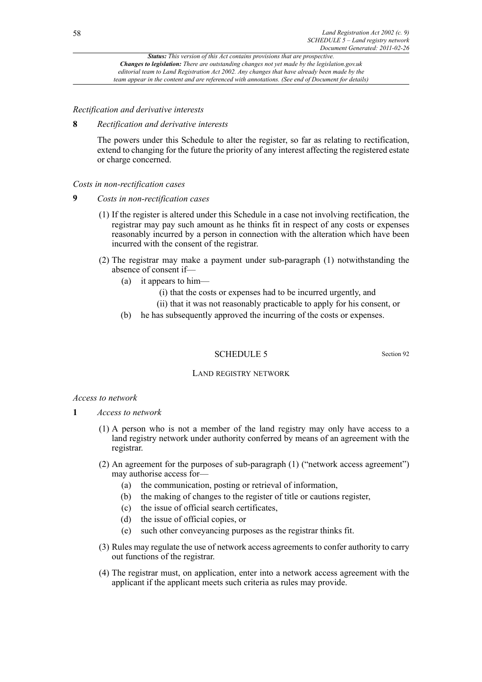*Rectification and derivative interests*

**8** *Rectification and derivative interests*

The powers under this Schedule to alter the register, so far as relating to rectification, extend to changing for the future the priority of any interest affecting the registered estate or charge concerned.

*Costs in non-rectification cases*

- **9** *Costs in non-rectification cases*
	- (1) If the register is altered under this Schedule in a case not involving rectification, the registrar may pay such amount as he thinks fit in respect of any costs or expenses reasonably incurred by a person in connection with the alteration which have been incurred with the consent of the registrar.
	- (2) The registrar may make a payment under sub-paragraph (1) notwithstanding the absence of consent if—
		- (a) it appears to him—
			- (i) that the costs or expenses had to be incurred urgently, and
			- (ii) that it was not reasonably practicable to apply for his consent, or
		- (b) he has subsequently approved the incurring of the costs or expenses.

#### SCHEDULE 5 Section 92

### LAND REGISTRY NETWORK

#### *Access to network*

- **1** *Access to network*
	- (1) A person who is not a member of the land registry may only have access to a land registry network under authority conferred by means of an agreement with the registrar.
	- (2) An agreement for the purposes of sub-paragraph (1) ("network access agreement") may authorise access for—
		- (a) the communication, posting or retrieval of information,
		- (b) the making of changes to the register of title or cautions register,
		- (c) the issue of official search certificates,
		- (d) the issue of official copies, or
		- (e) such other conveyancing purposes as the registrar thinks fit.
	- (3) Rules may regulate the use of network access agreements to confer authority to carry out functions of the registrar.
	- (4) The registrar must, on application, enter into a network access agreement with the applicant if the applicant meets such criteria as rules may provide.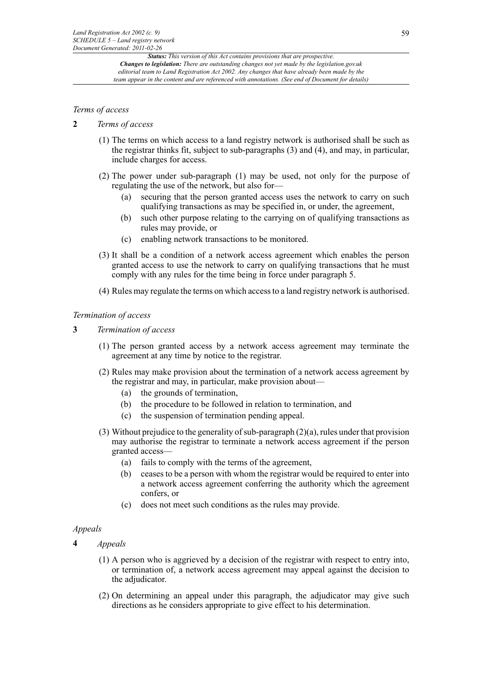#### *Terms of access*

- **2** *Terms of access*
	- (1) The terms on which access to a land registry network is authorised shall be such as the registrar thinks fit, subject to sub-paragraphs (3) and (4), and may, in particular, include charges for access.
	- (2) The power under sub-paragraph (1) may be used, not only for the purpose of regulating the use of the network, but also for—
		- (a) securing that the person granted access uses the network to carry on such qualifying transactions as may be specified in, or under, the agreement,
		- (b) such other purpose relating to the carrying on of qualifying transactions as rules may provide, or
		- (c) enabling network transactions to be monitored.
	- (3) It shall be a condition of a network access agreement which enables the person granted access to use the network to carry on qualifying transactions that he must comply with any rules for the time being in force under paragraph 5.
	- (4) Rules may regulate the terms on which access to a land registry network is authorised.

#### *Termination of access*

- **3** *Termination of access*
	- (1) The person granted access by a network access agreement may terminate the agreement at any time by notice to the registrar.
	- (2) Rules may make provision about the termination of a network access agreement by the registrar and may, in particular, make provision about—
		- (a) the grounds of termination,
		- (b) the procedure to be followed in relation to termination, and
		- (c) the suspension of termination pending appeal.
	- (3) Without prejudice to the generality of sub-paragraph (2)(a), rules under that provision may authorise the registrar to terminate a network access agreement if the person granted access—
		- (a) fails to comply with the terms of the agreement,
		- (b) ceases to be a person with whom the registrar would be required to enter into a network access agreement conferring the authority which the agreement confers, or
		- (c) does not meet such conditions as the rules may provide.

#### *Appeals*

- **4** *Appeals*
	- (1) A person who is aggrieved by a decision of the registrar with respect to entry into, or termination of, a network access agreement may appeal against the decision to the adjudicator.
	- (2) On determining an appeal under this paragraph, the adjudicator may give such directions as he considers appropriate to give effect to his determination.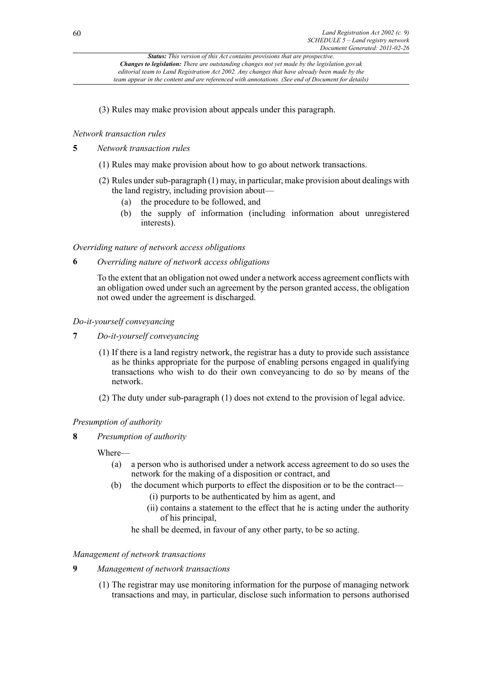(3) Rules may make provision about appeals under this paragraph.

### *Network transaction rules*

- **5** *Network transaction rules*
	- (1) Rules may make provision about how to go about network transactions.
	- (2) Rules under sub-paragraph (1) may, in particular, make provision about dealings with the land registry, including provision about—
		- (a) the procedure to be followed, and
		- (b) the supply of information (including information about unregistered interests).

### *Overriding nature of network access obligations*

**6** *Overriding nature of network access obligations*

To the extent that an obligation not owed under a network access agreement conflicts with an obligation owed under such an agreement by the person granted access, the obligation not owed under the agreement is discharged.

### *Do-it-yourself conveyancing*

- **7** *Do-it-yourself conveyancing*
	- (1) If there is a land registry network, the registrar has a duty to provide such assistance as he thinks appropriate for the purpose of enabling persons engaged in qualifying transactions who wish to do their own conveyancing to do so by means of the network.
	- (2) The duty under sub-paragraph (1) does not extend to the provision of legal advice.

### *Presumption of authority*

**8** *Presumption of authority*

#### Where—

- (a) a person who is authorised under a network access agreement to do so uses the network for the making of a disposition or contract, and
- (b) the document which purports to effect the disposition or to be the contract—
	- (i) purports to be authenticated by him as agent, and
	- (ii) contains a statement to the effect that he is acting under the authority of his principal,
	- he shall be deemed, in favour of any other party, to be so acting.

#### *Management of network transactions*

- **9** *Management of network transactions*
	- (1) The registrar may use monitoring information for the purpose of managing network transactions and may, in particular, disclose such information to persons authorised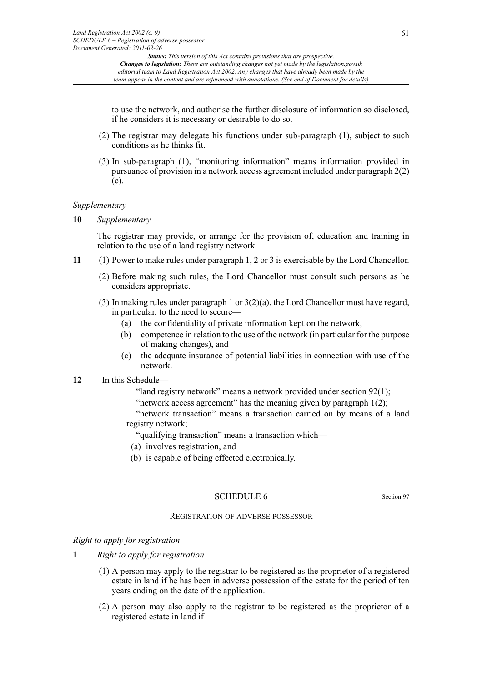to use the network, and authorise the further disclosure of information so disclosed, if he considers it is necessary or desirable to do so.

- (2) The registrar may delegate his functions under sub-paragraph (1), subject to such conditions as he thinks fit.
- (3) In sub-paragraph (1), "monitoring information" means information provided in pursuance of provision in a network access agreement included under paragraph 2(2) (c).

#### *Supplementary*

**10** *Supplementary*

The registrar may provide, or arrange for the provision of, education and training in relation to the use of a land registry network.

- **11** (1) Power to make rules under paragraph 1, 2 or 3 is exercisable by the Lord Chancellor.
	- (2) Before making such rules, the Lord Chancellor must consult such persons as he considers appropriate.
	- (3) In making rules under paragraph 1 or  $3(2)(a)$ , the Lord Chancellor must have regard, in particular, to the need to secure—
		- (a) the confidentiality of private information kept on the network,
		- (b) competence in relation to the use of the network (in particular for the purpose of making changes), and
		- (c) the adequate insurance of potential liabilities in connection with use of the network.

### **12** In this Schedule—

- "land registry network" means a network provided under section 92(1);
- "network access agreement" has the meaning given by paragraph 1(2);

"network transaction" means a transaction carried on by means of a land registry network;

"qualifying transaction" means a transaction which—

- (a) involves registration, and
- (b) is capable of being effected electronically.

### SCHEDULE 6 Section 97

#### REGISTRATION OF ADVERSE POSSESSOR

#### *Right to apply for registration*

- **1** *Right to apply for registration*
	- (1) A person may apply to the registrar to be registered as the proprietor of a registered estate in land if he has been in adverse possession of the estate for the period of ten years ending on the date of the application.
	- (2) A person may also apply to the registrar to be registered as the proprietor of a registered estate in land if—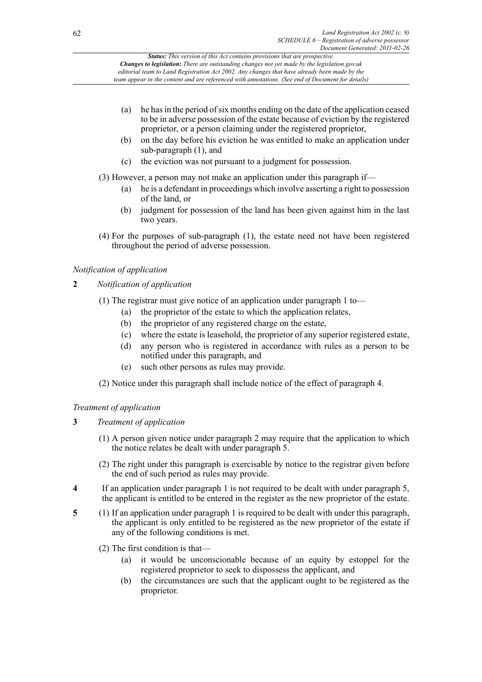- (a) he has in the period of six months ending on the date of the application ceased to be in adverse possession of the estate because of eviction by the registered proprietor, or a person claiming under the registered proprietor,
- (b) on the day before his eviction he was entitled to make an application under sub-paragraph (1), and
- (c) the eviction was not pursuant to a judgment for possession.
- (3) However, a person may not make an application under this paragraph if—
	- (a) he is a defendant in proceedings which involve asserting a right to possession of the land, or
	- (b) judgment for possession of the land has been given against him in the last two years.
- (4) For the purposes of sub-paragraph (1), the estate need not have been registered throughout the period of adverse possession.

## *Notification of application*

- **2** *Notification of application*
	- (1) The registrar must give notice of an application under paragraph 1 to—
		- (a) the proprietor of the estate to which the application relates,
		- (b) the proprietor of any registered charge on the estate,
		- (c) where the estate is leasehold, the proprietor of any superior registered estate,
		- (d) any person who is registered in accordance with rules as a person to be notified under this paragraph, and
		- (e) such other persons as rules may provide.
	- (2) Notice under this paragraph shall include notice of the effect of paragraph 4.

## *Treatment of application*

- **3** *Treatment of application*
	- (1) A person given notice under paragraph 2 may require that the application to which the notice relates be dealt with under paragraph 5.
	- (2) The right under this paragraph is exercisable by notice to the registrar given before the end of such period as rules may provide.
- **4** If an application under paragraph 1 is not required to be dealt with under paragraph 5, the applicant is entitled to be entered in the register as the new proprietor of the estate.
- **5** (1) If an application under paragraph 1 is required to be dealt with under this paragraph, the applicant is only entitled to be registered as the new proprietor of the estate if any of the following conditions is met.
	- (2) The first condition is that—
		- (a) it would be unconscionable because of an equity by estoppel for the registered proprietor to seek to dispossess the applicant, and
		- (b) the circumstances are such that the applicant ought to be registered as the proprietor.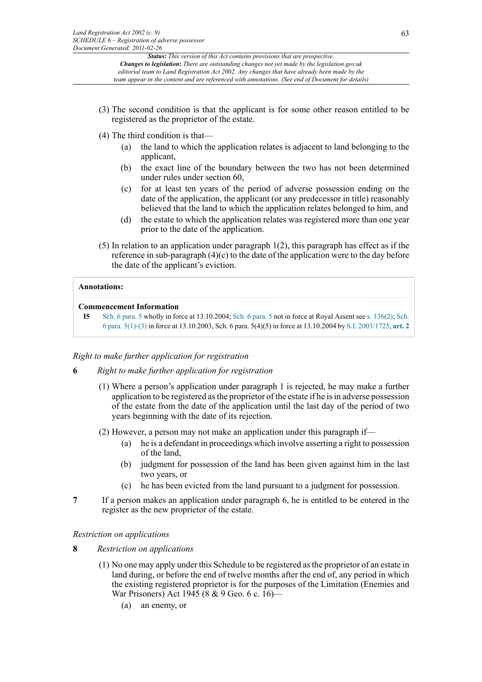- (3) The second condition is that the applicant is for some other reason entitled to be registered as the proprietor of the estate.
- (4) The third condition is that—
	- (a) the land to which the application relates is adjacent to land belonging to the applicant,
	- (b) the exact line of the boundary between the two has not been determined under rules under section 60,
	- (c) for at least ten years of the period of adverse possession ending on the date of the application, the applicant (or any predecessor in title) reasonably believed that the land to which the application relates belonged to him, and
	- (d) the estate to which the application relates was registered more than one year prior to the date of the application.
- (5) In relation to an application under paragraph 1(2), this paragraph has effect as if the reference in sub-paragraph  $(4)(c)$  to the date of the application were to the day before the date of the applicant's eviction.

#### **Annotations:**

#### **Commencement Information**

**I5** [Sch. 6 para. 5](http://www.legislation.gov.uk/id/ukpga/2002/9/schedule/6/paragraph/5) wholly in force at 13.10.2004; [Sch. 6 para. 5](http://www.legislation.gov.uk/id/ukpga/2002/9/schedule/6/paragraph/5) not in force at Royal Assent see [s. 136\(2\)](http://www.legislation.gov.uk/id/ukpga/2002/9/section/136/2); [Sch.](http://www.legislation.gov.uk/id/ukpga/2002/9/schedule/6/paragraph/5/1) [6 para. 5\(1\)-\(3\)](http://www.legislation.gov.uk/id/ukpga/2002/9/schedule/6/paragraph/5/1) in force at 13.10.2003, Sch. 6 para. 5(4)(5) in force at 13.10.2004 by [S.I. 2003/1725,](http://www.legislation.gov.uk/id/uksi/2003/1725) **[art. 2](http://www.legislation.gov.uk/id/uksi/2003/1725/article/2)**

#### *Right to make further application for registration*

- **6** *Right to make further application for registration*
	- (1) Where a person's application under paragraph 1 is rejected, he may make a further application to be registered as the proprietor of the estate if he is in adverse possession of the estate from the date of the application until the last day of the period of two years beginning with the date of its rejection.
	- (2) However, a person may not make an application under this paragraph if—
		- (a) he is a defendant in proceedings which involve asserting a right to possession of the land,
		- (b) judgment for possession of the land has been given against him in the last two years, or
		- (c) he has been evicted from the land pursuant to a judgment for possession.
- **7** If a person makes an application under paragraph 6, he is entitled to be entered in the register as the new proprietor of the estate.

#### *Restriction on applications*

- **8** *Restriction on applications*
	- (1) No one may apply under this Schedule to be registered as the proprietor of an estate in land during, or before the end of twelve months after the end of, any period in which the existing registered proprietor is for the purposes of the Limitation (Enemies and War Prisoners) Act 1945 (8 & 9 Geo. 6 c. 16)—
		- (a) an enemy, or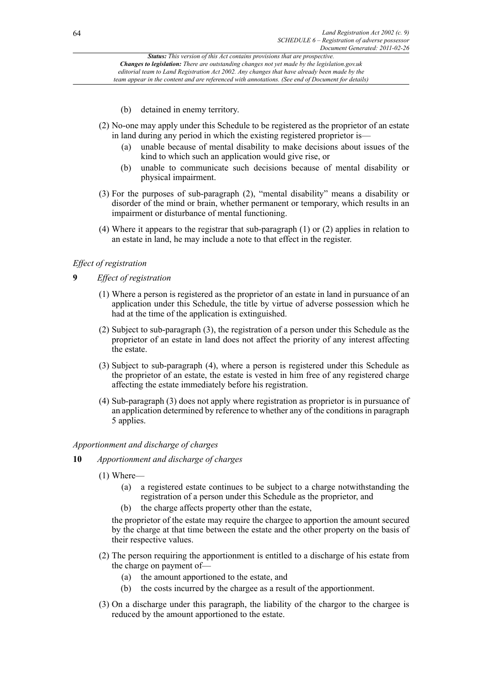- (b) detained in enemy territory.
- (2) No-one may apply under this Schedule to be registered as the proprietor of an estate in land during any period in which the existing registered proprietor is—
	- (a) unable because of mental disability to make decisions about issues of the kind to which such an application would give rise, or
	- (b) unable to communicate such decisions because of mental disability or physical impairment.
- (3) For the purposes of sub-paragraph (2), "mental disability" means a disability or disorder of the mind or brain, whether permanent or temporary, which results in an impairment or disturbance of mental functioning.
- (4) Where it appears to the registrar that sub-paragraph (1) or (2) applies in relation to an estate in land, he may include a note to that effect in the register.

### *Effect of registration*

- **9** *Effect of registration*
	- (1) Where a person is registered as the proprietor of an estate in land in pursuance of an application under this Schedule, the title by virtue of adverse possession which he had at the time of the application is extinguished.
	- (2) Subject to sub-paragraph (3), the registration of a person under this Schedule as the proprietor of an estate in land does not affect the priority of any interest affecting the estate.
	- (3) Subject to sub-paragraph (4), where a person is registered under this Schedule as the proprietor of an estate, the estate is vested in him free of any registered charge affecting the estate immediately before his registration.
	- (4) Sub-paragraph (3) does not apply where registration as proprietor is in pursuance of an application determined by reference to whether any of the conditions in paragraph 5 applies.

#### *Apportionment and discharge of charges*

- **10** *Apportionment and discharge of charges*
	- (1) Where—
		- (a) a registered estate continues to be subject to a charge notwithstanding the registration of a person under this Schedule as the proprietor, and
		- (b) the charge affects property other than the estate,

the proprietor of the estate may require the chargee to apportion the amount secured by the charge at that time between the estate and the other property on the basis of their respective values.

- (2) The person requiring the apportionment is entitled to a discharge of his estate from the charge on payment of—
	- (a) the amount apportioned to the estate, and
	- (b) the costs incurred by the chargee as a result of the apportionment.
- (3) On a discharge under this paragraph, the liability of the chargor to the chargee is reduced by the amount apportioned to the estate.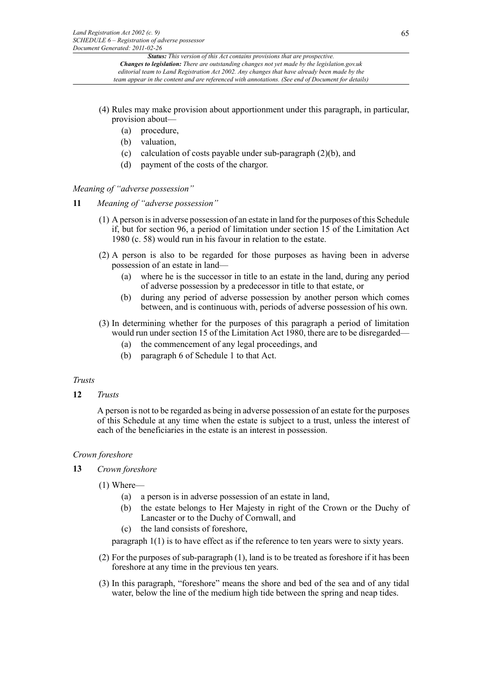*team appear in the content and are referenced with annotations. (See end of Document for details)*

- (4) Rules may make provision about apportionment under this paragraph, in particular, provision about—
	- (a) procedure,
	- (b) valuation,
	- (c) calculation of costs payable under sub-paragraph (2)(b), and
	- (d) payment of the costs of the chargor.

#### *Meaning of "adverse possession"*

- **11** *Meaning of "adverse possession"*
	- (1) A person is in adverse possession of an estate in land for the purposes of this Schedule if, but for section 96, a period of limitation under section 15 of the Limitation Act 1980 (c. 58) would run in his favour in relation to the estate.
	- (2) A person is also to be regarded for those purposes as having been in adverse possession of an estate in land—
		- (a) where he is the successor in title to an estate in the land, during any period of adverse possession by a predecessor in title to that estate, or
		- (b) during any period of adverse possession by another person which comes between, and is continuous with, periods of adverse possession of his own.
	- (3) In determining whether for the purposes of this paragraph a period of limitation would run under section 15 of the Limitation Act 1980, there are to be disregarded—
		- (a) the commencement of any legal proceedings, and
		- (b) paragraph 6 of Schedule 1 to that Act.

#### *Trusts*

**12** *Trusts*

A person is not to be regarded as being in adverse possession of an estate for the purposes of this Schedule at any time when the estate is subject to a trust, unless the interest of each of the beneficiaries in the estate is an interest in possession.

#### *Crown foreshore*

**13** *Crown foreshore*

(1) Where—

- (a) a person is in adverse possession of an estate in land,
- (b) the estate belongs to Her Majesty in right of the Crown or the Duchy of Lancaster or to the Duchy of Cornwall, and
- (c) the land consists of foreshore,

paragraph 1(1) is to have effect as if the reference to ten years were to sixty years.

- (2) For the purposes of sub-paragraph (1), land is to be treated as foreshore if it has been foreshore at any time in the previous ten years.
- (3) In this paragraph, "foreshore" means the shore and bed of the sea and of any tidal water, below the line of the medium high tide between the spring and neap tides.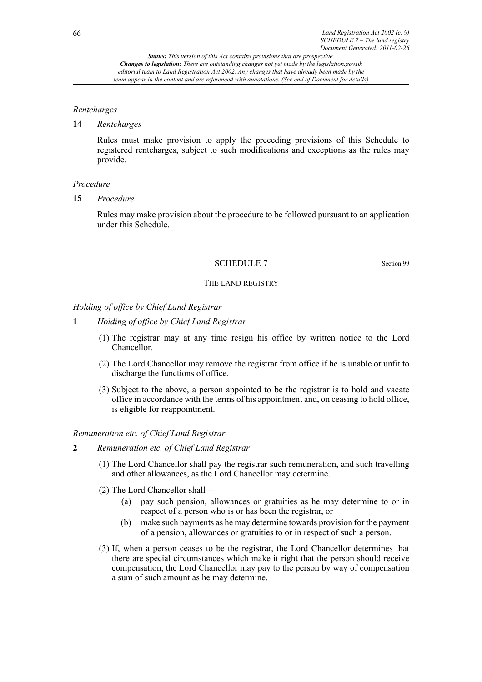### *Rentcharges*

**14** *Rentcharges*

Rules must make provision to apply the preceding provisions of this Schedule to registered rentcharges, subject to such modifications and exceptions as the rules may provide.

### *Procedure*

**15** *Procedure*

Rules may make provision about the procedure to be followed pursuant to an application under this Schedule.

### SCHEDULE 7 Section 99

### THE LAND REGISTRY

### *Holding of office by Chief Land Registrar*

- **1** *Holding of office by Chief Land Registrar*
	- (1) The registrar may at any time resign his office by written notice to the Lord Chancellor.
	- (2) The Lord Chancellor may remove the registrar from office if he is unable or unfit to discharge the functions of office.
	- (3) Subject to the above, a person appointed to be the registrar is to hold and vacate office in accordance with the terms of his appointment and, on ceasing to hold office, is eligible for reappointment.

#### *Remuneration etc. of Chief Land Registrar*

- **2** *Remuneration etc. of Chief Land Registrar*
	- (1) The Lord Chancellor shall pay the registrar such remuneration, and such travelling and other allowances, as the Lord Chancellor may determine.
	- (2) The Lord Chancellor shall—
		- (a) pay such pension, allowances or gratuities as he may determine to or in respect of a person who is or has been the registrar, or
		- (b) make such payments as he may determine towards provision for the payment of a pension, allowances or gratuities to or in respect of such a person.
	- (3) If, when a person ceases to be the registrar, the Lord Chancellor determines that there are special circumstances which make it right that the person should receive compensation, the Lord Chancellor may pay to the person by way of compensation a sum of such amount as he may determine.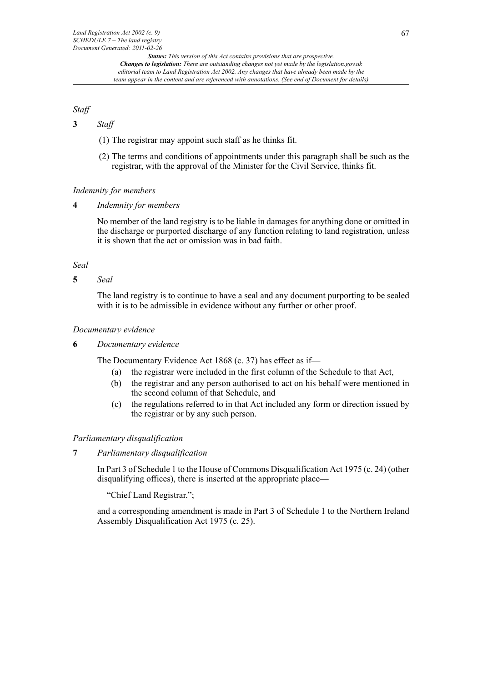#### *Staff*

### **3** *Staff*

- (1) The registrar may appoint such staff as he thinks fit.
- (2) The terms and conditions of appointments under this paragraph shall be such as the registrar, with the approval of the Minister for the Civil Service, thinks fit.

#### *Indemnity for members*

**4** *Indemnity for members*

No member of the land registry is to be liable in damages for anything done or omitted in the discharge or purported discharge of any function relating to land registration, unless it is shown that the act or omission was in bad faith.

#### *Seal*

**5** *Seal*

The land registry is to continue to have a seal and any document purporting to be sealed with it is to be admissible in evidence without any further or other proof.

#### *Documentary evidence*

**6** *Documentary evidence*

The Documentary Evidence Act 1868 (c. 37) has effect as if—

- (a) the registrar were included in the first column of the Schedule to that Act,
- (b) the registrar and any person authorised to act on his behalf were mentioned in the second column of that Schedule, and
- (c) the regulations referred to in that Act included any form or direction issued by the registrar or by any such person.

#### *Parliamentary disqualification*

**7** *Parliamentary disqualification*

In Part 3 of Schedule 1 to the House of Commons Disqualification Act 1975 (c. 24) (other disqualifying offices), there is inserted at the appropriate place—

### "Chief Land Registrar.";

and a corresponding amendment is made in Part 3 of Schedule 1 to the Northern Ireland Assembly Disqualification Act 1975 (c. 25).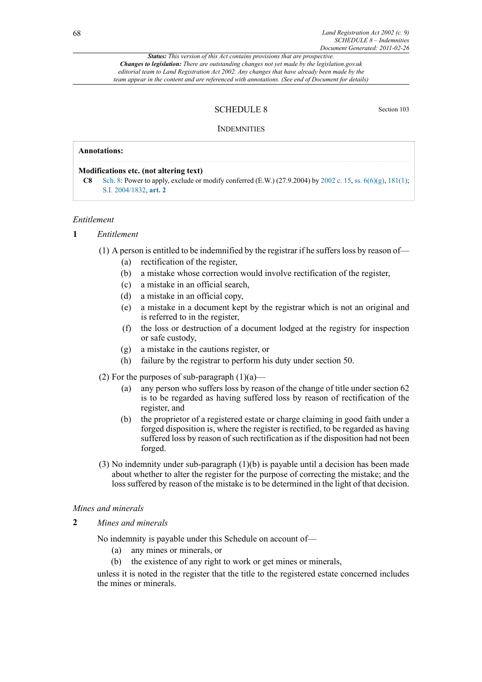### SCHEDULE 8 Section 103

#### INDEMNITIES

# **Annotations: Modifications etc. (not altering text) C8** [Sch. 8](http://www.legislation.gov.uk/id/ukpga/2002/9/schedule/8): Power to apply, exclude or modify conferred (E.W.) (27.9.2004) by [2002 c. 15](http://www.legislation.gov.uk/id/ukpga/2002/15), ss.  $6(6)(g)$ , [181\(1\);](http://www.legislation.gov.uk/id/ukpga/2002/15/section/181/1) [S.I. 2004/1832,](http://www.legislation.gov.uk/id/uksi/2004/1832) **[art. 2](http://www.legislation.gov.uk/id/uksi/2004/1832/article/2)**

#### *Entitlement*

- **1** *Entitlement*
	- (1) A person is entitled to be indemnified by the registrar if he suffers loss by reason of—
		- (a) rectification of the register,
		- (b) a mistake whose correction would involve rectification of the register,
		- (c) a mistake in an official search,
		- (d) a mistake in an official copy,
		- (e) a mistake in a document kept by the registrar which is not an original and is referred to in the register,
		- (f) the loss or destruction of a document lodged at the registry for inspection or safe custody,
		- (g) a mistake in the cautions register, or
		- (h) failure by the registrar to perform his duty under section 50.
	- (2) For the purposes of sub-paragraph  $(1)(a)$ 
		- (a) any person who suffers loss by reason of the change of title under section 62 is to be regarded as having suffered loss by reason of rectification of the register, and
		- (b) the proprietor of a registered estate or charge claiming in good faith under a forged disposition is, where the register is rectified, to be regarded as having suffered loss by reason of such rectification as if the disposition had not been forged.
	- (3) No indemnity under sub-paragraph (1)(b) is payable until a decision has been made about whether to alter the register for the purpose of correcting the mistake; and the loss suffered by reason of the mistake is to be determined in the light of that decision.

#### *Mines and minerals*

**2** *Mines and minerals*

No indemnity is payable under this Schedule on account of—

- (a) any mines or minerals, or
- (b) the existence of any right to work or get mines or minerals,

unless it is noted in the register that the title to the registered estate concerned includes the mines or minerals.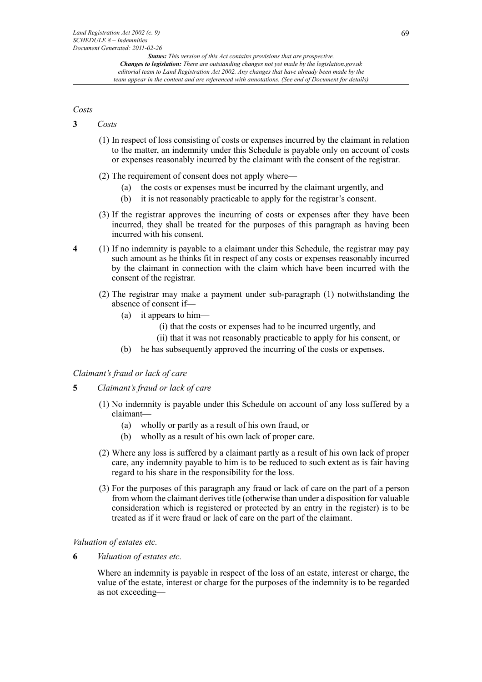#### *Costs*

- **3** *Costs*
	- (1) In respect of loss consisting of costs or expenses incurred by the claimant in relation to the matter, an indemnity under this Schedule is payable only on account of costs or expenses reasonably incurred by the claimant with the consent of the registrar.
	- (2) The requirement of consent does not apply where—
		- (a) the costs or expenses must be incurred by the claimant urgently, and
		- (b) it is not reasonably practicable to apply for the registrar's consent.
	- (3) If the registrar approves the incurring of costs or expenses after they have been incurred, they shall be treated for the purposes of this paragraph as having been incurred with his consent.
- **4** (1) If no indemnity is payable to a claimant under this Schedule, the registrar may pay such amount as he thinks fit in respect of any costs or expenses reasonably incurred by the claimant in connection with the claim which have been incurred with the consent of the registrar.
	- (2) The registrar may make a payment under sub-paragraph (1) notwithstanding the absence of consent if—
		- (a) it appears to him—
			- (i) that the costs or expenses had to be incurred urgently, and
			- (ii) that it was not reasonably practicable to apply for his consent, or
		- (b) he has subsequently approved the incurring of the costs or expenses.

#### *Claimant's fraud or lack of care*

- **5** *Claimant's fraud or lack of care*
	- (1) No indemnity is payable under this Schedule on account of any loss suffered by a claimant—
		- (a) wholly or partly as a result of his own fraud, or
		- (b) wholly as a result of his own lack of proper care.
	- (2) Where any loss is suffered by a claimant partly as a result of his own lack of proper care, any indemnity payable to him is to be reduced to such extent as is fair having regard to his share in the responsibility for the loss.
	- (3) For the purposes of this paragraph any fraud or lack of care on the part of a person from whom the claimant derives title (otherwise than under a disposition for valuable consideration which is registered or protected by an entry in the register) is to be treated as if it were fraud or lack of care on the part of the claimant.

#### *Valuation of estates etc.*

**6** *Valuation of estates etc.*

Where an indemnity is payable in respect of the loss of an estate, interest or charge, the value of the estate, interest or charge for the purposes of the indemnity is to be regarded as not exceeding—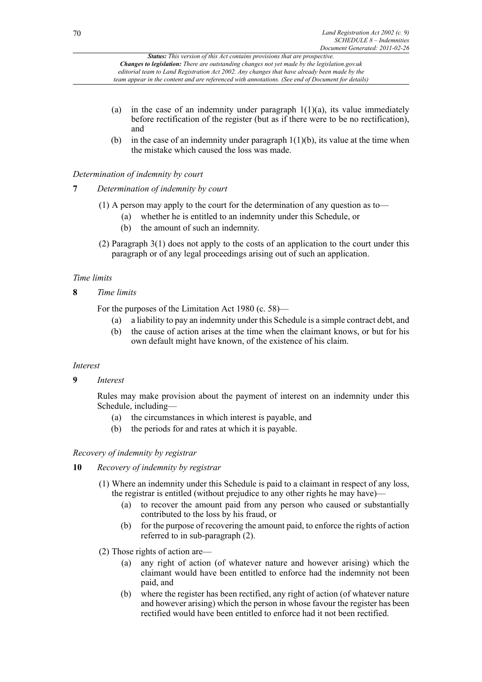- (a) in the case of an indemnity under paragraph  $1(1)(a)$ , its value immediately before rectification of the register (but as if there were to be no rectification), and
- (b) in the case of an indemnity under paragraph  $1(1)(b)$ , its value at the time when the mistake which caused the loss was made.

### *Determination of indemnity by court*

```
7 Determination of indemnity by court
```
- (1) A person may apply to the court for the determination of any question as to—
	- (a) whether he is entitled to an indemnity under this Schedule, or
	- (b) the amount of such an indemnity.
- (2) Paragraph 3(1) does not apply to the costs of an application to the court under this paragraph or of any legal proceedings arising out of such an application.

### *Time limits*

**8** *Time limits*

For the purposes of the Limitation Act 1980 (c. 58)—

- (a) a liability to pay an indemnity under this Schedule is a simple contract debt, and
- (b) the cause of action arises at the time when the claimant knows, or but for his own default might have known, of the existence of his claim.

### *Interest*

**9** *Interest*

Rules may make provision about the payment of interest on an indemnity under this Schedule, including—

- (a) the circumstances in which interest is payable, and
- (b) the periods for and rates at which it is payable.

### *Recovery of indemnity by registrar*

### **10** *Recovery of indemnity by registrar*

- (1) Where an indemnity under this Schedule is paid to a claimant in respect of any loss, the registrar is entitled (without prejudice to any other rights he may have)—
	- (a) to recover the amount paid from any person who caused or substantially contributed to the loss by his fraud, or
	- (b) for the purpose of recovering the amount paid, to enforce the rights of action referred to in sub-paragraph (2).
- (2) Those rights of action are—
	- (a) any right of action (of whatever nature and however arising) which the claimant would have been entitled to enforce had the indemnity not been paid, and
	- (b) where the register has been rectified, any right of action (of whatever nature and however arising) which the person in whose favour the register has been rectified would have been entitled to enforce had it not been rectified.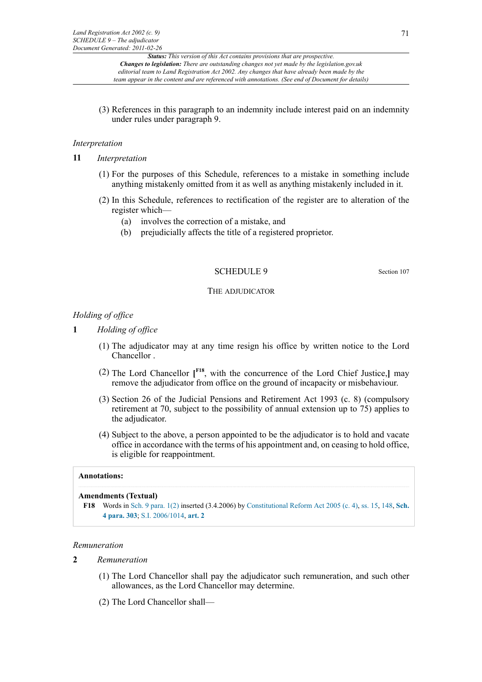(3) References in this paragraph to an indemnity include interest paid on an indemnity under rules under paragraph 9.

### *Interpretation*

- **11** *Interpretation*
	- (1) For the purposes of this Schedule, references to a mistake in something include anything mistakenly omitted from it as well as anything mistakenly included in it.
	- (2) In this Schedule, references to rectification of the register are to alteration of the register which—
		- (a) involves the correction of a mistake, and
		- (b) prejudicially affects the title of a registered proprietor.

### SCHEDULE 9 Section 107

### <span id="page-70-1"></span>THE ADJUDICATOR

### *Holding of office*

- **1** *Holding of office*
	- (1) The adjudicator may at any time resign his office by written notice to the Lord Chancellor .
	- (2) The Lord Chancellor **[ [F18](#page-70-0)**, with the concurrence of the Lord Chief Justice,**]** may remove the adjudicator from office on the ground of incapacity or misbehaviour.
	- (3) Section 26 of the Judicial Pensions and Retirement Act 1993 (c. 8) (compulsory retirement at 70, subject to the possibility of annual extension up to 75) applies to the adjudicator.
	- (4) Subject to the above, a person appointed to be the adjudicator is to hold and vacate office in accordance with the terms of his appointment and, on ceasing to hold office, is eligible for reappointment.

### **Annotations:**

#### **Amendments (Textual)**

<span id="page-70-0"></span>**[F18](#page-70-1)** Words in [Sch. 9 para. 1\(2\)](http://www.legislation.gov.uk/id/ukpga/2002/9/schedule/9/paragraph/1/2) inserted (3.4.2006) by [Constitutional Reform Act 2005 \(c. 4\),](http://www.legislation.gov.uk/id/ukpga/2005/4) [ss. 15,](http://www.legislation.gov.uk/id/ukpga/2005/4/section/15) [148,](http://www.legislation.gov.uk/id/ukpga/2005/4/section/148) **[Sch.](http://www.legislation.gov.uk/id/ukpga/2005/4/schedule/4/paragraph/303) [4 para. 303](http://www.legislation.gov.uk/id/ukpga/2005/4/schedule/4/paragraph/303)**; [S.I. 2006/1014](http://www.legislation.gov.uk/id/uksi/2006/1014), **[art. 2](http://www.legislation.gov.uk/id/uksi/2006/1014/article/2)**

#### *Remuneration*

- **2** *Remuneration*
	- (1) The Lord Chancellor shall pay the adjudicator such remuneration, and such other allowances, as the Lord Chancellor may determine.
	- (2) The Lord Chancellor shall—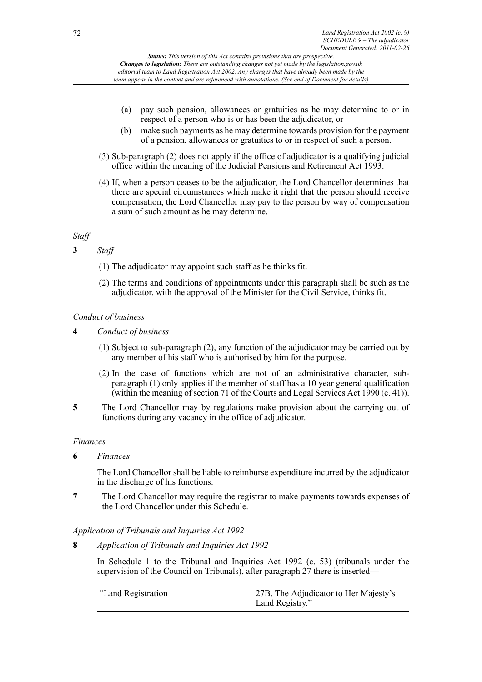- (a) pay such pension, allowances or gratuities as he may determine to or in respect of a person who is or has been the adjudicator, or
- (b) make such payments as he may determine towards provision for the payment of a pension, allowances or gratuities to or in respect of such a person.
- (3) Sub-paragraph (2) does not apply if the office of adjudicator is a qualifying judicial office within the meaning of the Judicial Pensions and Retirement Act 1993.
- (4) If, when a person ceases to be the adjudicator, the Lord Chancellor determines that there are special circumstances which make it right that the person should receive compensation, the Lord Chancellor may pay to the person by way of compensation a sum of such amount as he may determine.

### *Staff*

**3** *Staff*

- (1) The adjudicator may appoint such staff as he thinks fit.
- (2) The terms and conditions of appointments under this paragraph shall be such as the adjudicator, with the approval of the Minister for the Civil Service, thinks fit.

### *Conduct of business*

- **4** *Conduct of business*
	- (1) Subject to sub-paragraph (2), any function of the adjudicator may be carried out by any member of his staff who is authorised by him for the purpose.
	- (2) In the case of functions which are not of an administrative character, subparagraph (1) only applies if the member of staff has a 10 year general qualification (within the meaning of section 71 of the Courts and Legal Services Act 1990 (c. 41)).
- **5** The Lord Chancellor may by regulations make provision about the carrying out of functions during any vacancy in the office of adjudicator.

#### *Finances*

**6** *Finances*

The Lord Chancellor shall be liable to reimburse expenditure incurred by the adjudicator in the discharge of his functions.

**7** The Lord Chancellor may require the registrar to make payments towards expenses of the Lord Chancellor under this Schedule.

#### *Application of Tribunals and Inquiries Act 1992*

**8** *Application of Tribunals and Inquiries Act 1992*

In Schedule 1 to the Tribunal and Inquiries Act 1992 (c. 53) (tribunals under the supervision of the Council on Tribunals), after paragraph 27 there is inserted—

| "Land Registration" | 27B. The Adjudicator to Her Majesty's<br>Land Registry." |
|---------------------|----------------------------------------------------------|
|                     |                                                          |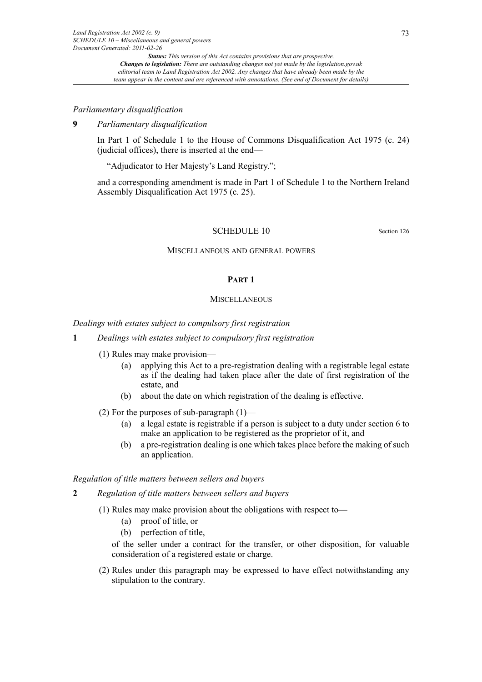#### *Parliamentary disqualification*

**9** *Parliamentary disqualification*

In Part 1 of Schedule 1 to the House of Commons Disqualification Act 1975 (c. 24) (judicial offices), there is inserted at the end—

"Adjudicator to Her Majesty's Land Registry.";

and a corresponding amendment is made in Part 1 of Schedule 1 to the Northern Ireland Assembly Disqualification Act 1975 (c. 25).

## SCHEDULE 10 Section 126

#### MISCELLANEOUS AND GENERAL POWERS

#### **PART 1**

#### **MISCELLANEOUS**

*Dealings with estates subject to compulsory first registration*

- **1** *Dealings with estates subject to compulsory first registration*
	- (1) Rules may make provision—
		- (a) applying this Act to a pre-registration dealing with a registrable legal estate as if the dealing had taken place after the date of first registration of the estate, and
		- (b) about the date on which registration of the dealing is effective.
	- (2) For the purposes of sub-paragraph (1)—
		- (a) a legal estate is registrable if a person is subject to a duty under section 6 to make an application to be registered as the proprietor of it, and
		- (b) a pre-registration dealing is one which takes place before the making of such an application.

#### *Regulation of title matters between sellers and buyers*

- **2** *Regulation of title matters between sellers and buyers*
	- (1) Rules may make provision about the obligations with respect to—
		- (a) proof of title, or
		- (b) perfection of title,

of the seller under a contract for the transfer, or other disposition, for valuable consideration of a registered estate or charge.

(2) Rules under this paragraph may be expressed to have effect notwithstanding any stipulation to the contrary.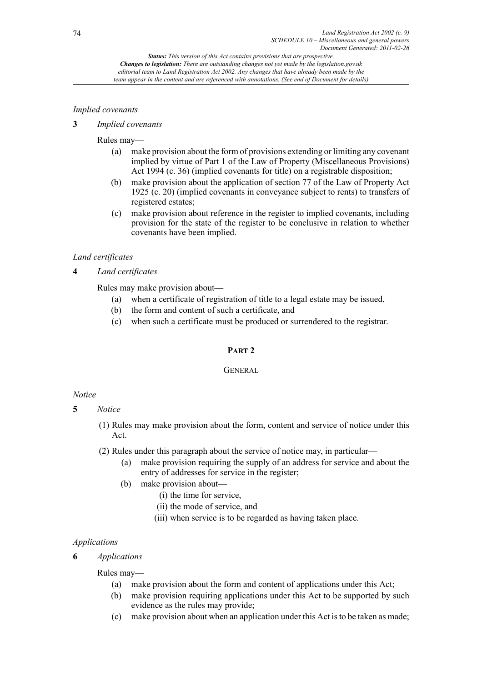## *Implied covenants*

**3** *Implied covenants*

Rules may—

- (a) make provision about the form of provisions extending or limiting any covenant implied by virtue of Part 1 of the Law of Property (Miscellaneous Provisions) Act 1994 (c. 36) (implied covenants for title) on a registrable disposition;
- (b) make provision about the application of section 77 of the Law of Property Act 1925 (c. 20) (implied covenants in conveyance subject to rents) to transfers of registered estates;
- (c) make provision about reference in the register to implied covenants, including provision for the state of the register to be conclusive in relation to whether covenants have been implied.

## *Land certificates*

**4** *Land certificates*

Rules may make provision about—

- (a) when a certificate of registration of title to a legal estate may be issued,
- (b) the form and content of such a certificate, and
- (c) when such a certificate must be produced or surrendered to the registrar.

# **PART 2**

## **GENERAL**

## *Notice*

**5** *Notice*

- (1) Rules may make provision about the form, content and service of notice under this Act.
- (2) Rules under this paragraph about the service of notice may, in particular—
	- (a) make provision requiring the supply of an address for service and about the entry of addresses for service in the register;
	- (b) make provision about—
		- (i) the time for service,
		- (ii) the mode of service, and
		- (iii) when service is to be regarded as having taken place.

# *Applications*

**6** *Applications*

Rules may—

- (a) make provision about the form and content of applications under this Act;
- (b) make provision requiring applications under this Act to be supported by such evidence as the rules may provide;
- (c) make provision about when an application under this Act is to be taken as made;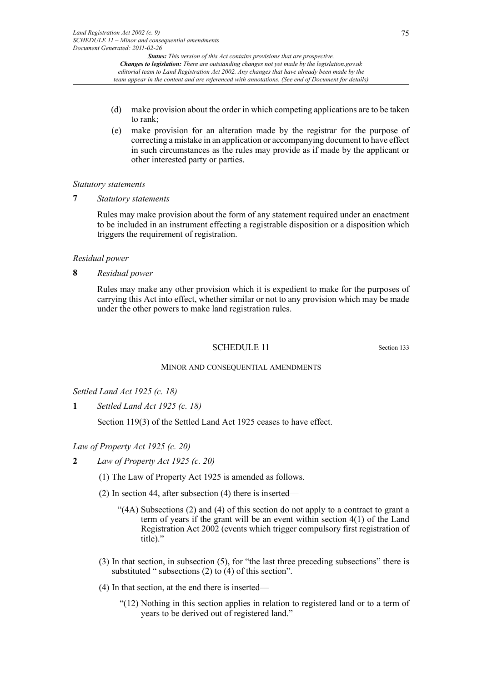- (d) make provision about the order in which competing applications are to be taken to rank;
- (e) make provision for an alteration made by the registrar for the purpose of correcting a mistake in an application or accompanying document to have effect in such circumstances as the rules may provide as if made by the applicant or other interested party or parties.

# *Statutory statements*

**7** *Statutory statements*

Rules may make provision about the form of any statement required under an enactment to be included in an instrument effecting a registrable disposition or a disposition which triggers the requirement of registration.

## *Residual power*

**8** *Residual power*

Rules may make any other provision which it is expedient to make for the purposes of carrying this Act into effect, whether similar or not to any provision which may be made under the other powers to make land registration rules.

## SCHEDULE 11 Section 133

#### MINOR AND CONSEQUENTIAL AMENDMENTS

*Settled Land Act 1925 (c. 18)*

**1** *Settled Land Act 1925 (c. 18)*

Section 119(3) of the Settled Land Act 1925 ceases to have effect.

## *Law of Property Act 1925 (c. 20)*

- **2** *Law of Property Act 1925 (c. 20)*
	- (1) The Law of Property Act 1925 is amended as follows.
	- (2) In section 44, after subsection (4) there is inserted—
		- "(4A) Subsections (2) and (4) of this section do not apply to a contract to grant a term of years if the grant will be an event within section 4(1) of the Land Registration Act 2002 (events which trigger compulsory first registration of title)."
	- (3) In that section, in subsection (5), for "the last three preceding subsections" there is substituted " subsections (2) to (4) of this section".
	- (4) In that section, at the end there is inserted—
		- "(12) Nothing in this section applies in relation to registered land or to a term of years to be derived out of registered land."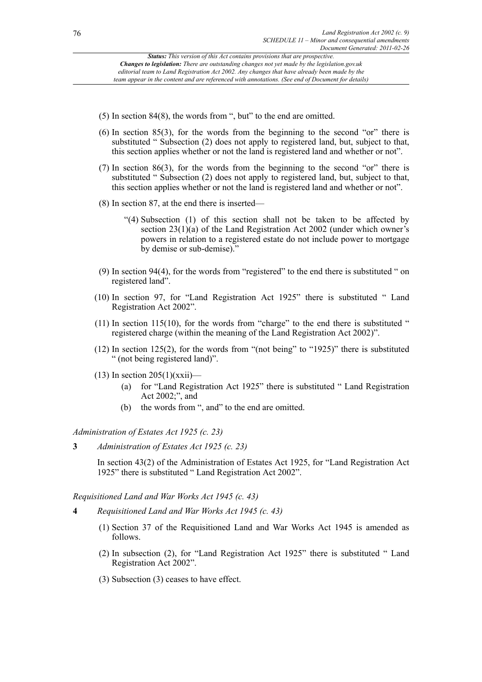- (5) In section 84(8), the words from ", but" to the end are omitted.
- (6) In section 85(3), for the words from the beginning to the second "or" there is substituted " Subsection (2) does not apply to registered land, but, subject to that, this section applies whether or not the land is registered land and whether or not".
- (7) In section 86(3), for the words from the beginning to the second "or" there is substituted " Subsection (2) does not apply to registered land, but, subject to that, this section applies whether or not the land is registered land and whether or not".
- (8) In section 87, at the end there is inserted—
	- "(4) Subsection (1) of this section shall not be taken to be affected by section 23(1)(a) of the Land Registration Act 2002 (under which owner's powers in relation to a registered estate do not include power to mortgage by demise or sub-demise)."
- (9) In section 94(4), for the words from "registered" to the end there is substituted " on registered land".
- (10) In section 97, for "Land Registration Act 1925" there is substituted " Land Registration Act 2002".
- $(11)$  In section 115(10), for the words from "charge" to the end there is substituted " registered charge (within the meaning of the Land Registration Act 2002)".
- (12) In section 125(2), for the words from "(not being" to "1925)" there is substituted " (not being registered land)".
- $(13)$  In section 205 $(1)(xxii)$ 
	- (a) for "Land Registration Act 1925" there is substituted " Land Registration Act 2002;", and
	- (b) the words from ", and" to the end are omitted.

*Administration of Estates Act 1925 (c. 23)*

**3** *Administration of Estates Act 1925 (c. 23)*

In section 43(2) of the Administration of Estates Act 1925, for "Land Registration Act 1925" there is substituted " Land Registration Act 2002".

*Requisitioned Land and War Works Act 1945 (c. 43)*

- **4** *Requisitioned Land and War Works Act 1945 (c. 43)*
	- (1) Section 37 of the Requisitioned Land and War Works Act 1945 is amended as follows.
	- (2) In subsection (2), for "Land Registration Act 1925" there is substituted " Land Registration Act 2002".
	- (3) Subsection (3) ceases to have effect.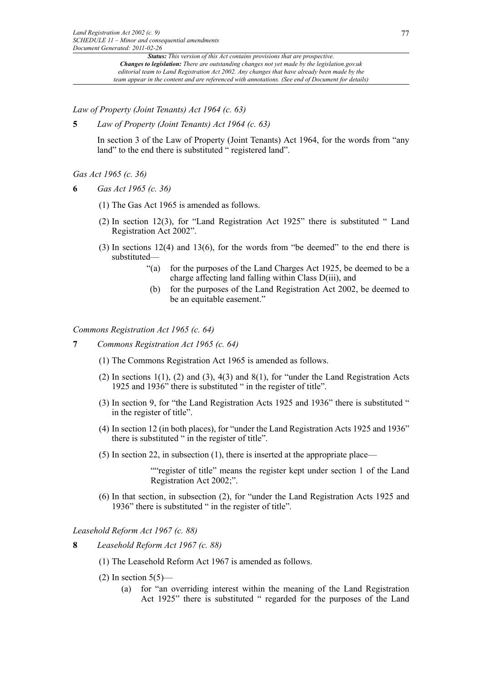*Law of Property (Joint Tenants) Act 1964 (c. 63)*

**5** *Law of Property (Joint Tenants) Act 1964 (c. 63)*

In section 3 of the Law of Property (Joint Tenants) Act 1964, for the words from "any land" to the end there is substituted " registered land".

*Gas Act 1965 (c. 36)*

- **6** *Gas Act 1965 (c. 36)*
	- (1) The Gas Act 1965 is amended as follows.
	- (2) In section 12(3), for "Land Registration Act 1925" there is substituted " Land Registration Act 2002".
	- (3) In sections 12(4) and 13(6), for the words from "be deemed" to the end there is substituted—
		- "(a) for the purposes of the Land Charges Act 1925, be deemed to be a charge affecting land falling within Class D(iii), and
		- (b) for the purposes of the Land Registration Act 2002, be deemed to be an equitable easement."

*Commons Registration Act 1965 (c. 64)*

- **7** *Commons Registration Act 1965 (c. 64)*
	- (1) The Commons Registration Act 1965 is amended as follows.
	- (2) In sections  $1(1)$ , (2) and (3),  $4(3)$  and  $8(1)$ , for "under the Land Registration Acts 1925 and 1936" there is substituted " in the register of title".
	- (3) In section 9, for "the Land Registration Acts 1925 and 1936" there is substituted " in the register of title".
	- (4) In section 12 (in both places), for "under the Land Registration Acts 1925 and 1936" there is substituted " in the register of title".
	- (5) In section 22, in subsection (1), there is inserted at the appropriate place—

""register of title" means the register kept under section 1 of the Land Registration Act 2002;".

(6) In that section, in subsection (2), for "under the Land Registration Acts 1925 and 1936" there is substituted " in the register of title".

#### *Leasehold Reform Act 1967 (c. 88)*

- **8** *Leasehold Reform Act 1967 (c. 88)*
	- (1) The Leasehold Reform Act 1967 is amended as follows.
	- $(2)$  In section 5(5)—
		- (a) for "an overriding interest within the meaning of the Land Registration Act 1925" there is substituted " regarded for the purposes of the Land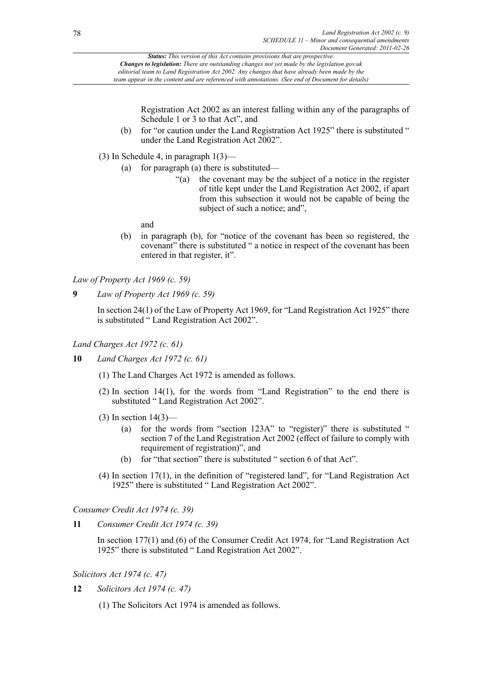Registration Act 2002 as an interest falling within any of the paragraphs of Schedule 1 or 3 to that Act", and

(b) for "or caution under the Land Registration Act 1925" there is substituted " under the Land Registration Act 2002".

(3) In Schedule 4, in paragraph 1(3)—

- (a) for paragraph (a) there is substituted—
	- "(a) the covenant may be the subject of a notice in the register of title kept under the Land Registration Act 2002, if apart from this subsection it would not be capable of being the subject of such a notice; and",

and

(b) in paragraph (b), for "notice of the covenant has been so registered, the covenant" there is substituted " a notice in respect of the covenant has been entered in that register, it".

*Law of Property Act 1969 (c. 59)*

**9** *Law of Property Act 1969 (c. 59)*

In section 24(1) of the Law of Property Act 1969, for "Land Registration Act 1925" there is substituted " Land Registration Act 2002".

*Land Charges Act 1972 (c. 61)*

- **10** *Land Charges Act 1972 (c. 61)*
	- (1) The Land Charges Act 1972 is amended as follows.
	- (2) In section 14(1), for the words from "Land Registration" to the end there is substituted " Land Registration Act 2002".
	- (3) In section 14(3)—
		- (a) for the words from "section 123A" to "register)" there is substituted " section 7 of the Land Registration Act 2002 (effect of failure to comply with requirement of registration)", and
		- (b) for "that section" there is substituted " section 6 of that Act".
	- (4) In section 17(1), in the definition of "registered land", for "Land Registration Act 1925" there is substituted " Land Registration Act 2002".

*Consumer Credit Act 1974 (c. 39)*

**11** *Consumer Credit Act 1974 (c. 39)*

In section 177(1) and (6) of the Consumer Credit Act 1974, for "Land Registration Act 1925" there is substituted " Land Registration Act 2002".

*Solicitors Act 1974 (c. 47)*

**12** *Solicitors Act 1974 (c. 47)*

(1) The Solicitors Act 1974 is amended as follows.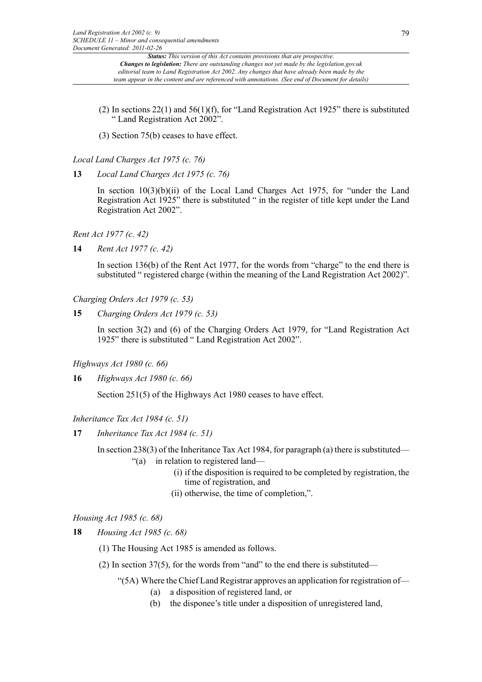- (2) In sections 22(1) and 56(1)(f), for "Land Registration Act 1925" there is substituted " Land Registration Act 2002".
- (3) Section 75(b) ceases to have effect.

## *Local Land Charges Act 1975 (c. 76)*

**13** *Local Land Charges Act 1975 (c. 76)*

In section  $10(3)(b)(ii)$  of the Local Land Charges Act 1975, for "under the Land" Registration Act 1925" there is substituted " in the register of title kept under the Land Registration Act 2002".

# *Rent Act 1977 (c. 42)*

**14** *Rent Act 1977 (c. 42)*

In section 136(b) of the Rent Act 1977, for the words from "charge" to the end there is substituted " registered charge (within the meaning of the Land Registration Act 2002)".

# *Charging Orders Act 1979 (c. 53)*

**15** *Charging Orders Act 1979 (c. 53)*

In section 3(2) and (6) of the Charging Orders Act 1979, for "Land Registration Act 1925" there is substituted " Land Registration Act 2002".

## *Highways Act 1980 (c. 66)*

**16** *Highways Act 1980 (c. 66)*

Section 251(5) of the Highways Act 1980 ceases to have effect.

*Inheritance Tax Act 1984 (c. 51)*

**17** *Inheritance Tax Act 1984 (c. 51)*

In section 238(3) of the Inheritance Tax Act 1984, for paragraph (a) there is substituted—

- "(a) in relation to registered land—
	- (i) if the disposition is required to be completed by registration, the time of registration, and
	- (ii) otherwise, the time of completion,".

## *Housing Act 1985 (c. 68)*

- **18** *Housing Act 1985 (c. 68)*
	- (1) The Housing Act 1985 is amended as follows.
	- (2) In section  $37(5)$ , for the words from "and" to the end there is substituted—
		- "(5A) Where the Chief Land Registrar approves an application for registration of—
			- (a) a disposition of registered land, or
			- (b) the disponee's title under a disposition of unregistered land,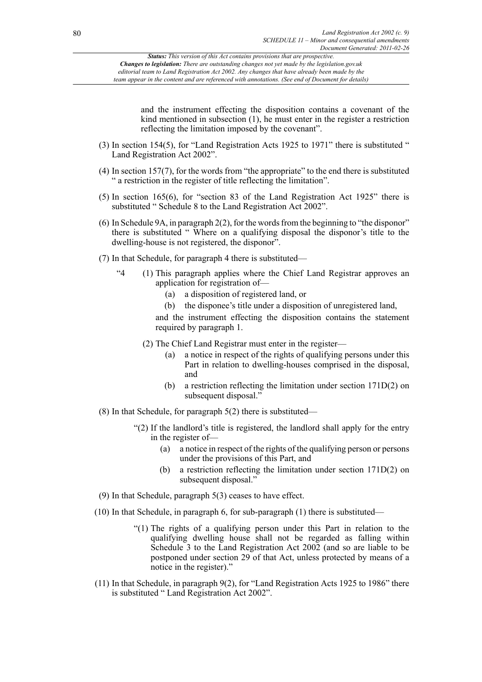and the instrument effecting the disposition contains a covenant of the kind mentioned in subsection (1), he must enter in the register a restriction reflecting the limitation imposed by the covenant".

- (3) In section 154(5), for "Land Registration Acts 1925 to 1971" there is substituted " Land Registration Act 2002".
- (4) In section 157(7), for the words from "the appropriate" to the end there is substituted " a restriction in the register of title reflecting the limitation".
- (5) In section 165(6), for "section 83 of the Land Registration Act 1925" there is substituted " Schedule 8 to the Land Registration Act 2002".
- (6) In Schedule 9A, in paragraph 2(2), for the words from the beginning to "the disponor" there is substituted " Where on a qualifying disposal the disponor's title to the dwelling-house is not registered, the disponor".
- (7) In that Schedule, for paragraph 4 there is substituted—
	- "4 (1) This paragraph applies where the Chief Land Registrar approves an application for registration of—
		- (a) a disposition of registered land, or
		- (b) the disponee's title under a disposition of unregistered land,

and the instrument effecting the disposition contains the statement required by paragraph 1.

- (2) The Chief Land Registrar must enter in the register—
	- (a) a notice in respect of the rights of qualifying persons under this Part in relation to dwelling-houses comprised in the disposal, and
	- (b) a restriction reflecting the limitation under section 171D(2) on subsequent disposal."
- (8) In that Schedule, for paragraph 5(2) there is substituted—
	- "(2) If the landlord's title is registered, the landlord shall apply for the entry in the register of—
		- (a) a notice in respect of the rights of the qualifying person or persons under the provisions of this Part, and
		- (b) a restriction reflecting the limitation under section 171D(2) on subsequent disposal."
- (9) In that Schedule, paragraph 5(3) ceases to have effect.
- (10) In that Schedule, in paragraph 6, for sub-paragraph (1) there is substituted—
	- "(1) The rights of a qualifying person under this Part in relation to the qualifying dwelling house shall not be regarded as falling within Schedule 3 to the Land Registration Act 2002 (and so are liable to be postponed under section 29 of that Act, unless protected by means of a notice in the register)."
- (11) In that Schedule, in paragraph 9(2), for "Land Registration Acts 1925 to 1986" there is substituted " Land Registration Act 2002".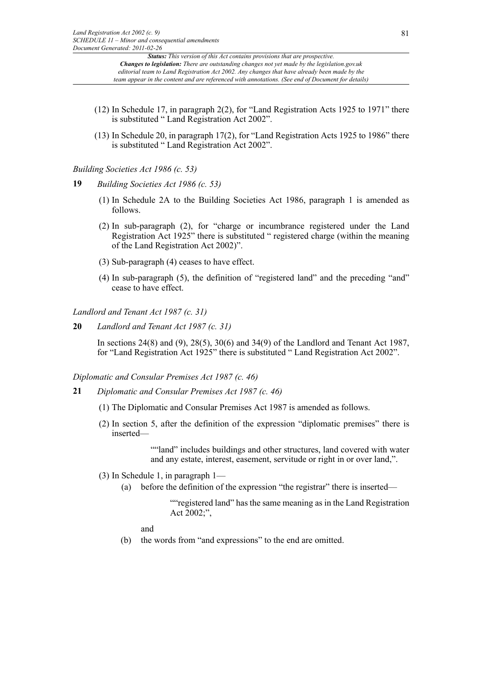- (12) In Schedule 17, in paragraph 2(2), for "Land Registration Acts 1925 to 1971" there is substituted " Land Registration Act 2002".
- (13) In Schedule 20, in paragraph 17(2), for "Land Registration Acts 1925 to 1986" there is substituted " Land Registration Act 2002".

*Building Societies Act 1986 (c. 53)*

- **19** *Building Societies Act 1986 (c. 53)*
	- (1) In Schedule 2A to the Building Societies Act 1986, paragraph 1 is amended as follows.
	- (2) In sub-paragraph (2), for "charge or incumbrance registered under the Land Registration Act 1925" there is substituted " registered charge (within the meaning of the Land Registration Act 2002)".
	- (3) Sub-paragraph (4) ceases to have effect.
	- (4) In sub-paragraph (5), the definition of "registered land" and the preceding "and" cease to have effect.

*Landlord and Tenant Act 1987 (c. 31)*

**20** *Landlord and Tenant Act 1987 (c. 31)*

In sections 24(8) and (9), 28(5), 30(6) and 34(9) of the Landlord and Tenant Act 1987, for "Land Registration Act 1925" there is substituted " Land Registration Act 2002".

*Diplomatic and Consular Premises Act 1987 (c. 46)*

- **21** *Diplomatic and Consular Premises Act 1987 (c. 46)*
	- (1) The Diplomatic and Consular Premises Act 1987 is amended as follows.
	- (2) In section 5, after the definition of the expression "diplomatic premises" there is inserted—

""and" includes buildings and other structures, land covered with water and any estate, interest, easement, servitude or right in or over land,".

- (3) In Schedule 1, in paragraph 1—
	- (a) before the definition of the expression "the registrar" there is inserted—

""registered land" has the same meaning as in the Land Registration Act 2002;",

and

(b) the words from "and expressions" to the end are omitted.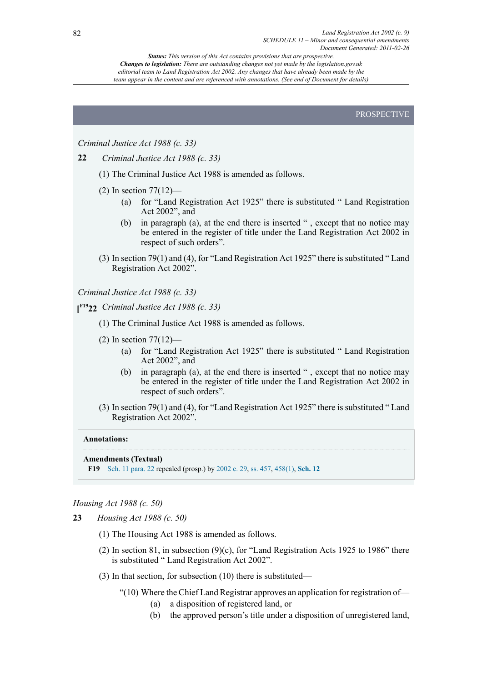#### PROSPECTIVE

*Criminal Justice Act 1988 (c. 33)*

- **22** *Criminal Justice Act 1988 (c. 33)*
	- (1) The Criminal Justice Act 1988 is amended as follows.
	- (2) In section 77(12)—
		- (a) for "Land Registration Act 1925" there is substituted " Land Registration Act 2002", and
		- (b) in paragraph (a), at the end there is inserted " , except that no notice may be entered in the register of title under the Land Registration Act 2002 in respect of such orders".
	- (3) In section 79(1) and (4), for "Land Registration Act 1925" there is substituted " Land Registration Act 2002".

*Criminal Justice Act 1988 (c. 33)*

**[ [F19](#page-81-0)22** *Criminal Justice Act 1988 (c. 33)*

- (1) The Criminal Justice Act 1988 is amended as follows.
- (2) In section 77(12)—
	- (a) for "Land Registration Act 1925" there is substituted " Land Registration Act 2002", and
	- (b) in paragraph (a), at the end there is inserted " , except that no notice may be entered in the register of title under the Land Registration Act 2002 in respect of such orders".
- (3) In section 79(1) and (4), for "Land Registration Act 1925" there is substituted " Land Registration Act 2002".

#### **Annotations:**

#### <span id="page-81-0"></span>**Amendments (Textual)**

**F19** [Sch. 11 para. 22](http://www.legislation.gov.uk/id/ukpga/2002/9/schedule/11/paragraph/22) repealed (prosp.) by [2002 c. 29](http://www.legislation.gov.uk/id/ukpga/2002/29), [ss. 457,](http://www.legislation.gov.uk/id/ukpga/2002/29/section/457) [458\(1\)](http://www.legislation.gov.uk/id/ukpga/2002/29/section/458/1), **[Sch. 12](http://www.legislation.gov.uk/id/ukpga/2002/29/schedule/12)**

## *Housing Act 1988 (c. 50)*

- **23** *Housing Act 1988 (c. 50)*
	- (1) The Housing Act 1988 is amended as follows.
	- (2) In section 81, in subsection  $(9)(c)$ , for "Land Registration Acts 1925 to 1986" there is substituted " Land Registration Act 2002".
	- (3) In that section, for subsection (10) there is substituted—
		- "(10) Where the Chief Land Registrar approves an application for registration of—
			- (a) a disposition of registered land, or
			- (b) the approved person's title under a disposition of unregistered land,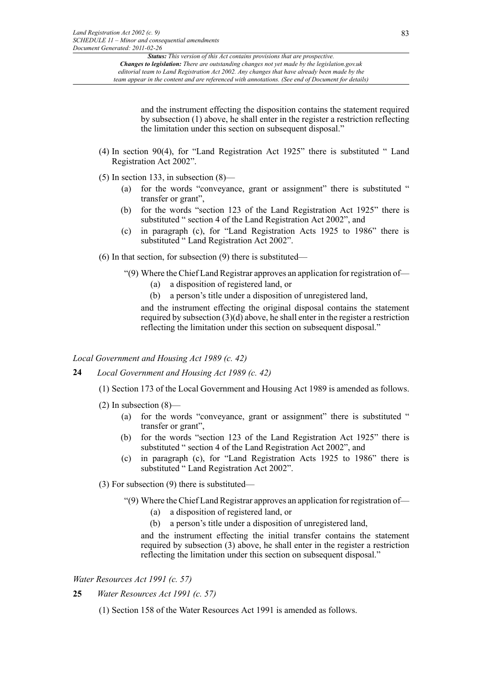> and the instrument effecting the disposition contains the statement required by subsection (1) above, he shall enter in the register a restriction reflecting the limitation under this section on subsequent disposal."

- (4) In section 90(4), for "Land Registration Act 1925" there is substituted " Land Registration Act 2002".
- (5) In section 133, in subsection  $(8)$ 
	- (a) for the words "conveyance, grant or assignment" there is substituted " transfer or grant",
	- (b) for the words "section 123 of the Land Registration Act 1925" there is substituted " section 4 of the Land Registration Act 2002", and
	- (c) in paragraph (c), for "Land Registration Acts 1925 to 1986" there is substituted " Land Registration Act 2002".

(6) In that section, for subsection (9) there is substituted—

- "(9) Where the Chief Land Registrar approves an application for registration of—
	- (a) a disposition of registered land, or
	- (b) a person's title under a disposition of unregistered land,

and the instrument effecting the original disposal contains the statement required by subsection  $(3)(d)$  above, he shall enter in the register a restriction reflecting the limitation under this section on subsequent disposal."

*Local Government and Housing Act 1989 (c. 42)*

**24** *Local Government and Housing Act 1989 (c. 42)*

(1) Section 173 of the Local Government and Housing Act 1989 is amended as follows.

- (2) In subsection (8)—
	- (a) for the words "conveyance, grant or assignment" there is substituted " transfer or grant",
	- (b) for the words "section 123 of the Land Registration Act 1925" there is substituted " section 4 of the Land Registration Act 2002", and
	- (c) in paragraph (c), for "Land Registration Acts 1925 to 1986" there is substituted " Land Registration Act 2002".

(3) For subsection (9) there is substituted—

- "(9) Where the Chief Land Registrar approves an application for registration of—
	- (a) a disposition of registered land, or
	- (b) a person's title under a disposition of unregistered land,

and the instrument effecting the initial transfer contains the statement required by subsection (3) above, he shall enter in the register a restriction reflecting the limitation under this section on subsequent disposal."

*Water Resources Act 1991 (c. 57)*

**25** *Water Resources Act 1991 (c. 57)*

(1) Section 158 of the Water Resources Act 1991 is amended as follows.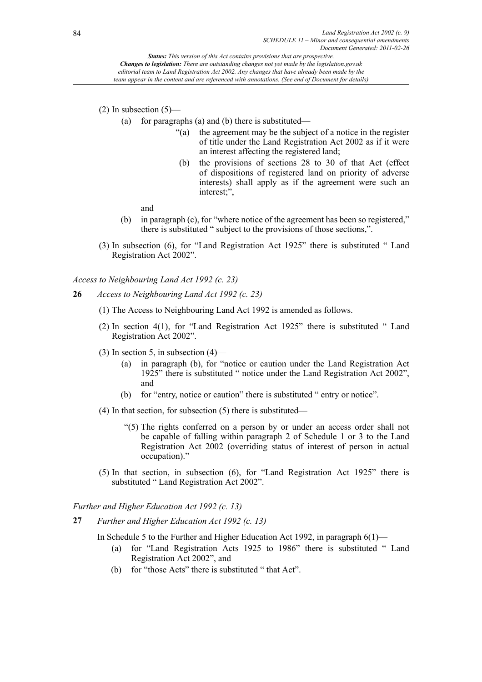## $(2)$  In subsection  $(5)$ —

- (a) for paragraphs (a) and (b) there is substituted—
	- "(a) the agreement may be the subject of a notice in the register of title under the Land Registration Act 2002 as if it were an interest affecting the registered land;
	- (b) the provisions of sections 28 to 30 of that Act (effect of dispositions of registered land on priority of adverse interests) shall apply as if the agreement were such an interest;",

and

- (b) in paragraph (c), for "where notice of the agreement has been so registered," there is substituted " subject to the provisions of those sections,".
- (3) In subsection (6), for "Land Registration Act 1925" there is substituted " Land Registration Act 2002".

*Access to Neighbouring Land Act 1992 (c. 23)*

- **26** *Access to Neighbouring Land Act 1992 (c. 23)*
	- (1) The Access to Neighbouring Land Act 1992 is amended as follows.
	- (2) In section 4(1), for "Land Registration Act 1925" there is substituted " Land Registration Act 2002".
	- $(3)$  In section 5, in subsection  $(4)$ 
		- (a) in paragraph (b), for "notice or caution under the Land Registration Act 1925" there is substituted " notice under the Land Registration Act 2002", and
		- (b) for "entry, notice or caution" there is substituted " entry or notice".
	- (4) In that section, for subsection (5) there is substituted—
		- "(5) The rights conferred on a person by or under an access order shall not be capable of falling within paragraph 2 of Schedule 1 or 3 to the Land Registration Act 2002 (overriding status of interest of person in actual occupation)."
	- (5) In that section, in subsection (6), for "Land Registration Act 1925" there is substituted " Land Registration Act 2002".

*Further and Higher Education Act 1992 (c. 13)*

**27** *Further and Higher Education Act 1992 (c. 13)*

In Schedule 5 to the Further and Higher Education Act 1992, in paragraph 6(1)—

- (a) for "Land Registration Acts 1925 to 1986" there is substituted " Land Registration Act 2002", and
- (b) for "those Acts" there is substituted " that Act".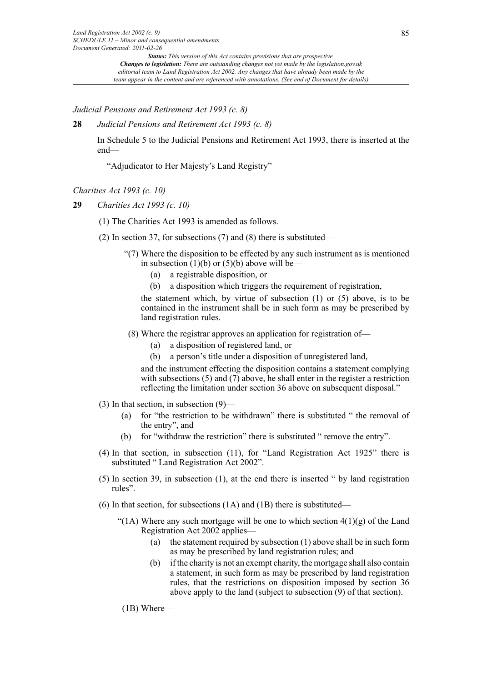*Judicial Pensions and Retirement Act 1993 (c. 8)*

**28** *Judicial Pensions and Retirement Act 1993 (c. 8)*

In Schedule 5 to the Judicial Pensions and Retirement Act 1993, there is inserted at the end—

"Adjudicator to Her Majesty's Land Registry"

*Charities Act 1993 (c. 10)*

- **29** *Charities Act 1993 (c. 10)*
	- (1) The Charities Act 1993 is amended as follows.
	- (2) In section 37, for subsections (7) and (8) there is substituted—
		- "(7) Where the disposition to be effected by any such instrument as is mentioned in subsection  $(1)(b)$  or  $(5)(b)$  above will be—
			- (a) a registrable disposition, or
			- (b) a disposition which triggers the requirement of registration,

the statement which, by virtue of subsection (1) or (5) above, is to be contained in the instrument shall be in such form as may be prescribed by land registration rules.

- (8) Where the registrar approves an application for registration of—
	- (a) a disposition of registered land, or
	- (b) a person's title under a disposition of unregistered land,

and the instrument effecting the disposition contains a statement complying with subsections (5) and (7) above, he shall enter in the register a restriction reflecting the limitation under section 36 above on subsequent disposal."

- (3) In that section, in subsection (9)—
	- (a) for "the restriction to be withdrawn" there is substituted " the removal of the entry", and
	- (b) for "withdraw the restriction" there is substituted " remove the entry".
- (4) In that section, in subsection (11), for "Land Registration Act 1925" there is substituted " Land Registration Act 2002".
- (5) In section 39, in subsection (1), at the end there is inserted " by land registration rules".
- (6) In that section, for subsections (1A) and (1B) there is substituted—
	- "(1A) Where any such mortgage will be one to which section  $4(1)(g)$  of the Land Registration Act 2002 applies—
		- (a) the statement required by subsection (1) above shall be in such form as may be prescribed by land registration rules; and
		- (b) if the charity is not an exempt charity, the mortgage shall also contain a statement, in such form as may be prescribed by land registration rules, that the restrictions on disposition imposed by section 36 above apply to the land (subject to subsection (9) of that section).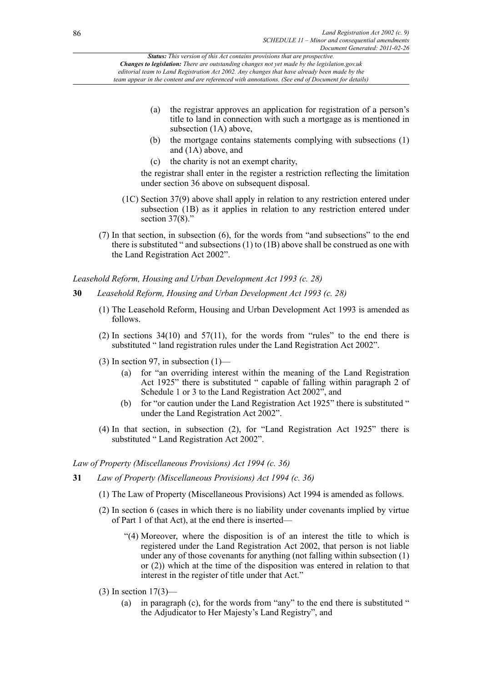

- (a) the registrar approves an application for registration of a person's title to land in connection with such a mortgage as is mentioned in subsection (1A) above,
- (b) the mortgage contains statements complying with subsections (1) and (1A) above, and
- (c) the charity is not an exempt charity,

the registrar shall enter in the register a restriction reflecting the limitation under section 36 above on subsequent disposal.

- (1C) Section 37(9) above shall apply in relation to any restriction entered under subsection (1B) as it applies in relation to any restriction entered under section 37(8)."
- (7) In that section, in subsection (6), for the words from "and subsections" to the end there is substituted " and subsections (1) to (1B) above shall be construed as one with the Land Registration Act 2002".

*Leasehold Reform, Housing and Urban Development Act 1993 (c. 28)*

- **30** *Leasehold Reform, Housing and Urban Development Act 1993 (c. 28)*
	- (1) The Leasehold Reform, Housing and Urban Development Act 1993 is amended as follows.
	- (2) In sections 34(10) and 57(11), for the words from "rules" to the end there is substituted " land registration rules under the Land Registration Act 2002".
	- (3) In section 97, in subsection  $(1)$ 
		- (a) for "an overriding interest within the meaning of the Land Registration Act 1925" there is substituted " capable of falling within paragraph 2 of Schedule 1 or 3 to the Land Registration Act 2002", and
		- (b) for "or caution under the Land Registration Act 1925" there is substituted " under the Land Registration Act 2002".
	- (4) In that section, in subsection (2), for "Land Registration Act 1925" there is substituted " Land Registration Act 2002".

## *Law of Property (Miscellaneous Provisions) Act 1994 (c. 36)*

- **31** *Law of Property (Miscellaneous Provisions) Act 1994 (c. 36)*
	- (1) The Law of Property (Miscellaneous Provisions) Act 1994 is amended as follows.
	- (2) In section 6 (cases in which there is no liability under covenants implied by virtue of Part 1 of that Act), at the end there is inserted—
		- "(4) Moreover, where the disposition is of an interest the title to which is registered under the Land Registration Act 2002, that person is not liable under any of those covenants for anything (not falling within subsection (1) or (2)) which at the time of the disposition was entered in relation to that interest in the register of title under that Act."
	- (3) In section 17(3)—
		- (a) in paragraph (c), for the words from "any" to the end there is substituted " the Adjudicator to Her Majesty's Land Registry", and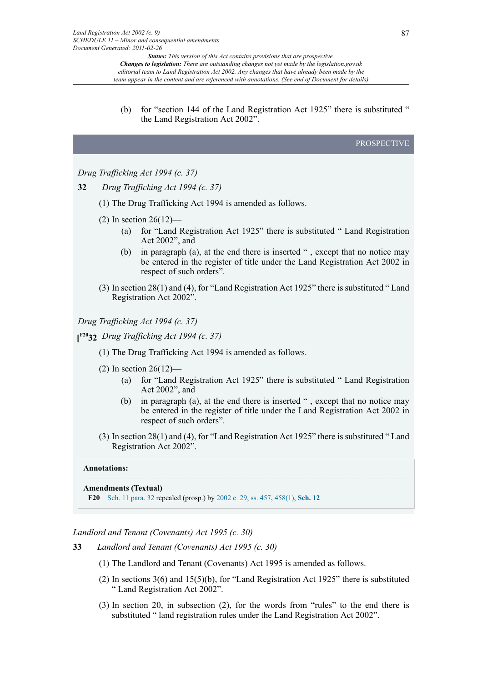(b) for "section 144 of the Land Registration Act 1925" there is substituted " the Land Registration Act 2002".

## PROSPECTIVE

*Drug Trafficking Act 1994 (c. 37)*

- **32** *Drug Trafficking Act 1994 (c. 37)*
	- (1) The Drug Trafficking Act 1994 is amended as follows.
	- (2) In section 26(12)—
		- (a) for "Land Registration Act 1925" there is substituted " Land Registration Act 2002", and
		- (b) in paragraph (a), at the end there is inserted " , except that no notice may be entered in the register of title under the Land Registration Act 2002 in respect of such orders".
	- (3) In section 28(1) and (4), for "Land Registration Act 1925" there is substituted " Land Registration Act 2002".

*Drug Trafficking Act 1994 (c. 37)*

**[ [F20](#page-86-0)32** *Drug Trafficking Act 1994 (c. 37)*

- (1) The Drug Trafficking Act 1994 is amended as follows.
- (2) In section 26(12)—
	- (a) for "Land Registration Act 1925" there is substituted " Land Registration Act 2002", and
	- (b) in paragraph (a), at the end there is inserted " , except that no notice may be entered in the register of title under the Land Registration Act 2002 in respect of such orders".
- (3) In section 28(1) and (4), for "Land Registration Act 1925" there is substituted " Land Registration Act 2002".

#### **Annotations:**

#### <span id="page-86-0"></span>**Amendments (Textual)**

**F20** [Sch. 11 para. 32](http://www.legislation.gov.uk/id/ukpga/2002/9/schedule/11/paragraph/32) repealed (prosp.) by [2002 c. 29](http://www.legislation.gov.uk/id/ukpga/2002/29), [ss. 457,](http://www.legislation.gov.uk/id/ukpga/2002/29/section/457) [458\(1\)](http://www.legislation.gov.uk/id/ukpga/2002/29/section/458/1), **[Sch. 12](http://www.legislation.gov.uk/id/ukpga/2002/29/schedule/12)**

#### *Landlord and Tenant (Covenants) Act 1995 (c. 30)*

- **33** *Landlord and Tenant (Covenants) Act 1995 (c. 30)*
	- (1) The Landlord and Tenant (Covenants) Act 1995 is amended as follows.
	- (2) In sections 3(6) and 15(5)(b), for "Land Registration Act 1925" there is substituted " Land Registration Act 2002".
	- (3) In section 20, in subsection (2), for the words from "rules" to the end there is substituted " land registration rules under the Land Registration Act 2002".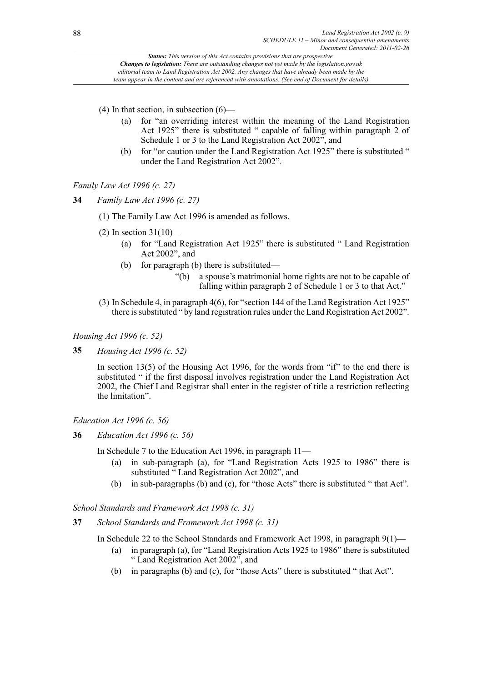(4) In that section, in subsection  $(6)$ —

- (a) for "an overriding interest within the meaning of the Land Registration Act 1925" there is substituted " capable of falling within paragraph 2 of Schedule 1 or 3 to the Land Registration Act 2002", and
- (b) for "or caution under the Land Registration Act 1925" there is substituted " under the Land Registration Act 2002".

*Family Law Act 1996 (c. 27)*

**34** *Family Law Act 1996 (c. 27)*

(1) The Family Law Act 1996 is amended as follows.

- (2) In section  $31(10)$ 
	- (a) for "Land Registration Act 1925" there is substituted " Land Registration Act 2002", and
	- (b) for paragraph (b) there is substituted—
		- "(b) a spouse's matrimonial home rights are not to be capable of falling within paragraph 2 of Schedule 1 or 3 to that Act."
- (3) In Schedule 4, in paragraph 4(6), for "section 144 of the Land Registration Act 1925" there is substituted " by land registration rules under the Land Registration Act 2002".

#### *Housing Act 1996 (c. 52)*

**35** *Housing Act 1996 (c. 52)*

In section 13(5) of the Housing Act 1996, for the words from " $if$ " to the end there is substituted " if the first disposal involves registration under the Land Registration Act 2002, the Chief Land Registrar shall enter in the register of title a restriction reflecting the limitation".

*Education Act 1996 (c. 56)*

**36** *Education Act 1996 (c. 56)*

In Schedule 7 to the Education Act 1996, in paragraph 11—

- (a) in sub-paragraph (a), for "Land Registration Acts 1925 to 1986" there is substituted " Land Registration Act 2002", and
- (b) in sub-paragraphs (b) and (c), for "those Acts" there is substituted " that Act".

*School Standards and Framework Act 1998 (c. 31)*

**37** *School Standards and Framework Act 1998 (c. 31)*

In Schedule 22 to the School Standards and Framework Act 1998, in paragraph 9(1)—

- (a) in paragraph (a), for "Land Registration Acts 1925 to 1986" there is substituted " Land Registration Act 2002", and
- (b) in paragraphs (b) and (c), for "those Acts" there is substituted " that Act".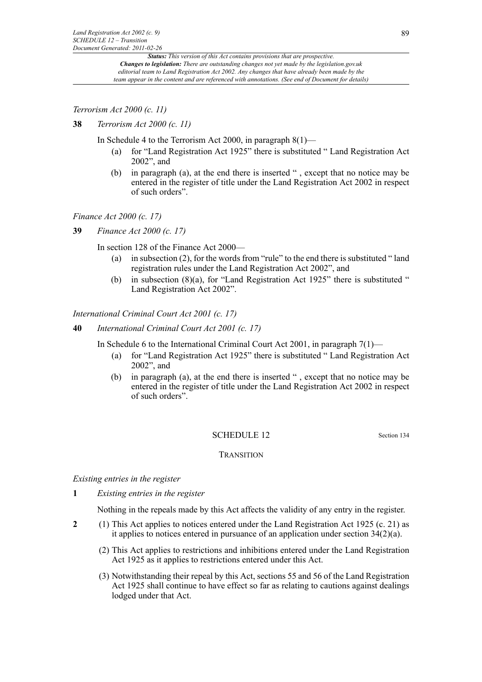*Terrorism Act 2000 (c. 11)*

**38** *Terrorism Act 2000 (c. 11)*

In Schedule 4 to the Terrorism Act 2000, in paragraph  $8(1)$ —

- (a) for "Land Registration Act 1925" there is substituted " Land Registration Act 2002", and
- (b) in paragraph (a), at the end there is inserted " , except that no notice may be entered in the register of title under the Land Registration Act 2002 in respect of such orders".

*Finance Act 2000 (c. 17)*

**39** *Finance Act 2000 (c. 17)*

In section 128 of the Finance Act 2000—

- (a) in subsection (2), for the words from "rule" to the end there is substituted " land registration rules under the Land Registration Act 2002", and
- (b) in subsection (8)(a), for "Land Registration Act 1925" there is substituted " Land Registration Act 2002".

*International Criminal Court Act 2001 (c. 17)*

**40** *International Criminal Court Act 2001 (c. 17)*

In Schedule 6 to the International Criminal Court Act 2001, in paragraph 7(1)—

- (a) for "Land Registration Act 1925" there is substituted " Land Registration Act 2002", and
- (b) in paragraph (a), at the end there is inserted " , except that no notice may be entered in the register of title under the Land Registration Act 2002 in respect of such orders".

#### SCHEDULE 12 Section 134

#### **TRANSITION**

*Existing entries in the register*

**1** *Existing entries in the register*

Nothing in the repeals made by this Act affects the validity of any entry in the register.

- **2** (1) This Act applies to notices entered under the Land Registration Act 1925 (c. 21) as it applies to notices entered in pursuance of an application under section  $34(2)(a)$ .
	- (2) This Act applies to restrictions and inhibitions entered under the Land Registration Act 1925 as it applies to restrictions entered under this Act.
	- (3) Notwithstanding their repeal by this Act, sections 55 and 56 of the Land Registration Act 1925 shall continue to have effect so far as relating to cautions against dealings lodged under that Act.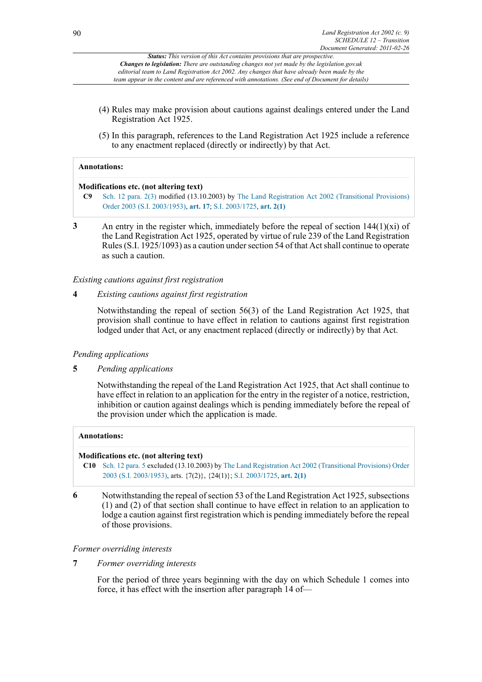- (4) Rules may make provision about cautions against dealings entered under the Land Registration Act 1925.
- (5) In this paragraph, references to the Land Registration Act 1925 include a reference to any enactment replaced (directly or indirectly) by that Act.

# **Annotations:**

## **Modifications etc. (not altering text)**

- **C9** [Sch. 12 para. 2\(3\)](http://www.legislation.gov.uk/id/ukpga/2002/9/schedule/12/paragraph/2/3) modified (13.10.2003) by [The Land Registration Act 2002 \(Transitional Provisions\)](http://www.legislation.gov.uk/id/uksi/2003/1953) [Order 2003 \(S.I. 2003/1953\)](http://www.legislation.gov.uk/id/uksi/2003/1953), **[art. 17](http://www.legislation.gov.uk/id/uksi/2003/1953/article/17)**; [S.I. 2003/1725,](http://www.legislation.gov.uk/id/uksi/2003/1725) **[art. 2\(1\)](http://www.legislation.gov.uk/id/uksi/2003/1725/article/2/1)**
- **3** An entry in the register which, immediately before the repeal of section 144(1)(xi) of the Land Registration Act 1925, operated by virtue of rule 239 of the Land Registration Rules (S.I. 1925/1093) as a caution under section 54 of that Act shall continue to operate as such a caution.

## *Existing cautions against first registration*

## **4** *Existing cautions against first registration*

Notwithstanding the repeal of section 56(3) of the Land Registration Act 1925, that provision shall continue to have effect in relation to cautions against first registration lodged under that Act, or any enactment replaced (directly or indirectly) by that Act.

# *Pending applications*

**5** *Pending applications*

Notwithstanding the repeal of the Land Registration Act 1925, that Act shall continue to have effect in relation to an application for the entry in the register of a notice, restriction, inhibition or caution against dealings which is pending immediately before the repeal of the provision under which the application is made.

## **Annotations:**

## **Modifications etc. (not altering text)**

**C10** [Sch. 12 para. 5](http://www.legislation.gov.uk/id/ukpga/2002/9/schedule/12/paragraph/5) excluded (13.10.2003) by [The Land Registration Act 2002 \(Transitional Provisions\) Order](http://www.legislation.gov.uk/id/uksi/2003/1953) [2003 \(S.I. 2003/1953\)](http://www.legislation.gov.uk/id/uksi/2003/1953), arts. {7(2)}, {24(1)}; [S.I. 2003/1725](http://www.legislation.gov.uk/id/uksi/2003/1725), **[art. 2\(1\)](http://www.legislation.gov.uk/id/uksi/2003/1725/article/2/1)**

**6** Notwithstanding the repeal of section 53 of the Land Registration Act 1925, subsections (1) and (2) of that section shall continue to have effect in relation to an application to lodge a caution against first registration which is pending immediately before the repeal of those provisions.

## *Former overriding interests*

**7** *Former overriding interests*

For the period of three years beginning with the day on which Schedule 1 comes into force, it has effect with the insertion after paragraph 14 of—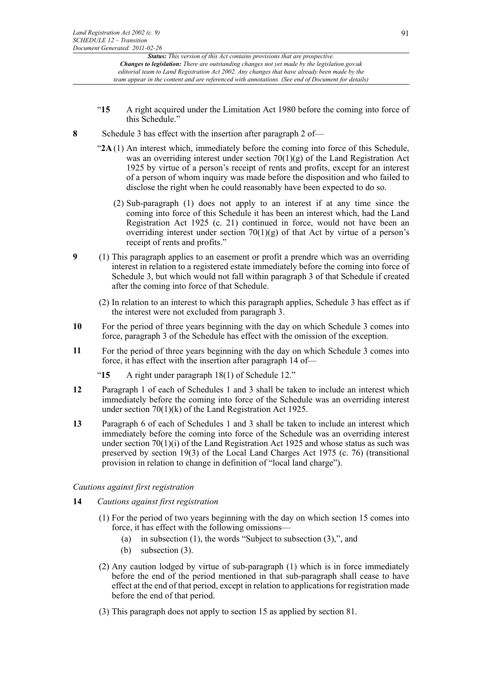- "**15** A right acquired under the Limitation Act 1980 before the coming into force of this Schedule."
- **8** Schedule 3 has effect with the insertion after paragraph 2 of—
	- "**2A** (1) An interest which, immediately before the coming into force of this Schedule, was an overriding interest under section  $70(1)(g)$  of the Land Registration Act 1925 by virtue of a person's receipt of rents and profits, except for an interest of a person of whom inquiry was made before the disposition and who failed to disclose the right when he could reasonably have been expected to do so.
		- (2) Sub-paragraph (1) does not apply to an interest if at any time since the coming into force of this Schedule it has been an interest which, had the Land Registration Act 1925 (c. 21) continued in force, would not have been an overriding interest under section  $70(1)(g)$  of that Act by virtue of a person's receipt of rents and profits."
- **9** (1) This paragraph applies to an easement or profit a prendre which was an overriding interest in relation to a registered estate immediately before the coming into force of Schedule 3, but which would not fall within paragraph 3 of that Schedule if created after the coming into force of that Schedule.
	- (2) In relation to an interest to which this paragraph applies, Schedule 3 has effect as if the interest were not excluded from paragraph 3.
- **10** For the period of three years beginning with the day on which Schedule 3 comes into force, paragraph 3 of the Schedule has effect with the omission of the exception.
- **11** For the period of three years beginning with the day on which Schedule 3 comes into force, it has effect with the insertion after paragraph 14 of—
	- "**15** A right under paragraph 18(1) of Schedule 12."
- **12** Paragraph 1 of each of Schedules 1 and 3 shall be taken to include an interest which immediately before the coming into force of the Schedule was an overriding interest under section 70(1)(k) of the Land Registration Act 1925.
- **13** Paragraph 6 of each of Schedules 1 and 3 shall be taken to include an interest which immediately before the coming into force of the Schedule was an overriding interest under section  $70(1)(i)$  of the Land Registration Act 1925 and whose status as such was preserved by section 19(3) of the Local Land Charges Act 1975 (c. 76) (transitional provision in relation to change in definition of "local land charge").

# *Cautions against first registration*

- **14** *Cautions against first registration*
	- (1) For the period of two years beginning with the day on which section 15 comes into force, it has effect with the following omissions—
		- (a) in subsection (1), the words "Subject to subsection (3),", and
		- (b) subsection (3).
	- (2) Any caution lodged by virtue of sub-paragraph (1) which is in force immediately before the end of the period mentioned in that sub-paragraph shall cease to have effect at the end of that period, except in relation to applications for registration made before the end of that period.
	- (3) This paragraph does not apply to section 15 as applied by section 81.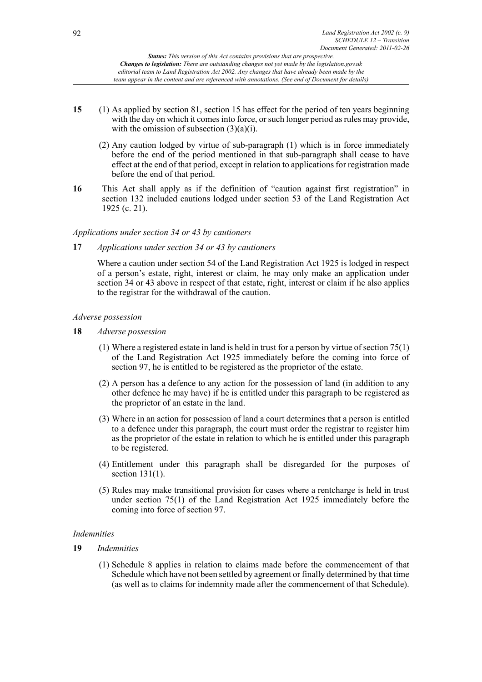- **15** (1) As applied by section 81, section 15 has effect for the period of ten years beginning with the day on which it comes into force, or such longer period as rules may provide, with the omission of subsection  $(3)(a)(i)$ .
	- (2) Any caution lodged by virtue of sub-paragraph (1) which is in force immediately before the end of the period mentioned in that sub-paragraph shall cease to have effect at the end of that period, except in relation to applications for registration made before the end of that period.
- **16** This Act shall apply as if the definition of "caution against first registration" in section 132 included cautions lodged under section 53 of the Land Registration Act 1925 (c. 21).

## *Applications under section 34 or 43 by cautioners*

**17** *Applications under section 34 or 43 by cautioners*

Where a caution under section 54 of the Land Registration Act 1925 is lodged in respect of a person's estate, right, interest or claim, he may only make an application under section 34 or 43 above in respect of that estate, right, interest or claim if he also applies to the registrar for the withdrawal of the caution.

## *Adverse possession*

- **18** *Adverse possession*
	- (1) Where a registered estate in land is held in trust for a person by virtue of section 75(1) of the Land Registration Act 1925 immediately before the coming into force of section 97, he is entitled to be registered as the proprietor of the estate.
	- (2) A person has a defence to any action for the possession of land (in addition to any other defence he may have) if he is entitled under this paragraph to be registered as the proprietor of an estate in the land.
	- (3) Where in an action for possession of land a court determines that a person is entitled to a defence under this paragraph, the court must order the registrar to register him as the proprietor of the estate in relation to which he is entitled under this paragraph to be registered.
	- (4) Entitlement under this paragraph shall be disregarded for the purposes of section 131(1).
	- (5) Rules may make transitional provision for cases where a rentcharge is held in trust under section 75(1) of the Land Registration Act 1925 immediately before the coming into force of section 97.

# *Indemnities*

- **19** *Indemnities*
	- (1) Schedule 8 applies in relation to claims made before the commencement of that Schedule which have not been settled by agreement or finally determined by that time (as well as to claims for indemnity made after the commencement of that Schedule).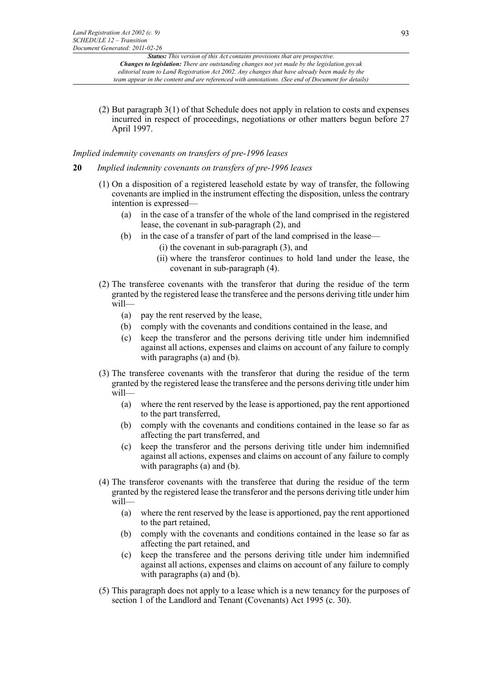(2) But paragraph 3(1) of that Schedule does not apply in relation to costs and expenses incurred in respect of proceedings, negotiations or other matters begun before 27 April 1997.

## *Implied indemnity covenants on transfers of pre-1996 leases*

- **20** *Implied indemnity covenants on transfers of pre-1996 leases*
	- (1) On a disposition of a registered leasehold estate by way of transfer, the following covenants are implied in the instrument effecting the disposition, unless the contrary intention is expressed—
		- (a) in the case of a transfer of the whole of the land comprised in the registered lease, the covenant in sub-paragraph (2), and
		- (b) in the case of a transfer of part of the land comprised in the lease—
			- (i) the covenant in sub-paragraph (3), and
			- (ii) where the transferor continues to hold land under the lease, the covenant in sub-paragraph (4).
	- (2) The transferee covenants with the transferor that during the residue of the term granted by the registered lease the transferee and the persons deriving title under him will—
		- (a) pay the rent reserved by the lease,
		- (b) comply with the covenants and conditions contained in the lease, and
		- (c) keep the transferor and the persons deriving title under him indemnified against all actions, expenses and claims on account of any failure to comply with paragraphs (a) and (b).
	- (3) The transferee covenants with the transferor that during the residue of the term granted by the registered lease the transferee and the persons deriving title under him will—
		- (a) where the rent reserved by the lease is apportioned, pay the rent apportioned to the part transferred,
		- (b) comply with the covenants and conditions contained in the lease so far as affecting the part transferred, and
		- (c) keep the transferor and the persons deriving title under him indemnified against all actions, expenses and claims on account of any failure to comply with paragraphs (a) and (b).
	- (4) The transferor covenants with the transferee that during the residue of the term granted by the registered lease the transferor and the persons deriving title under him will—
		- (a) where the rent reserved by the lease is apportioned, pay the rent apportioned to the part retained,
		- (b) comply with the covenants and conditions contained in the lease so far as affecting the part retained, and
		- (c) keep the transferee and the persons deriving title under him indemnified against all actions, expenses and claims on account of any failure to comply with paragraphs (a) and (b).
	- (5) This paragraph does not apply to a lease which is a new tenancy for the purposes of section 1 of the Landlord and Tenant (Covenants) Act 1995 (c. 30).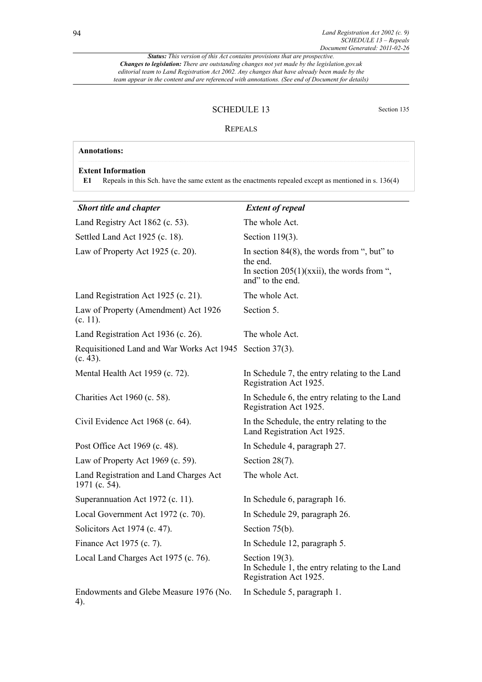# SCHEDULE 13 Section 135

## REPEALS

| <b>Annotations:</b><br><b>Extent Information</b><br>Repeals in this Sch. have the same extent as the enactments repealed except as mentioned in s. 136(4)<br>-E1 |  |  |  |  |  |
|------------------------------------------------------------------------------------------------------------------------------------------------------------------|--|--|--|--|--|
|                                                                                                                                                                  |  |  |  |  |  |

| Land Registry Act 1862 (c. 53).                         | The whole Act.                                                                                                               |
|---------------------------------------------------------|------------------------------------------------------------------------------------------------------------------------------|
| Settled Land Act 1925 (c. 18).                          | Section 119(3).                                                                                                              |
| Law of Property Act 1925 (c. 20).                       | In section $84(8)$ , the words from ", but" to<br>the end.<br>In section 205(1)(xxii), the words from ",<br>and" to the end. |
| Land Registration Act 1925 (c. 21).                     | The whole Act.                                                                                                               |
| Law of Property (Amendment) Act 1926<br>(c. 11).        | Section 5.                                                                                                                   |
| Land Registration Act 1936 (c. 26).                     | The whole Act.                                                                                                               |
| Requisitioned Land and War Works Act 1945<br>(c. 43).   | Section $37(3)$ .                                                                                                            |
| Mental Health Act 1959 (c. 72).                         | In Schedule 7, the entry relating to the Land<br>Registration Act 1925.                                                      |
| Charities Act 1960 (c. 58).                             | In Schedule 6, the entry relating to the Land<br>Registration Act 1925.                                                      |
| Civil Evidence Act 1968 (c. 64).                        | In the Schedule, the entry relating to the<br>Land Registration Act 1925.                                                    |
| Post Office Act 1969 (c. 48).                           | In Schedule 4, paragraph 27.                                                                                                 |
| Law of Property Act 1969 (c. 59).                       | Section $28(7)$ .                                                                                                            |
| Land Registration and Land Charges Act<br>1971 (c. 54). | The whole Act.                                                                                                               |
| Superannuation Act 1972 (c. 11).                        | In Schedule 6, paragraph 16.                                                                                                 |
| Local Government Act 1972 (c. 70).                      | In Schedule 29, paragraph 26.                                                                                                |
| Solicitors Act 1974 (c. 47).                            | Section $75(b)$ .                                                                                                            |
| Finance Act 1975 (c. 7).                                | In Schedule 12, paragraph 5.                                                                                                 |
| Local Land Charges Act 1975 (c. 76).                    | Section $19(3)$ .<br>In Schedule 1, the entry relating to the Land<br>Registration Act 1925.                                 |
| Endowments and Glebe Measure 1976 (No.<br>4).           | In Schedule 5, paragraph 1.                                                                                                  |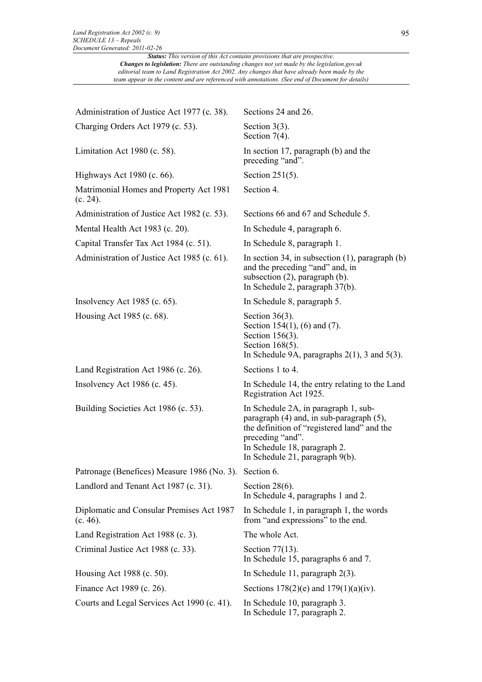| Administration of Justice Act 1977 (c. 38).            | Sections 24 and 26.                                                                                                                                                                                                         |
|--------------------------------------------------------|-----------------------------------------------------------------------------------------------------------------------------------------------------------------------------------------------------------------------------|
| Charging Orders Act 1979 (c. 53).                      | Section $3(3)$ .<br>Section $7(4)$ .                                                                                                                                                                                        |
| Limitation Act 1980 (c. 58).                           | In section 17, paragraph $(b)$ and the<br>preceding "and".                                                                                                                                                                  |
| Highways Act 1980 (c. 66).                             | Section $251(5)$ .                                                                                                                                                                                                          |
| Matrimonial Homes and Property Act 1981<br>(c. 24).    | Section 4.                                                                                                                                                                                                                  |
| Administration of Justice Act 1982 (c. 53).            | Sections 66 and 67 and Schedule 5.                                                                                                                                                                                          |
| Mental Health Act 1983 (c. 20).                        | In Schedule 4, paragraph 6.                                                                                                                                                                                                 |
| Capital Transfer Tax Act 1984 (c. 51).                 | In Schedule 8, paragraph 1.                                                                                                                                                                                                 |
| Administration of Justice Act 1985 (c. 61).            | In section 34, in subsection $(1)$ , paragraph $(b)$<br>and the preceding "and" and, in<br>subsection $(2)$ , paragraph $(b)$ .<br>In Schedule 2, paragraph 37(b).                                                          |
| Insolvency Act $1985$ (c. 65).                         | In Schedule 8, paragraph 5.                                                                                                                                                                                                 |
| Housing Act 1985 (c. 68).                              | Section $36(3)$ .<br>Section 154(1), (6) and (7).<br>Section $156(3)$ .<br>Section $168(5)$ .<br>In Schedule 9A, paragraphs $2(1)$ , 3 and $5(3)$ .                                                                         |
| Land Registration Act 1986 (c. 26).                    | Sections 1 to 4.                                                                                                                                                                                                            |
| Insolvency Act $1986$ (c. 45).                         | In Schedule 14, the entry relating to the Land<br>Registration Act 1925.                                                                                                                                                    |
| Building Societies Act 1986 (c. 53).                   | In Schedule 2A, in paragraph 1, sub-<br>paragraph $(4)$ and, in sub-paragraph $(5)$ ,<br>the definition of "registered land" and the<br>preceding "and".<br>In Schedule 18, paragraph 2.<br>In Schedule 21, paragraph 9(b). |
| Patronage (Benefices) Measure 1986 (No. 3). Section 6. |                                                                                                                                                                                                                             |
| Landlord and Tenant Act 1987 (c. 31).                  | Section $28(6)$ .<br>In Schedule 4, paragraphs 1 and 2.                                                                                                                                                                     |
| Diplomatic and Consular Premises Act 1987<br>(c. 46).  | In Schedule 1, in paragraph 1, the words<br>from "and expressions" to the end.                                                                                                                                              |
| Land Registration Act 1988 (c. 3).                     | The whole Act.                                                                                                                                                                                                              |
| Criminal Justice Act 1988 (c. 33).                     | Section 77(13).<br>In Schedule 15, paragraphs 6 and 7.                                                                                                                                                                      |
| Housing Act 1988 (c. 50).                              | In Schedule 11, paragraph $2(3)$ .                                                                                                                                                                                          |
| Finance Act 1989 (c. 26).                              | Sections $178(2)$ (e) and $179(1)$ (a)(iv).                                                                                                                                                                                 |
| Courts and Legal Services Act 1990 (c. 41).            | In Schedule 10, paragraph 3.<br>In Schedule 17, paragraph 2.                                                                                                                                                                |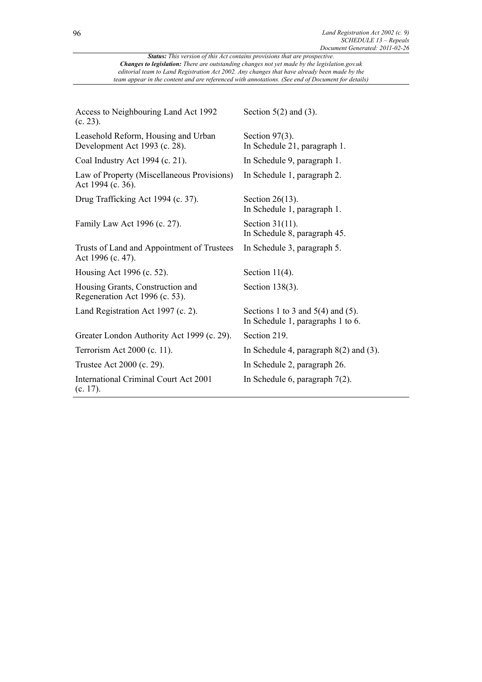| Access to Neighbouring Land Act 1992<br>$(c. 23)$ .                  | Section $5(2)$ and $(3)$ .                                                  |
|----------------------------------------------------------------------|-----------------------------------------------------------------------------|
| Leasehold Reform, Housing and Urban<br>Development Act 1993 (c. 28). | Section $97(3)$ .<br>In Schedule 21, paragraph 1.                           |
| Coal Industry Act 1994 (c. 21).                                      | In Schedule 9, paragraph 1.                                                 |
| Law of Property (Miscellaneous Provisions)<br>Act 1994 (c. 36).      | In Schedule 1, paragraph 2.                                                 |
| Drug Trafficking Act 1994 (c. 37).                                   | Section $26(13)$ .<br>In Schedule 1, paragraph 1.                           |
| Family Law Act 1996 (c. 27).                                         | Section $31(11)$ .<br>In Schedule 8, paragraph 45.                          |
| Trusts of Land and Appointment of Trustees<br>Act 1996 (c. 47).      | In Schedule 3, paragraph 5.                                                 |
| Housing Act 1996 (c. 52).                                            | Section $11(4)$ .                                                           |
| Housing Grants, Construction and<br>Regeneration Act 1996 (c. 53).   | Section 138(3).                                                             |
| Land Registration Act 1997 (c. 2).                                   | Sections 1 to 3 and $5(4)$ and $(5)$ .<br>In Schedule 1, paragraphs 1 to 6. |
| Greater London Authority Act 1999 (c. 29).                           | Section 219.                                                                |
| Terrorism Act 2000 (c. 11).                                          | In Schedule 4, paragraph $8(2)$ and (3).                                    |
| Trustee Act 2000 (c. 29).                                            | In Schedule 2, paragraph 26.                                                |
| International Criminal Court Act 2001<br>(c. 17).                    | In Schedule 6, paragraph $7(2)$ .                                           |